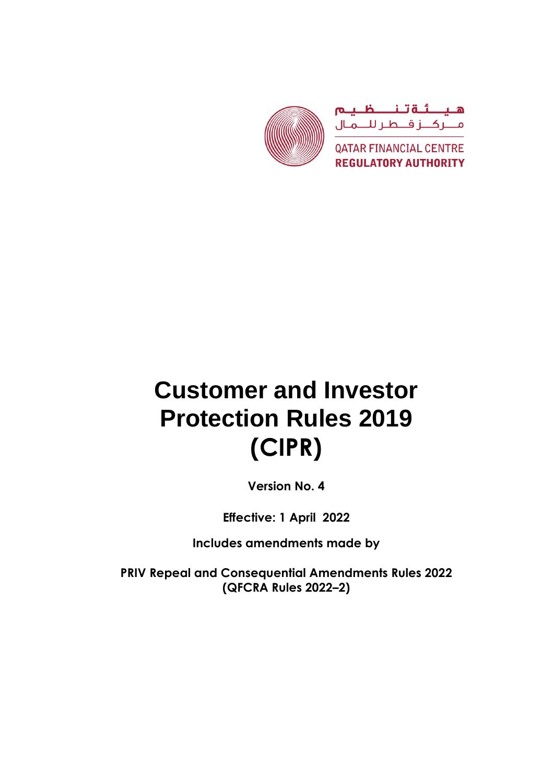

# **Customer and Investor Protection Rules 2019 (CIPR)**

**Version No. 4**

**Effective: 1 April 2022**

**Includes amendments made by** 

**PRIV Repeal and Consequential Amendments Rules 2022 (QFCRA Rules 2022–2)**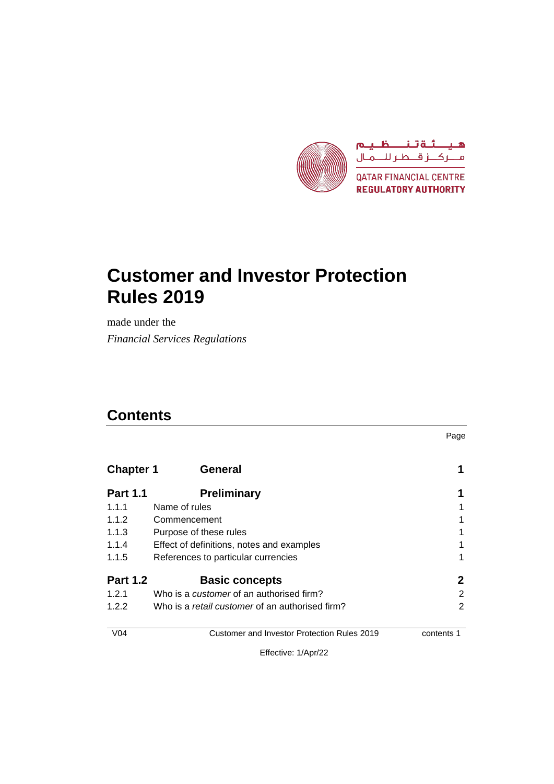

# **Customer and Investor Protection Rules 2019**

made under the *Financial Services Regulations*

# **Contents**

Page

| <b>Chapter 1</b> | <b>General</b>                                         |   |
|------------------|--------------------------------------------------------|---|
| <b>Part 1.1</b>  | <b>Preliminary</b>                                     |   |
| 1.1.1            | Name of rules                                          |   |
| 1.1.2            | Commencement                                           |   |
| 1.1.3            | Purpose of these rules                                 |   |
| 1.1.4            | Effect of definitions, notes and examples              |   |
| 1.1.5            | References to particular currencies                    |   |
| <b>Part 1.2</b>  | <b>Basic concepts</b>                                  | 2 |
| 1.2.1            | Who is a <i>customer</i> of an authorised firm?        | 2 |
| 1.2.2            | Who is a <i>retail customer</i> of an authorised firm? | 2 |
| $\sqrt{2}$       |                                                        | . |

V04 Customer and Investor Protection Rules 2019 contents 1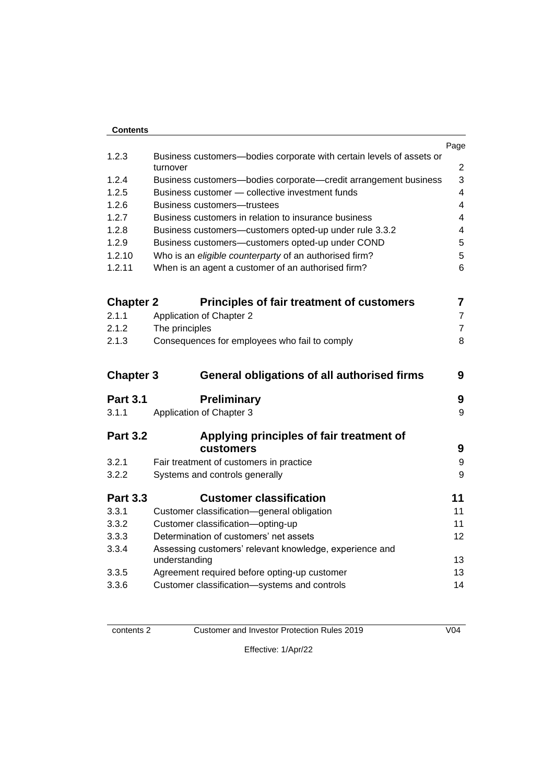| <b>Contents</b>  |                                                                                  |                |
|------------------|----------------------------------------------------------------------------------|----------------|
|                  |                                                                                  | Page           |
| 1.2.3            | Business customers-bodies corporate with certain levels of assets or<br>turnover | $\overline{2}$ |
| 1.2.4            | Business customers-bodies corporate-credit arrangement business                  | 3              |
| 1.2.5            | Business customer - collective investment funds                                  | 4              |
| 1.2.6            | Business customers—trustees                                                      | 4              |
| 1.2.7            | Business customers in relation to insurance business                             | 4              |
| 1.2.8            | Business customers-customers opted-up under rule 3.3.2                           | 4              |
| 1.2.9            | Business customers-customers opted-up under COND                                 | 5              |
| 1.2.10           | Who is an eligible counterparty of an authorised firm?                           | 5              |
| 1.2.11           | When is an agent a customer of an authorised firm?                               | 6              |
| <b>Chapter 2</b> | <b>Principles of fair treatment of customers</b>                                 | 7              |
| 2.1.1            | <b>Application of Chapter 2</b>                                                  | $\overline{7}$ |
| 2.1.2            | The principles                                                                   | $\overline{7}$ |
| 2.1.3            | Consequences for employees who fail to comply                                    | 8              |
| <b>Chapter 3</b> | <b>General obligations of all authorised firms</b>                               | 9              |
| <b>Part 3.1</b>  | Preliminary                                                                      | 9              |
| 3.1.1            | Application of Chapter 3                                                         | 9              |
| <b>Part 3.2</b>  | Applying principles of fair treatment of<br>customers                            | 9              |
| 3.2.1            | Fair treatment of customers in practice                                          | 9              |
| 3.2.2            | Systems and controls generally                                                   | 9              |
| <b>Part 3.3</b>  | <b>Customer classification</b>                                                   | 11             |
| 3.3.1            | Customer classification-general obligation                                       | 11             |
| 3.3.2            | Customer classification-opting-up                                                | 11             |
| 3.3.3            | Determination of customers' net assets                                           | 12             |
| 3.3.4            | Assessing customers' relevant knowledge, experience and<br>understanding         | 13             |
| 3.3.5            | Agreement required before opting-up customer                                     | 13             |
| 3.3.6            | Customer classification-systems and controls                                     | 14             |

contents 2 Customer and Investor Protection Rules 2019 V04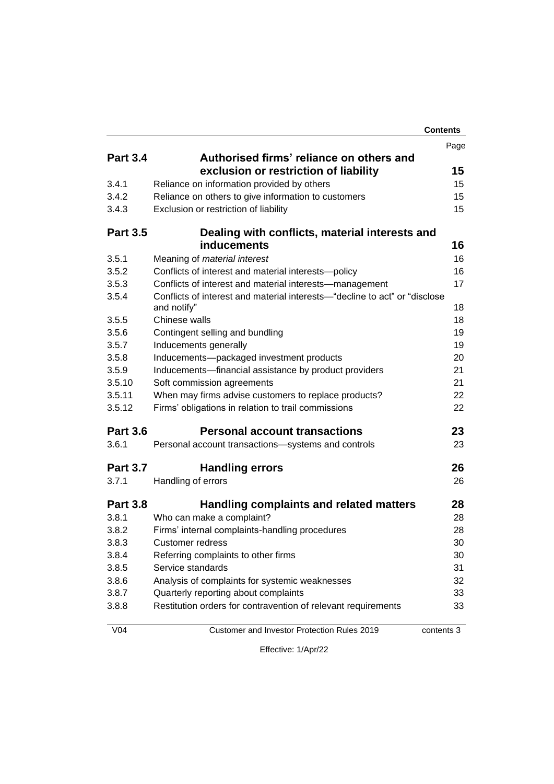|                 |                                                                                                             | <b>Contents</b> |
|-----------------|-------------------------------------------------------------------------------------------------------------|-----------------|
|                 |                                                                                                             | Page            |
| <b>Part 3.4</b> | Authorised firms' reliance on others and                                                                    |                 |
|                 | exclusion or restriction of liability                                                                       | 15              |
| 3.4.1           | Reliance on information provided by others                                                                  | 15              |
| 3.4.2           | Reliance on others to give information to customers                                                         | 15              |
| 3.4.3           | Exclusion or restriction of liability                                                                       | 15              |
| <b>Part 3.5</b> | Dealing with conflicts, material interests and                                                              |                 |
|                 | <b>inducements</b>                                                                                          | 16              |
| 3.5.1           | Meaning of material interest                                                                                | 16              |
| 3.5.2           | Conflicts of interest and material interests-policy                                                         | 16              |
| 3.5.3           | Conflicts of interest and material interests—management                                                     | 17              |
| 3.5.4           | Conflicts of interest and material interests—"decline to act" or "disclose                                  |                 |
|                 | and notify"                                                                                                 | 18              |
| 3.5.5           | Chinese walls                                                                                               | 18              |
| 3.5.6<br>3.5.7  | Contingent selling and bundling                                                                             | 19              |
| 3.5.8           | Inducements generally                                                                                       | 19              |
| 3.5.9           | Inducements-packaged investment products                                                                    | 20              |
| 3.5.10          | Inducements-financial assistance by product providers                                                       | 21<br>21        |
| 3.5.11          | Soft commission agreements                                                                                  | 22              |
| 3.5.12          | When may firms advise customers to replace products?<br>Firms' obligations in relation to trail commissions | 22              |
|                 |                                                                                                             |                 |
| <b>Part 3.6</b> | <b>Personal account transactions</b>                                                                        | 23              |
| 3.6.1           | Personal account transactions-systems and controls                                                          | 23              |
| <b>Part 3.7</b> | <b>Handling errors</b>                                                                                      | 26              |
| 3.7.1           | Handling of errors                                                                                          | 26              |
| <b>Part 3.8</b> | Handling complaints and related matters                                                                     | 28              |
| 3.8.1           | Who can make a complaint?                                                                                   | 28              |
| 3.8.2           | Firms' internal complaints-handling procedures                                                              | 28              |
| 3.8.3           | Customer redress                                                                                            | 30              |
| 3.8.4           | Referring complaints to other firms                                                                         | 30              |
| 3.8.5           | Service standards                                                                                           | 31              |
| 3.8.6           | Analysis of complaints for systemic weaknesses                                                              | 32              |
| 3.8.7           | Quarterly reporting about complaints                                                                        | 33              |
| 3.8.8           | Restitution orders for contravention of relevant requirements                                               | 33              |
| V <sub>04</sub> | Customer and Investor Protection Rules 2019                                                                 | contents 3      |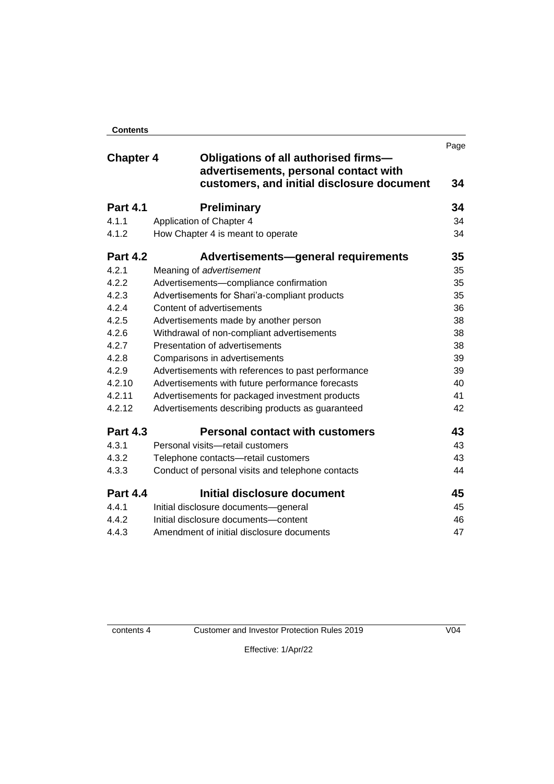| <b>Contents</b> |  |
|-----------------|--|

|                  |                                                                               | Page |
|------------------|-------------------------------------------------------------------------------|------|
| <b>Chapter 4</b> | Obligations of all authorised firms-<br>advertisements, personal contact with |      |
|                  | customers, and initial disclosure document                                    | 34   |
| <b>Part 4.1</b>  | <b>Preliminary</b>                                                            | 34   |
| 4.1.1            | Application of Chapter 4                                                      | 34   |
| 4.1.2            | How Chapter 4 is meant to operate                                             | 34   |
| <b>Part 4.2</b>  | Advertisements-general requirements                                           | 35   |
| 4.2.1            | Meaning of advertisement                                                      | 35   |
| 4.2.2            | Advertisements-compliance confirmation                                        | 35   |
| 4.2.3            | Advertisements for Shari'a-compliant products                                 | 35   |
| 4.2.4            | Content of advertisements                                                     | 36   |
| 4.2.5            | Advertisements made by another person                                         |      |
| 4.2.6            | Withdrawal of non-compliant advertisements                                    |      |
| 4.2.7            | Presentation of advertisements                                                |      |
| 4.2.8            | Comparisons in advertisements                                                 |      |
| 4.2.9            | Advertisements with references to past performance                            |      |
| 4.2.10           | Advertisements with future performance forecasts                              | 40   |
| 4.2.11           | Advertisements for packaged investment products                               | 41   |
| 4.2.12           | Advertisements describing products as guaranteed                              | 42   |
| <b>Part 4.3</b>  | <b>Personal contact with customers</b>                                        | 43   |
| 4.3.1            | Personal visits-retail customers                                              | 43   |
| 4.3.2            | Telephone contacts-retail customers                                           | 43   |
| 4.3.3            | Conduct of personal visits and telephone contacts                             | 44   |
| <b>Part 4.4</b>  | Initial disclosure document                                                   | 45   |
| 4.4.1            | Initial disclosure documents-general                                          | 45   |
| 4.4.2            | Initial disclosure documents-content                                          | 46   |
| 4.4.3            | Amendment of initial disclosure documents                                     | 47   |

contents 4 Customer and Investor Protection Rules 2019 V04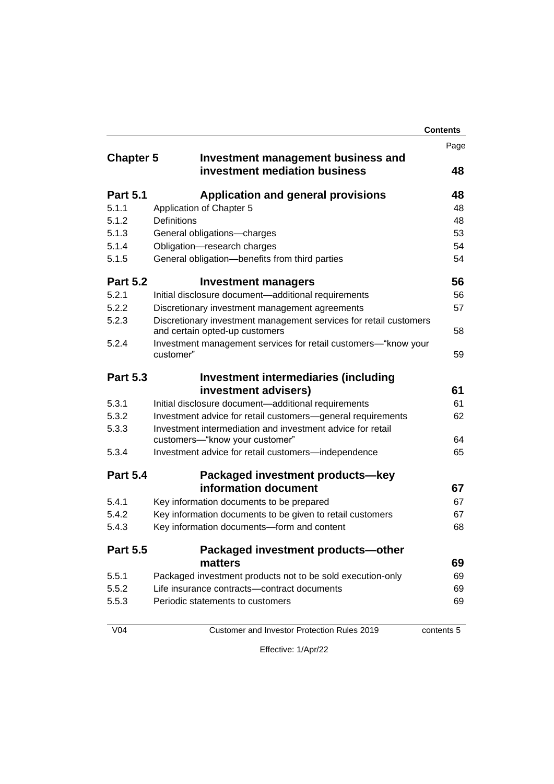|                  |                                                                                                     | <b>Contents</b> |
|------------------|-----------------------------------------------------------------------------------------------------|-----------------|
|                  |                                                                                                     | Page            |
| <b>Chapter 5</b> | Investment management business and                                                                  |                 |
|                  | investment mediation business                                                                       | 48              |
| <b>Part 5.1</b>  | <b>Application and general provisions</b>                                                           | 48              |
| 5.1.1            | Application of Chapter 5                                                                            | 48              |
| 5.1.2            | Definitions                                                                                         | 48              |
| 5.1.3            | General obligations-charges                                                                         | 53              |
| 5.1.4            | Obligation-research charges                                                                         | 54              |
| 5.1.5            | General obligation-benefits from third parties                                                      | 54              |
| <b>Part 5.2</b>  | <b>Investment managers</b>                                                                          | 56              |
| 5.2.1            | Initial disclosure document-additional requirements                                                 | 56              |
| 5.2.2            | Discretionary investment management agreements                                                      | 57              |
| 5.2.3            | Discretionary investment management services for retail customers<br>and certain opted-up customers | 58              |
| 5.2.4            | Investment management services for retail customers—"know your<br>customer"                         | 59              |
| <b>Part 5.3</b>  | <b>Investment intermediaries (including</b>                                                         |                 |
|                  | investment advisers)                                                                                | 61              |
| 5.3.1            | Initial disclosure document-additional requirements                                                 | 61              |
| 5.3.2            | Investment advice for retail customers-general requirements                                         | 62              |
| 5.3.3            | Investment intermediation and investment advice for retail<br>customers-"know your customer"        | 64              |
| 5.3.4            | Investment advice for retail customers-independence                                                 | 65              |
| <b>Part 5.4</b>  | Packaged investment products-key                                                                    |                 |
|                  | information document                                                                                | 67              |
| 5.4.1            | Key information documents to be prepared                                                            | 67              |
| 5.4.2            | Key information documents to be given to retail customers                                           | 67              |
| 5.4.3            | Key information documents-form and content                                                          | 68              |
| <b>Part 5.5</b>  | Packaged investment products-other                                                                  |                 |
|                  | matters                                                                                             | 69              |
| 5.5.1            | Packaged investment products not to be sold execution-only                                          | 69              |
| 5.5.2            | Life insurance contracts--contract documents                                                        | 69              |
| 5.5.3            | Periodic statements to customers                                                                    | 69              |
|                  |                                                                                                     |                 |

V04 Customer and Investor Protection Rules 2019 contents 5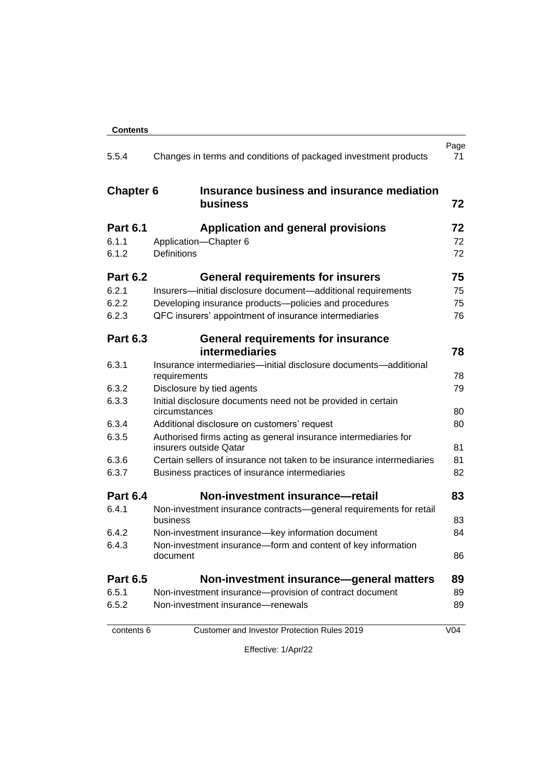| <b>Contents</b>  |                                                                                           |                 |
|------------------|-------------------------------------------------------------------------------------------|-----------------|
| 5.5.4            | Changes in terms and conditions of packaged investment products                           | Page<br>71      |
| <b>Chapter 6</b> | Insurance business and insurance mediation<br>business                                    | 72              |
| <b>Part 6.1</b>  | <b>Application and general provisions</b>                                                 | 72              |
| 6.1.1            | Application-Chapter 6                                                                     | 72              |
| 6.1.2            | <b>Definitions</b>                                                                        | 72              |
| <b>Part 6.2</b>  | <b>General requirements for insurers</b>                                                  | 75              |
| 6.2.1            | Insurers-initial disclosure document-additional requirements                              | 75              |
| 6.2.2            | Developing insurance products-policies and procedures                                     | 75              |
| 6.2.3            | QFC insurers' appointment of insurance intermediaries                                     | 76              |
| <b>Part 6.3</b>  | <b>General requirements for insurance</b>                                                 |                 |
|                  | intermediaries                                                                            | 78              |
| 6.3.1            | Insurance intermediaries-initial disclosure documents-additional<br>requirements          | 78              |
| 6.3.2            | Disclosure by tied agents                                                                 | 79              |
| 6.3.3            | Initial disclosure documents need not be provided in certain<br>circumstances             | 80              |
| 6.3.4            | Additional disclosure on customers' request                                               | 80              |
| 6.3.5            | Authorised firms acting as general insurance intermediaries for<br>insurers outside Qatar | 81              |
| 6.3.6            | Certain sellers of insurance not taken to be insurance intermediaries                     | 81              |
| 6.3.7            | Business practices of insurance intermediaries                                            | 82              |
| <b>Part 6.4</b>  | Non-investment insurance-retail                                                           | 83              |
| 6.4.1            | Non-investment insurance contracts-general requirements for retail<br>business            | 83              |
| 6.4.2            | Non-investment insurance-key information document                                         | 84              |
| 6.4.3            | Non-investment insurance-form and content of key information<br>document                  | 86              |
| <b>Part 6.5</b>  | Non-investment insurance-general matters                                                  | 89              |
| 6.5.1            | Non-investment insurance-provision of contract document                                   | 89              |
| 6.5.2            | Non-investment insurance-renewals                                                         | 89              |
| contents 6       | Customer and Investor Protection Rules 2019                                               | V <sub>04</sub> |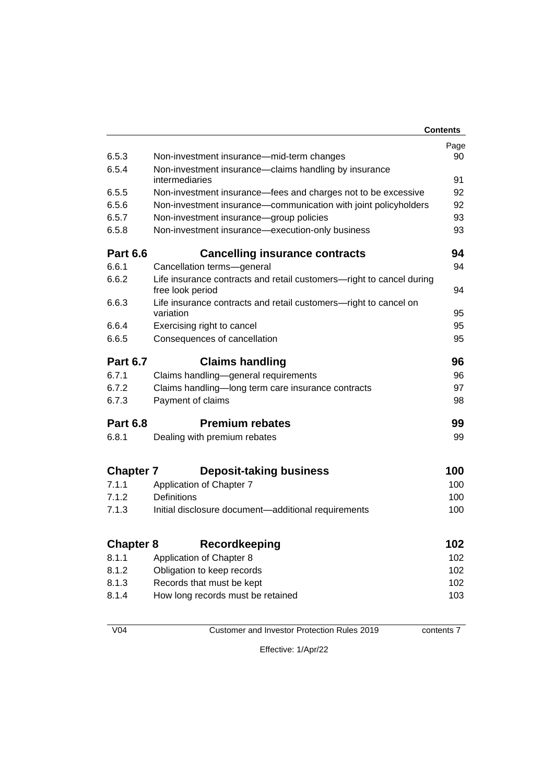|                  |                                                                                          | <b>Contents</b> |
|------------------|------------------------------------------------------------------------------------------|-----------------|
|                  |                                                                                          | Page            |
| 6.5.3            | Non-investment insurance—mid-term changes                                                | 90              |
| 6.5.4            | Non-investment insurance—claims handling by insurance                                    |                 |
|                  | intermediaries                                                                           | 91              |
| 6.5.5            | Non-investment insurance-fees and charges not to be excessive                            | 92              |
| 6.5.6            | Non-investment insurance-communication with joint policyholders                          | 92              |
| 6.5.7            | Non-investment insurance-group policies                                                  | 93              |
| 6.5.8            | Non-investment insurance—execution-only business                                         | 93              |
| <b>Part 6.6</b>  | <b>Cancelling insurance contracts</b>                                                    | 94              |
| 6.6.1            | Cancellation terms-general                                                               | 94              |
| 6.6.2            | Life insurance contracts and retail customers-right to cancel during<br>free look period | 94              |
| 6.6.3            | Life insurance contracts and retail customers—right to cancel on<br>variation            | 95              |
| 6.6.4            | Exercising right to cancel                                                               | 95              |
| 6.6.5            | Consequences of cancellation                                                             |                 |
| <b>Part 6.7</b>  | <b>Claims handling</b>                                                                   | 96              |
| 6.7.1            | Claims handling-general requirements                                                     | 96              |
| 6.7.2            | Claims handling-long term care insurance contracts                                       |                 |
| 6.7.3            | Payment of claims                                                                        | 98              |
| <b>Part 6.8</b>  | <b>Premium rebates</b>                                                                   | 99              |
| 6.8.1            | Dealing with premium rebates                                                             | 99              |
| <b>Chapter 7</b> | <b>Deposit-taking business</b>                                                           | 100             |
| 7.1.1            | Application of Chapter 7                                                                 | 100             |
| 7.1.2            | <b>Definitions</b>                                                                       | 100             |
| 7.1.3            | Initial disclosure document—additional requirements                                      |                 |
| <b>Chapter 8</b> | <b>Recordkeeping</b>                                                                     | 102             |
| 8.1.1            | Application of Chapter 8                                                                 | 102             |
| 8.1.2            | Obligation to keep records                                                               | 102             |
| 8.1.3            | Records that must be kept                                                                | 102             |
| 8.1.4            | How long records must be retained                                                        | 103             |
|                  |                                                                                          |                 |

V04 Customer and Investor Protection Rules 2019 contents 7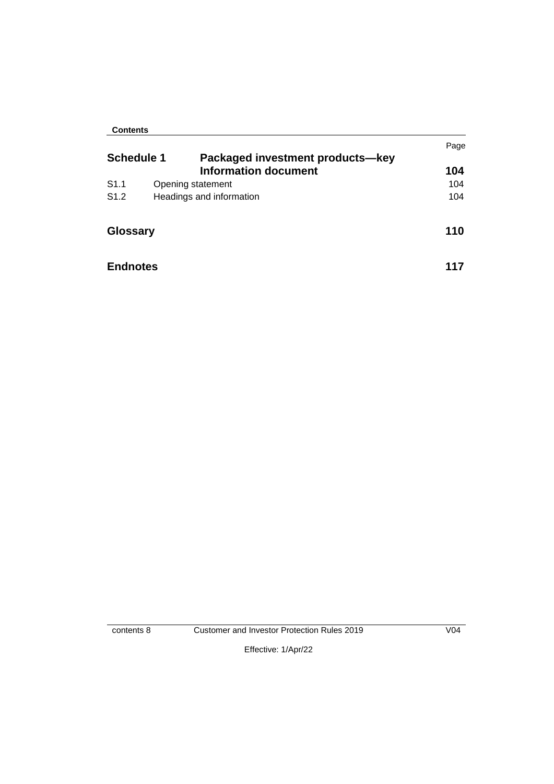#### **Contents**

|                   |                                                                 | Page |
|-------------------|-----------------------------------------------------------------|------|
| <b>Schedule 1</b> | Packaged investment products-key<br><b>Information document</b> | 104  |
| S1.1              | Opening statement                                               | 104  |
| S <sub>1.2</sub>  | Headings and information                                        | 104  |
| <b>Glossary</b>   |                                                                 | 110  |
| <b>Endnotes</b>   |                                                                 | 117  |

contents 8 Customer and Investor Protection Rules 2019 V04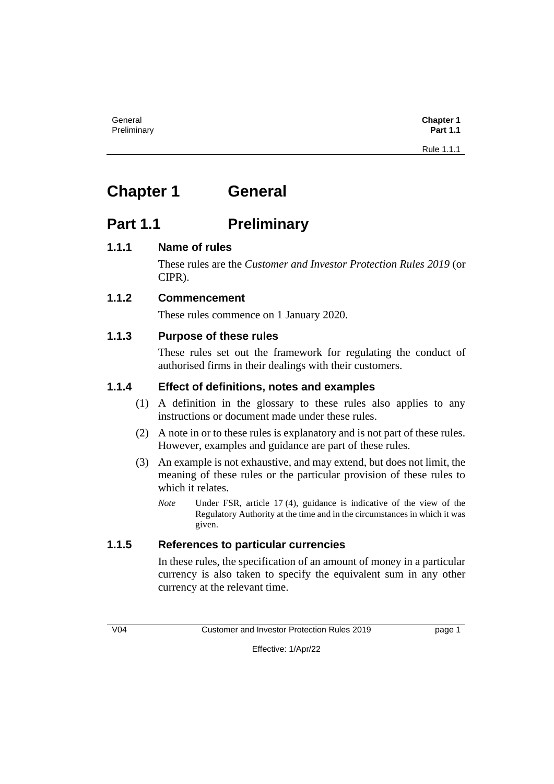# **Chapter 1 General**

# **Part 1.1 Preliminary**

# **1.1.1 Name of rules**

These rules are the *Customer and Investor Protection Rules 2019* (or CIPR).

# **1.1.2 Commencement**

These rules commence on 1 January 2020.

# **1.1.3 Purpose of these rules**

These rules set out the framework for regulating the conduct of authorised firms in their dealings with their customers.

# **1.1.4 Effect of definitions, notes and examples**

- (1) A definition in the glossary to these rules also applies to any instructions or document made under these rules.
- (2) A note in or to these rules is explanatory and is not part of these rules. However, examples and guidance are part of these rules.
- (3) An example is not exhaustive, and may extend, but does not limit, the meaning of these rules or the particular provision of these rules to which it relates.
	- *Note* Under FSR, article 17 (4), guidance is indicative of the view of the Regulatory Authority at the time and in the circumstances in which it was given.

# **1.1.5 References to particular currencies**

In these rules, the specification of an amount of money in a particular currency is also taken to specify the equivalent sum in any other currency at the relevant time.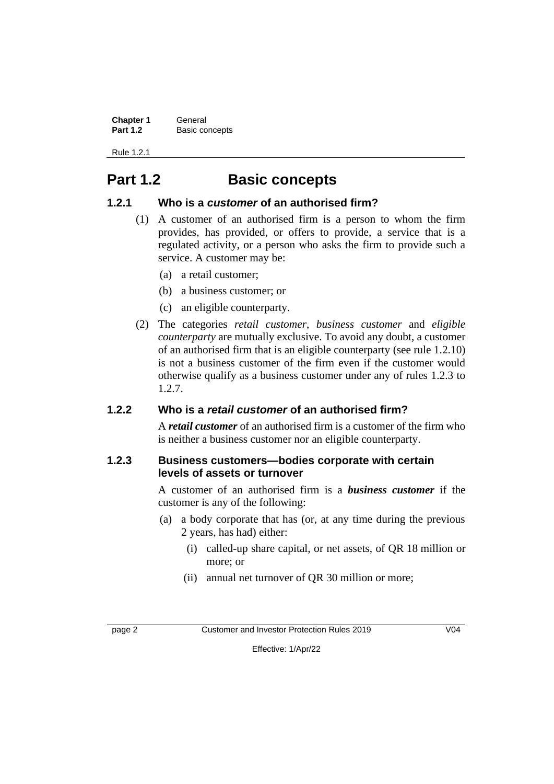| <b>Chapter 1</b> | General        |
|------------------|----------------|
| <b>Part 1.2</b>  | Basic concepts |

Rule 1.2.1

# **Part 1.2 Basic concepts**

#### **1.2.1 Who is a** *customer* **of an authorised firm?**

- (1) A customer of an authorised firm is a person to whom the firm provides, has provided, or offers to provide, a service that is a regulated activity, or a person who asks the firm to provide such a service. A customer may be:
	- (a) a retail customer;
	- (b) a business customer; or
	- (c) an eligible counterparty.
- (2) The categories *retail customer*, *business customer* and *eligible counterparty* are mutually exclusive. To avoid any doubt, a customer of an authorised firm that is an eligible counterparty (see rule 1.2.10) is not a business customer of the firm even if the customer would otherwise qualify as a business customer under any of rules 1.2.3 to 1.2.7.

#### **1.2.2 Who is a** *retail customer* **of an authorised firm?**

A *retail customer* of an authorised firm is a customer of the firm who is neither a business customer nor an eligible counterparty.

#### **1.2.3 Business customers—bodies corporate with certain levels of assets or turnover**

A customer of an authorised firm is a *business customer* if the customer is any of the following:

- (a) a body corporate that has (or, at any time during the previous 2 years, has had) either:
	- (i) called-up share capital, or net assets, of QR 18 million or more; or
	- (ii) annual net turnover of QR 30 million or more;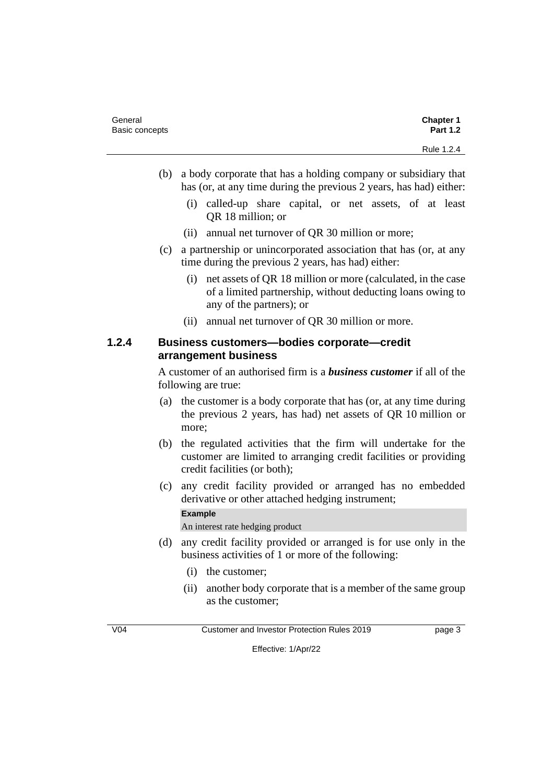| General        | <b>Chapter 1</b> |
|----------------|------------------|
| Basic concepts | <b>Part 1.2</b>  |
|                | Rule 1.2.4       |

- (b) a body corporate that has a holding company or subsidiary that has (or, at any time during the previous 2 years, has had) either:
	- (i) called-up share capital, or net assets, of at least QR 18 million; or
	- (ii) annual net turnover of QR 30 million or more;
- (c) a partnership or unincorporated association that has (or, at any time during the previous 2 years, has had) either:
	- (i) net assets of QR 18 million or more (calculated, in the case of a limited partnership, without deducting loans owing to any of the partners); or
	- (ii) annual net turnover of QR 30 million or more.

#### **1.2.4 Business customers—bodies corporate—credit arrangement business**

A customer of an authorised firm is a *business customer* if all of the following are true:

- (a) the customer is a body corporate that has (or, at any time during the previous 2 years, has had) net assets of QR 10 million or more;
- (b) the regulated activities that the firm will undertake for the customer are limited to arranging credit facilities or providing credit facilities (or both);
- (c) any credit facility provided or arranged has no embedded derivative or other attached hedging instrument;

#### **Example**

An interest rate hedging product

- (d) any credit facility provided or arranged is for use only in the business activities of 1 or more of the following:
	- (i) the customer;
	- (ii) another body corporate that is a member of the same group as the customer;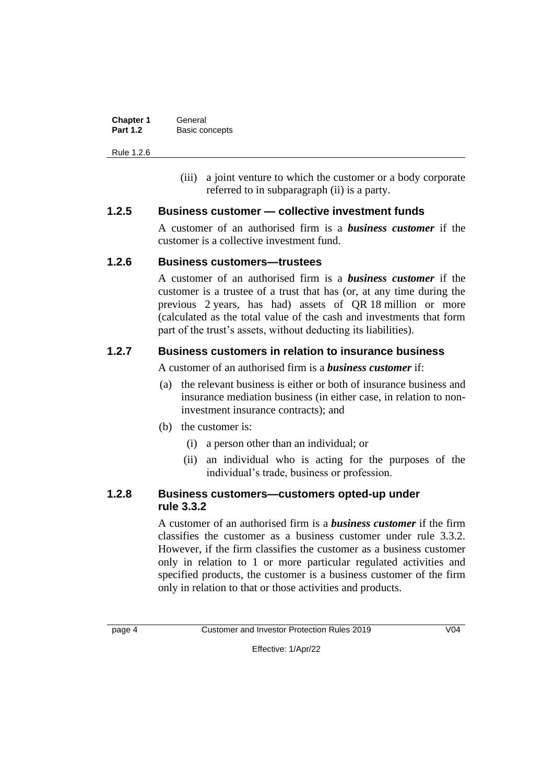| <b>Chapter 1</b> | General        |
|------------------|----------------|
| <b>Part 1.2</b>  | Basic concepts |

Rule 1.2.6

(iii) a joint venture to which the customer or a body corporate referred to in subparagraph (ii) is a party.

#### **1.2.5 Business customer — collective investment funds**

A customer of an authorised firm is a *business customer* if the customer is a collective investment fund.

#### **1.2.6 Business customers—trustees**

A customer of an authorised firm is a *business customer* if the customer is a trustee of a trust that has (or, at any time during the previous 2 years, has had) assets of QR 18 million or more (calculated as the total value of the cash and investments that form part of the trust's assets, without deducting its liabilities).

### **1.2.7 Business customers in relation to insurance business**

A customer of an authorised firm is a *business customer* if:

- (a) the relevant business is either or both of insurance business and insurance mediation business (in either case, in relation to noninvestment insurance contracts); and
- (b) the customer is:
	- (i) a person other than an individual; or
	- (ii) an individual who is acting for the purposes of the individual's trade, business or profession.

#### **1.2.8 Business customers—customers opted-up under rule 3.3.2**

A customer of an authorised firm is a *business customer* if the firm classifies the customer as a business customer under rule 3.3.2. However, if the firm classifies the customer as a business customer only in relation to 1 or more particular regulated activities and specified products, the customer is a business customer of the firm only in relation to that or those activities and products.

page 4 Customer and Investor Protection Rules 2019 V04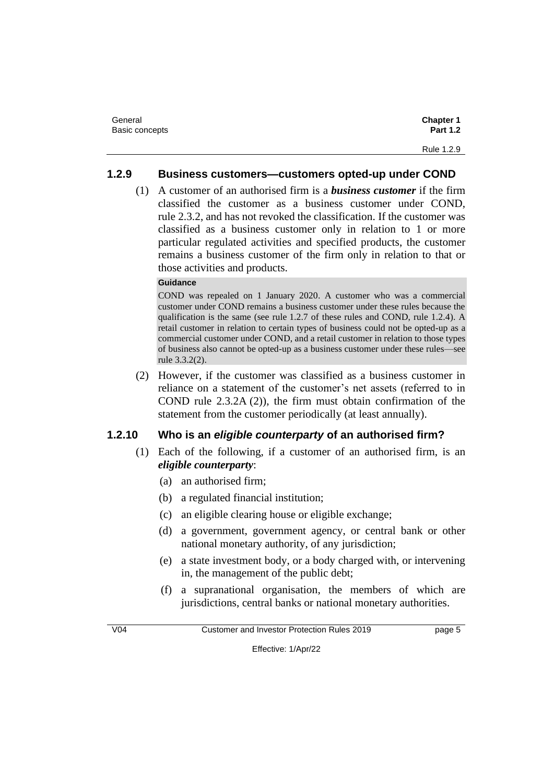| General        | <b>Chapter 1</b> |
|----------------|------------------|
| Basic concepts | <b>Part 1.2</b>  |
|                | Rule 1.2.9       |

#### **1.2.9 Business customers—customers opted-up under COND**

(1) A customer of an authorised firm is a *business customer* if the firm classified the customer as a business customer under COND, rule 2.3.2, and has not revoked the classification. If the customer was classified as a business customer only in relation to 1 or more particular regulated activities and specified products, the customer remains a business customer of the firm only in relation to that or those activities and products.

#### **Guidance**

COND was repealed on 1 January 2020. A customer who was a commercial customer under COND remains a business customer under these rules because the qualification is the same (see rule 1.2.7 of these rules and COND, rule 1.2.4). A retail customer in relation to certain types of business could not be opted-up as a commercial customer under COND, and a retail customer in relation to those types of business also cannot be opted-up as a business customer under these rules—see rule 3.3.2(2).

(2) However, if the customer was classified as a business customer in reliance on a statement of the customer's net assets (referred to in COND rule 2.3.2A (2)), the firm must obtain confirmation of the statement from the customer periodically (at least annually).

#### **1.2.10 Who is an** *eligible counterparty* **of an authorised firm?**

- (1) Each of the following, if a customer of an authorised firm, is an *eligible counterparty*:
	- (a) an authorised firm;
	- (b) a regulated financial institution;
	- (c) an eligible clearing house or eligible exchange;
	- (d) a government, government agency, or central bank or other national monetary authority, of any jurisdiction;
	- (e) a state investment body, or a body charged with, or intervening in, the management of the public debt;
	- (f) a supranational organisation, the members of which are jurisdictions, central banks or national monetary authorities.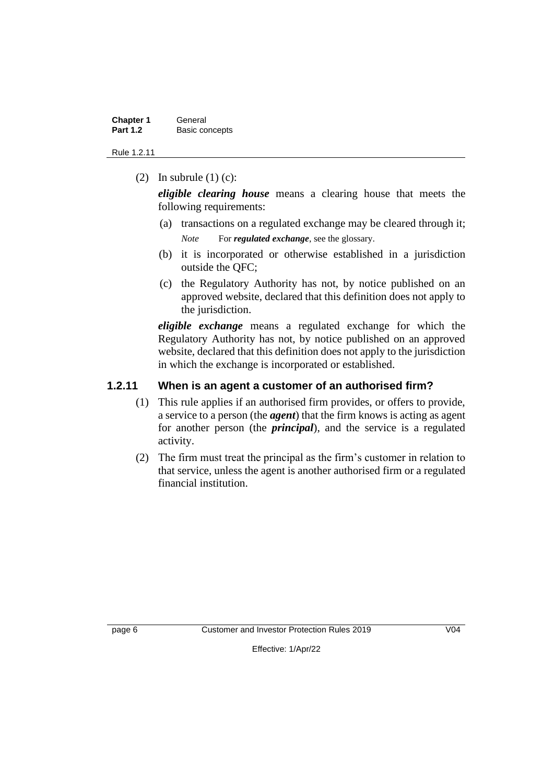| <b>Chapter 1</b> | General        |
|------------------|----------------|
| <b>Part 1.2</b>  | Basic concepts |

Rule 1.2.11

(2) In subrule  $(1)$  (c):

*eligible clearing house* means a clearing house that meets the following requirements:

- (a) transactions on a regulated exchange may be cleared through it; *Note* For *regulated exchange*, see the glossary.
- (b) it is incorporated or otherwise established in a jurisdiction outside the QFC;
- (c) the Regulatory Authority has not, by notice published on an approved website, declared that this definition does not apply to the jurisdiction.

*eligible exchange* means a regulated exchange for which the Regulatory Authority has not, by notice published on an approved website, declared that this definition does not apply to the jurisdiction in which the exchange is incorporated or established.

#### **1.2.11 When is an agent a customer of an authorised firm?**

- (1) This rule applies if an authorised firm provides, or offers to provide, a service to a person (the *agent*) that the firm knows is acting as agent for another person (the *principal*), and the service is a regulated activity.
- (2) The firm must treat the principal as the firm's customer in relation to that service, unless the agent is another authorised firm or a regulated financial institution.

page 6 Customer and Investor Protection Rules 2019 V04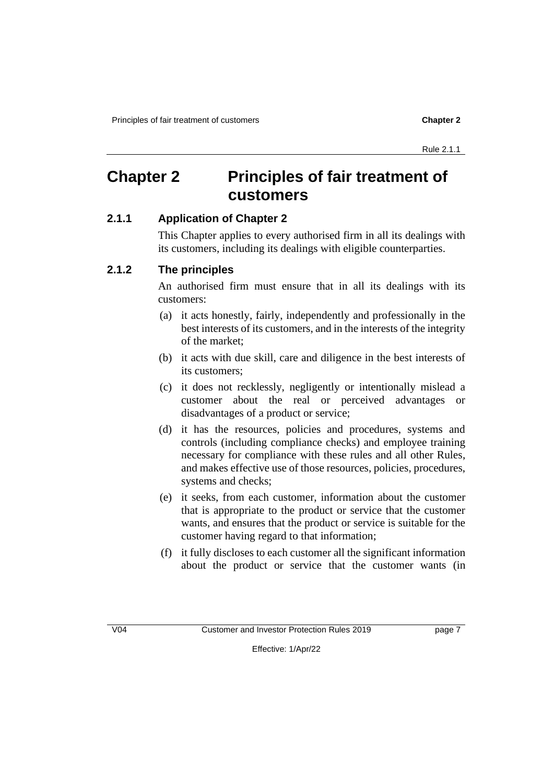# **Chapter 2 Principles of fair treatment of customers**

### **2.1.1 Application of Chapter 2**

This Chapter applies to every authorised firm in all its dealings with its customers, including its dealings with eligible counterparties.

#### **2.1.2 The principles**

An authorised firm must ensure that in all its dealings with its customers:

- (a) it acts honestly, fairly, independently and professionally in the best interests of its customers, and in the interests of the integrity of the market;
- (b) it acts with due skill, care and diligence in the best interests of its customers;
- (c) it does not recklessly, negligently or intentionally mislead a customer about the real or perceived advantages or disadvantages of a product or service;
- (d) it has the resources, policies and procedures, systems and controls (including compliance checks) and employee training necessary for compliance with these rules and all other Rules, and makes effective use of those resources, policies, procedures, systems and checks;
- (e) it seeks, from each customer, information about the customer that is appropriate to the product or service that the customer wants, and ensures that the product or service is suitable for the customer having regard to that information;
- (f) it fully discloses to each customer all the significant information about the product or service that the customer wants (in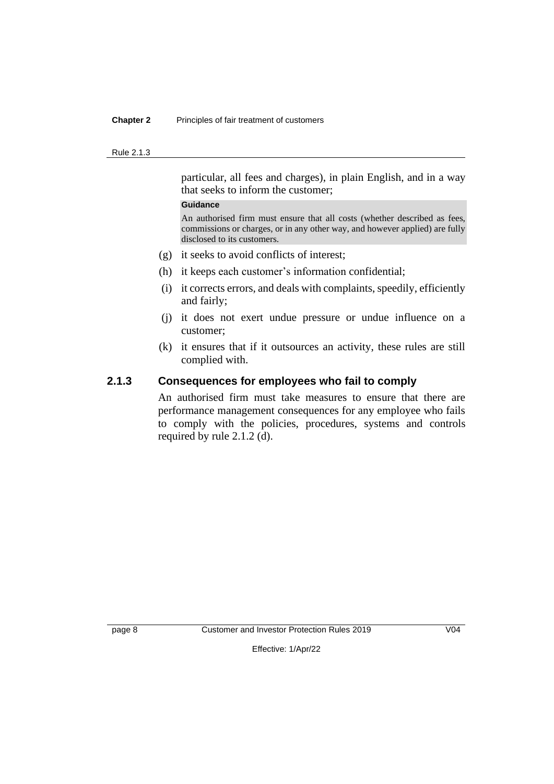#### **Chapter 2** Principles of fair treatment of customers

#### Rule 2.1.3

particular, all fees and charges), in plain English, and in a way that seeks to inform the customer;

#### **Guidance**

An authorised firm must ensure that all costs (whether described as fees, commissions or charges, or in any other way, and however applied) are fully disclosed to its customers.

- (g) it seeks to avoid conflicts of interest;
- (h) it keeps each customer's information confidential;
- (i) it corrects errors, and deals with complaints, speedily, efficiently and fairly;
- (j) it does not exert undue pressure or undue influence on a customer;
- (k) it ensures that if it outsources an activity, these rules are still complied with.

#### **2.1.3 Consequences for employees who fail to comply**

An authorised firm must take measures to ensure that there are performance management consequences for any employee who fails to comply with the policies, procedures, systems and controls required by rule 2.1.2 (d).

page 8 Customer and Investor Protection Rules 2019 V04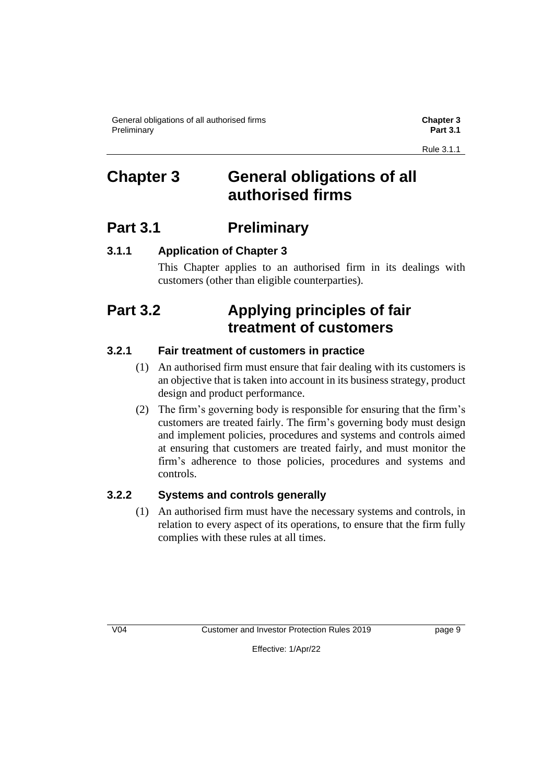General obligations of all authorised firms **Chapter 3 Preliminary Part 3.1** 

# **Chapter 3 General obligations of all authorised firms**

# **Part 3.1 Preliminary**

### **3.1.1 Application of Chapter 3**

This Chapter applies to an authorised firm in its dealings with customers (other than eligible counterparties).

# **Part 3.2 Applying principles of fair treatment of customers**

### **3.2.1 Fair treatment of customers in practice**

- (1) An authorised firm must ensure that fair dealing with its customers is an objective that is taken into account in its business strategy, product design and product performance.
- (2) The firm's governing body is responsible for ensuring that the firm's customers are treated fairly. The firm's governing body must design and implement policies, procedures and systems and controls aimed at ensuring that customers are treated fairly, and must monitor the firm's adherence to those policies, procedures and systems and controls.

### **3.2.2 Systems and controls generally**

(1) An authorised firm must have the necessary systems and controls, in relation to every aspect of its operations, to ensure that the firm fully complies with these rules at all times.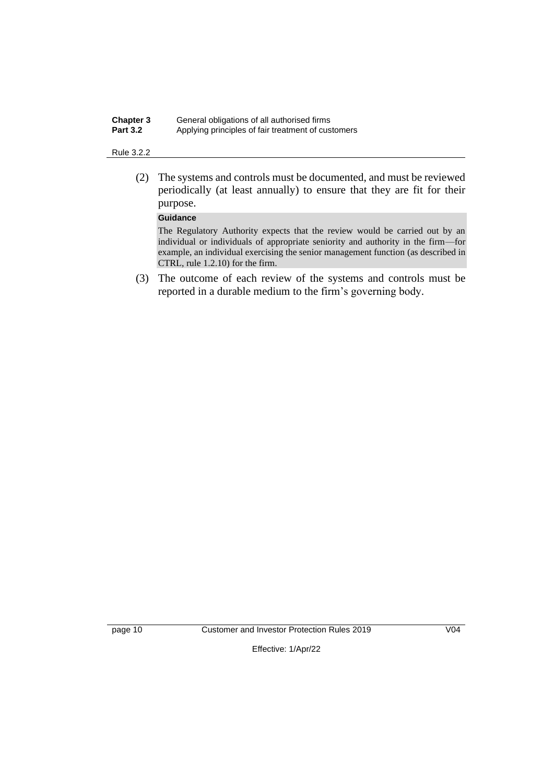| <b>Chapter 3</b> | General obligations of all authorised firms        |
|------------------|----------------------------------------------------|
| <b>Part 3.2</b>  | Applying principles of fair treatment of customers |

#### Rule 3.2.2

(2) The systems and controls must be documented, and must be reviewed periodically (at least annually) to ensure that they are fit for their purpose.

#### **Guidance**

The Regulatory Authority expects that the review would be carried out by an individual or individuals of appropriate seniority and authority in the firm—for example, an individual exercising the senior management function (as described in CTRL, rule 1.2.10) for the firm.

(3) The outcome of each review of the systems and controls must be reported in a durable medium to the firm's governing body.

page 10 Customer and Investor Protection Rules 2019 V04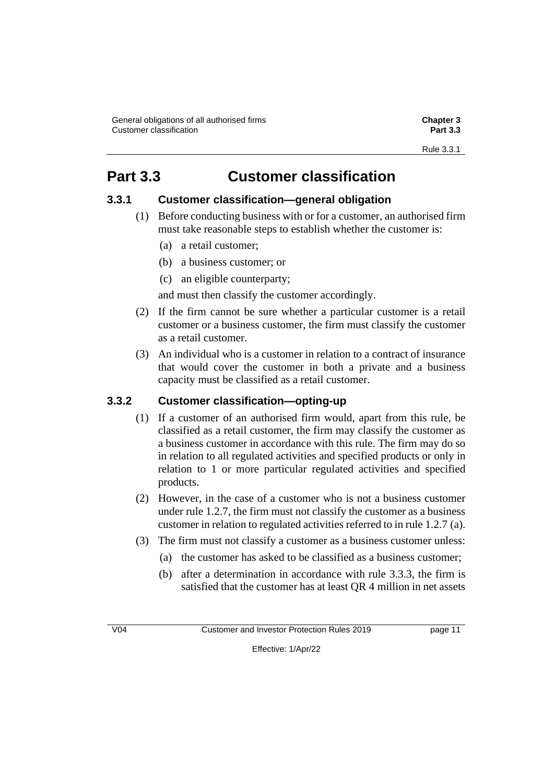# **Part 3.3 Customer classification**

### **3.3.1 Customer classification—general obligation**

- (1) Before conducting business with or for a customer, an authorised firm must take reasonable steps to establish whether the customer is:
	- (a) a retail customer;
	- (b) a business customer; or
	- (c) an eligible counterparty;

and must then classify the customer accordingly.

- (2) If the firm cannot be sure whether a particular customer is a retail customer or a business customer, the firm must classify the customer as a retail customer.
- (3) An individual who is a customer in relation to a contract of insurance that would cover the customer in both a private and a business capacity must be classified as a retail customer.

### **3.3.2 Customer classification—opting-up**

- (1) If a customer of an authorised firm would, apart from this rule, be classified as a retail customer, the firm may classify the customer as a business customer in accordance with this rule. The firm may do so in relation to all regulated activities and specified products or only in relation to 1 or more particular regulated activities and specified products.
- (2) However, in the case of a customer who is not a business customer under rule 1.2.7, the firm must not classify the customer as a business customer in relation to regulated activities referred to in rule 1.2.7 (a).
- (3) The firm must not classify a customer as a business customer unless:
	- (a) the customer has asked to be classified as a business customer;
	- (b) after a determination in accordance with rule 3.3.3, the firm is satisfied that the customer has at least QR 4 million in net assets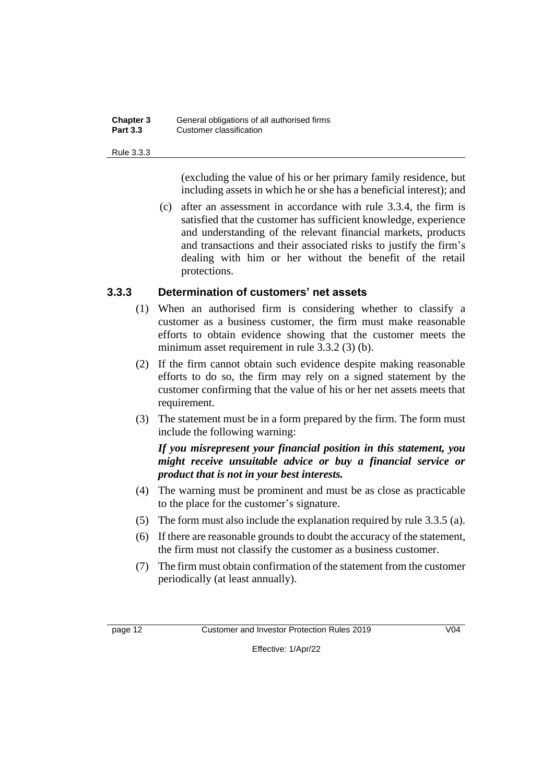#### **Chapter 3** General obligations of all authorised firms **Part 3.3** Customer classification

#### Rule 3.3.3

(excluding the value of his or her primary family residence, but including assets in which he or she has a beneficial interest); and

(c) after an assessment in accordance with rule 3.3.4, the firm is satisfied that the customer has sufficient knowledge, experience and understanding of the relevant financial markets, products and transactions and their associated risks to justify the firm's dealing with him or her without the benefit of the retail protections.

#### **3.3.3 Determination of customers' net assets**

- (1) When an authorised firm is considering whether to classify a customer as a business customer, the firm must make reasonable efforts to obtain evidence showing that the customer meets the minimum asset requirement in rule 3.3.2 (3) (b).
- (2) If the firm cannot obtain such evidence despite making reasonable efforts to do so, the firm may rely on a signed statement by the customer confirming that the value of his or her net assets meets that requirement.
- (3) The statement must be in a form prepared by the firm. The form must include the following warning:

#### *If you misrepresent your financial position in this statement, you might receive unsuitable advice or buy a financial service or product that is not in your best interests.*

- (4) The warning must be prominent and must be as close as practicable to the place for the customer's signature.
- (5) The form must also include the explanation required by rule 3.3.5 (a).
- (6) If there are reasonable grounds to doubt the accuracy of the statement, the firm must not classify the customer as a business customer.
- (7) The firm must obtain confirmation of the statement from the customer periodically (at least annually).

page 12 Customer and Investor Protection Rules 2019 V04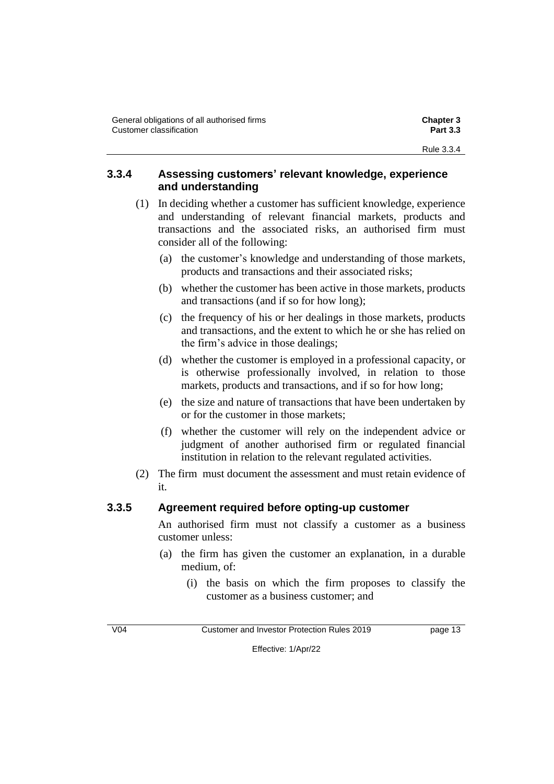### **3.3.4 Assessing customers' relevant knowledge, experience and understanding**

- (1) In deciding whether a customer has sufficient knowledge, experience and understanding of relevant financial markets, products and transactions and the associated risks, an authorised firm must consider all of the following:
	- (a) the customer's knowledge and understanding of those markets, products and transactions and their associated risks;
	- (b) whether the customer has been active in those markets, products and transactions (and if so for how long);
	- (c) the frequency of his or her dealings in those markets, products and transactions, and the extent to which he or she has relied on the firm's advice in those dealings;
	- (d) whether the customer is employed in a professional capacity, or is otherwise professionally involved, in relation to those markets, products and transactions, and if so for how long;
	- (e) the size and nature of transactions that have been undertaken by or for the customer in those markets;
	- (f) whether the customer will rely on the independent advice or judgment of another authorised firm or regulated financial institution in relation to the relevant regulated activities.
- (2) The firm must document the assessment and must retain evidence of it.

# **3.3.5 Agreement required before opting-up customer**

An authorised firm must not classify a customer as a business customer unless:

- (a) the firm has given the customer an explanation, in a durable medium, of:
	- (i) the basis on which the firm proposes to classify the customer as a business customer; and

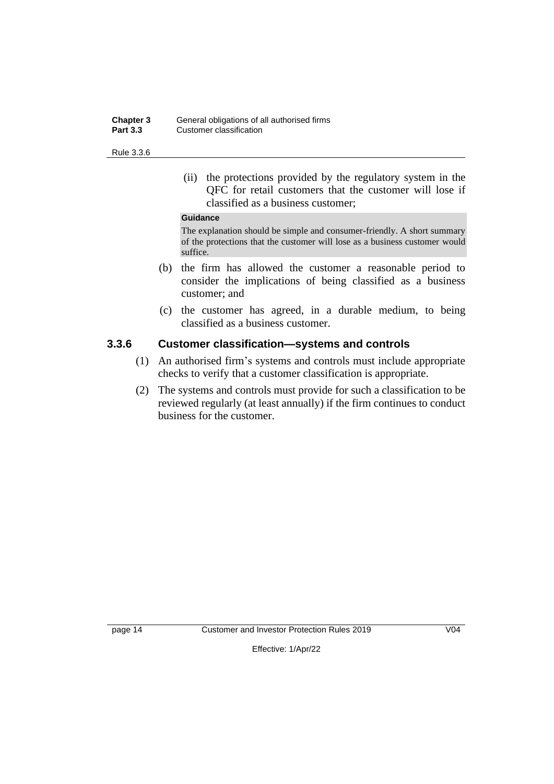| <b>Chapter 3</b> | General obligations of all authorised firms |
|------------------|---------------------------------------------|
| <b>Part 3.3</b>  | Customer classification                     |

Rule 3.3.6

(ii) the protections provided by the regulatory system in the QFC for retail customers that the customer will lose if classified as a business customer;

#### **Guidance**

The explanation should be simple and consumer-friendly. A short summary of the protections that the customer will lose as a business customer would suffice.

- (b) the firm has allowed the customer a reasonable period to consider the implications of being classified as a business customer; and
- (c) the customer has agreed, in a durable medium, to being classified as a business customer.

#### **3.3.6 Customer classification—systems and controls**

- (1) An authorised firm's systems and controls must include appropriate checks to verify that a customer classification is appropriate.
- (2) The systems and controls must provide for such a classification to be reviewed regularly (at least annually) if the firm continues to conduct business for the customer.

page 14 Customer and Investor Protection Rules 2019 V04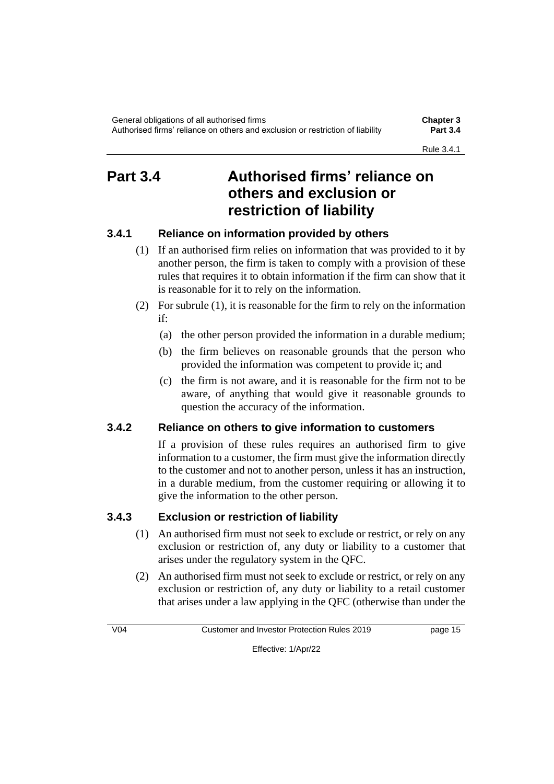# **Part 3.4 Authorised firms' reliance on others and exclusion or restriction of liability**

### **3.4.1 Reliance on information provided by others**

- (1) If an authorised firm relies on information that was provided to it by another person, the firm is taken to comply with a provision of these rules that requires it to obtain information if the firm can show that it is reasonable for it to rely on the information.
- (2) For subrule (1), it is reasonable for the firm to rely on the information if:
	- (a) the other person provided the information in a durable medium;
	- (b) the firm believes on reasonable grounds that the person who provided the information was competent to provide it; and
	- (c) the firm is not aware, and it is reasonable for the firm not to be aware, of anything that would give it reasonable grounds to question the accuracy of the information.

### **3.4.2 Reliance on others to give information to customers**

If a provision of these rules requires an authorised firm to give information to a customer, the firm must give the information directly to the customer and not to another person, unless it has an instruction, in a durable medium, from the customer requiring or allowing it to give the information to the other person.

### **3.4.3 Exclusion or restriction of liability**

- (1) An authorised firm must not seek to exclude or restrict, or rely on any exclusion or restriction of, any duty or liability to a customer that arises under the regulatory system in the QFC.
- (2) An authorised firm must not seek to exclude or restrict, or rely on any exclusion or restriction of, any duty or liability to a retail customer that arises under a law applying in the QFC (otherwise than under the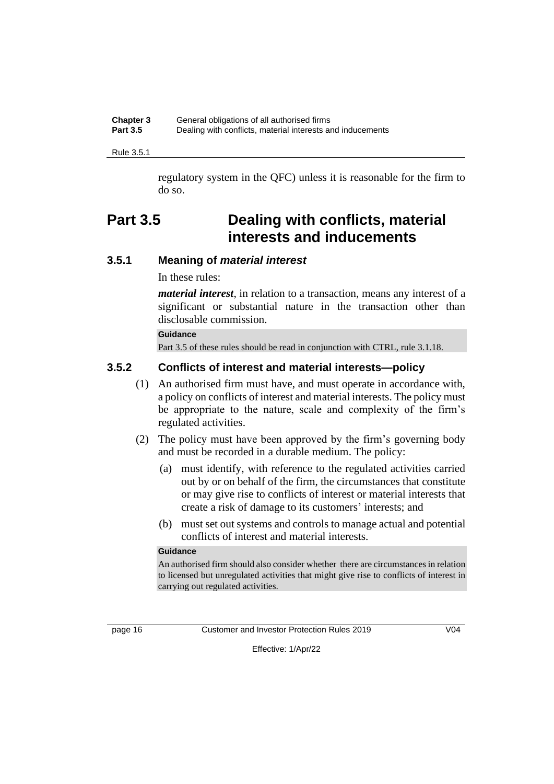| <b>Chapter 3</b> | General obligations of all authorised firms                |
|------------------|------------------------------------------------------------|
| <b>Part 3.5</b>  | Dealing with conflicts, material interests and inducements |

Rule 3.5.1

regulatory system in the QFC) unless it is reasonable for the firm to do so.

# **Part 3.5 Dealing with conflicts, material interests and inducements**

#### **3.5.1 Meaning of** *material interest*

In these rules:

*material interest*, in relation to a transaction, means any interest of a significant or substantial nature in the transaction other than disclosable commission.

#### **Guidance**

Part 3.5 of these rules should be read in conjunction with CTRL, rule 3.1.18.

#### **3.5.2 Conflicts of interest and material interests—policy**

- (1) An authorised firm must have, and must operate in accordance with, a policy on conflicts of interest and material interests. The policy must be appropriate to the nature, scale and complexity of the firm's regulated activities.
- (2) The policy must have been approved by the firm's governing body and must be recorded in a durable medium. The policy:
	- (a) must identify, with reference to the regulated activities carried out by or on behalf of the firm, the circumstances that constitute or may give rise to conflicts of interest or material interests that create a risk of damage to its customers' interests; and
	- (b) must set out systems and controls to manage actual and potential conflicts of interest and material interests.

#### **Guidance**

An authorised firm should also consider whether there are circumstances in relation to licensed but unregulated activities that might give rise to conflicts of interest in carrying out regulated activities.

page 16 Customer and Investor Protection Rules 2019 V04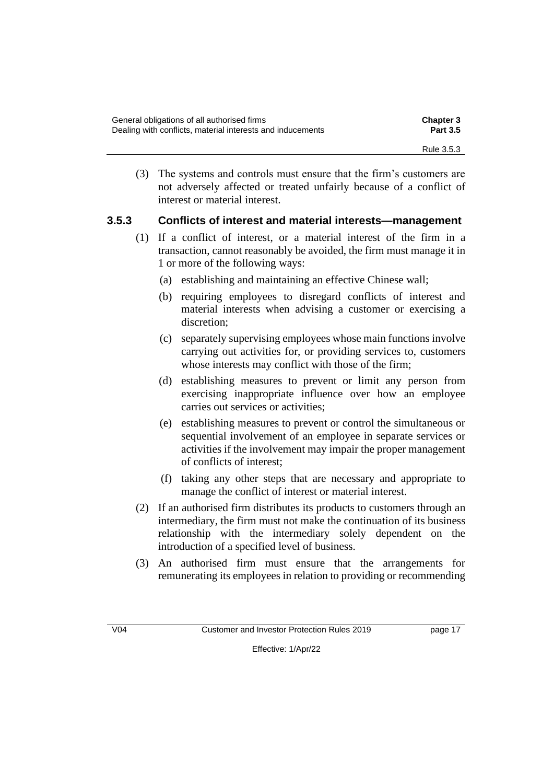| General obligations of all authorised firms                | <b>Chapter 3</b> |
|------------------------------------------------------------|------------------|
| Dealing with conflicts, material interests and inducements | <b>Part 3.5</b>  |
|                                                            | Rule 3.5.3       |

(3) The systems and controls must ensure that the firm's customers are not adversely affected or treated unfairly because of a conflict of interest or material interest.

#### **3.5.3 Conflicts of interest and material interests—management**

- (1) If a conflict of interest, or a material interest of the firm in a transaction, cannot reasonably be avoided, the firm must manage it in 1 or more of the following ways:
	- (a) establishing and maintaining an effective Chinese wall;
	- (b) requiring employees to disregard conflicts of interest and material interests when advising a customer or exercising a discretion;
	- (c) separately supervising employees whose main functions involve carrying out activities for, or providing services to, customers whose interests may conflict with those of the firm;
	- (d) establishing measures to prevent or limit any person from exercising inappropriate influence over how an employee carries out services or activities;
	- (e) establishing measures to prevent or control the simultaneous or sequential involvement of an employee in separate services or activities if the involvement may impair the proper management of conflicts of interest;
	- (f) taking any other steps that are necessary and appropriate to manage the conflict of interest or material interest.
- (2) If an authorised firm distributes its products to customers through an intermediary, the firm must not make the continuation of its business relationship with the intermediary solely dependent on the introduction of a specified level of business.
- (3) An authorised firm must ensure that the arrangements for remunerating its employees in relation to providing or recommending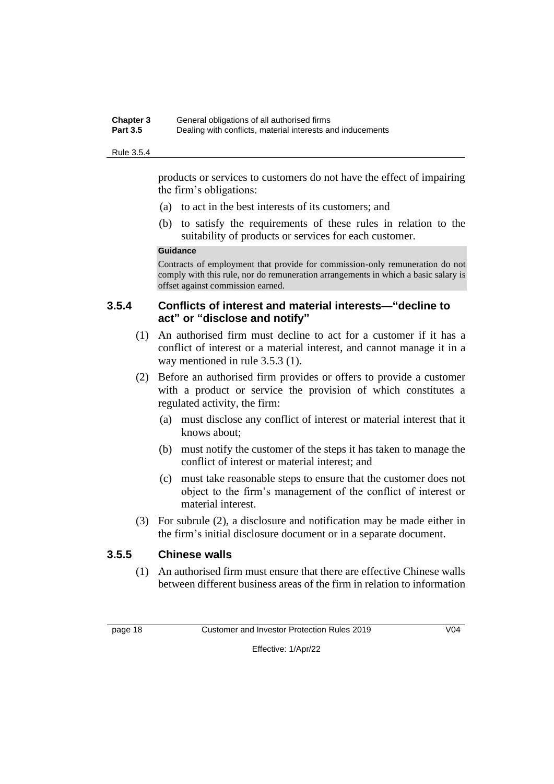#### **Chapter 3** General obligations of all authorised firms **Part 3.5** Dealing with conflicts, material interests and inducements

#### Rule 3.5.4

products or services to customers do not have the effect of impairing the firm's obligations:

- (a) to act in the best interests of its customers; and
- (b) to satisfy the requirements of these rules in relation to the suitability of products or services for each customer.

#### **Guidance**

Contracts of employment that provide for commission-only remuneration do not comply with this rule, nor do remuneration arrangements in which a basic salary is offset against commission earned.

#### **3.5.4 Conflicts of interest and material interests—"decline to act" or "disclose and notify"**

- (1) An authorised firm must decline to act for a customer if it has a conflict of interest or a material interest, and cannot manage it in a way mentioned in rule 3.5.3 (1).
- (2) Before an authorised firm provides or offers to provide a customer with a product or service the provision of which constitutes a regulated activity, the firm:
	- (a) must disclose any conflict of interest or material interest that it knows about;
	- (b) must notify the customer of the steps it has taken to manage the conflict of interest or material interest; and
	- (c) must take reasonable steps to ensure that the customer does not object to the firm's management of the conflict of interest or material interest.
- (3) For subrule (2), a disclosure and notification may be made either in the firm's initial disclosure document or in a separate document.

### **3.5.5 Chinese walls**

(1) An authorised firm must ensure that there are effective Chinese walls between different business areas of the firm in relation to information

page 18 Customer and Investor Protection Rules 2019 V04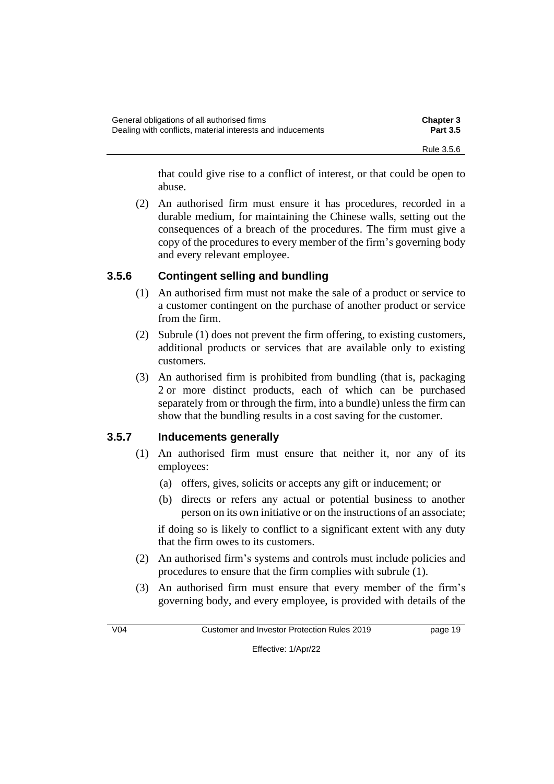| General obligations of all authorised firms                | <b>Chapter 3</b> |
|------------------------------------------------------------|------------------|
| Dealing with conflicts, material interests and inducements | <b>Part 3.5</b>  |
|                                                            | Rule 3.5.6       |

that could give rise to a conflict of interest, or that could be open to abuse.

(2) An authorised firm must ensure it has procedures, recorded in a durable medium, for maintaining the Chinese walls, setting out the consequences of a breach of the procedures. The firm must give a copy of the procedures to every member of the firm's governing body and every relevant employee.

### **3.5.6 Contingent selling and bundling**

- (1) An authorised firm must not make the sale of a product or service to a customer contingent on the purchase of another product or service from the firm.
- (2) Subrule (1) does not prevent the firm offering, to existing customers, additional products or services that are available only to existing customers.
- (3) An authorised firm is prohibited from bundling (that is, packaging 2 or more distinct products, each of which can be purchased separately from or through the firm, into a bundle) unless the firm can show that the bundling results in a cost saving for the customer.

### **3.5.7 Inducements generally**

- (1) An authorised firm must ensure that neither it, nor any of its employees:
	- (a) offers, gives, solicits or accepts any gift or inducement; or
	- (b) directs or refers any actual or potential business to another person on its own initiative or on the instructions of an associate;

if doing so is likely to conflict to a significant extent with any duty that the firm owes to its customers.

- (2) An authorised firm's systems and controls must include policies and procedures to ensure that the firm complies with subrule (1).
- (3) An authorised firm must ensure that every member of the firm's governing body, and every employee, is provided with details of the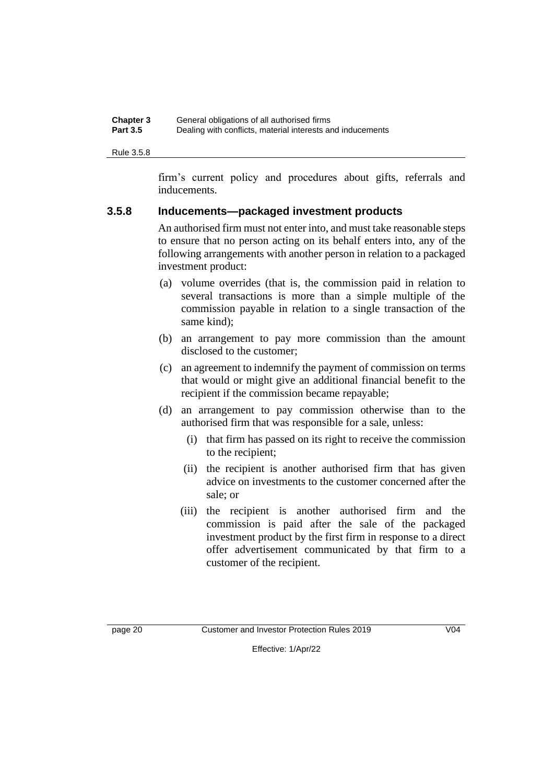| <b>Chapter 3</b> | General obligations of all authorised firms                |
|------------------|------------------------------------------------------------|
| <b>Part 3.5</b>  | Dealing with conflicts, material interests and inducements |

Rule 3.5.8

firm's current policy and procedures about gifts, referrals and inducements.

#### **3.5.8 Inducements—packaged investment products**

An authorised firm must not enter into, and must take reasonable steps to ensure that no person acting on its behalf enters into, any of the following arrangements with another person in relation to a packaged investment product:

- (a) volume overrides (that is, the commission paid in relation to several transactions is more than a simple multiple of the commission payable in relation to a single transaction of the same kind);
- (b) an arrangement to pay more commission than the amount disclosed to the customer;
- (c) an agreement to indemnify the payment of commission on terms that would or might give an additional financial benefit to the recipient if the commission became repayable;
- (d) an arrangement to pay commission otherwise than to the authorised firm that was responsible for a sale, unless:
	- (i) that firm has passed on its right to receive the commission to the recipient;
	- (ii) the recipient is another authorised firm that has given advice on investments to the customer concerned after the sale; or
	- (iii) the recipient is another authorised firm and the commission is paid after the sale of the packaged investment product by the first firm in response to a direct offer advertisement communicated by that firm to a customer of the recipient.

page 20 Customer and Investor Protection Rules 2019 V04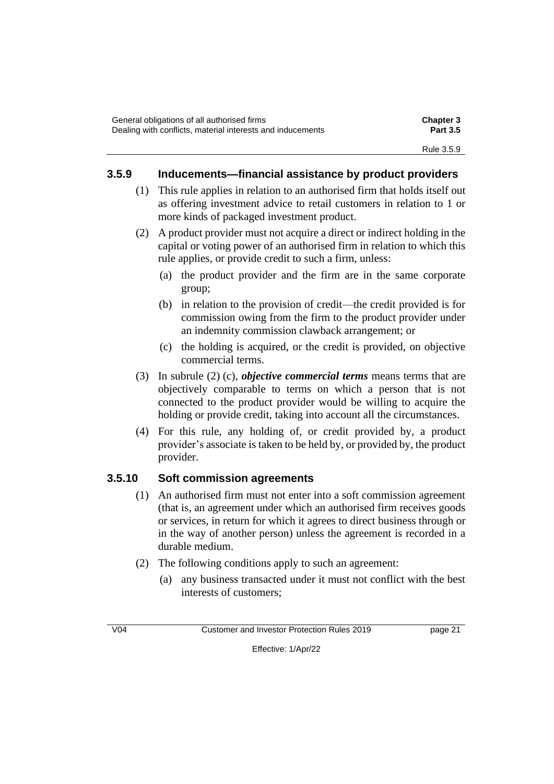### **3.5.9 Inducements—financial assistance by product providers**

- (1) This rule applies in relation to an authorised firm that holds itself out as offering investment advice to retail customers in relation to 1 or more kinds of packaged investment product.
- (2) A product provider must not acquire a direct or indirect holding in the capital or voting power of an authorised firm in relation to which this rule applies, or provide credit to such a firm, unless:
	- (a) the product provider and the firm are in the same corporate group;
	- (b) in relation to the provision of credit—the credit provided is for commission owing from the firm to the product provider under an indemnity commission clawback arrangement; or
	- (c) the holding is acquired, or the credit is provided, on objective commercial terms.
- (3) In subrule (2) (c), *objective commercial terms* means terms that are objectively comparable to terms on which a person that is not connected to the product provider would be willing to acquire the holding or provide credit, taking into account all the circumstances.
- (4) For this rule, any holding of, or credit provided by, a product provider's associate is taken to be held by, or provided by, the product provider.

### **3.5.10 Soft commission agreements**

- (1) An authorised firm must not enter into a soft commission agreement (that is, an agreement under which an authorised firm receives goods or services, in return for which it agrees to direct business through or in the way of another person) unless the agreement is recorded in a durable medium.
- (2) The following conditions apply to such an agreement:
	- (a) any business transacted under it must not conflict with the best interests of customers;

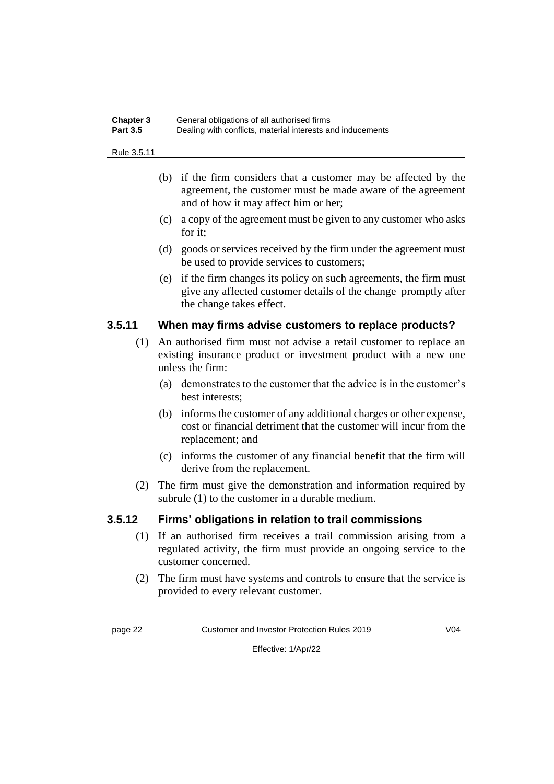| <b>Chapter 3</b> | General obligations of all authorised firms                |
|------------------|------------------------------------------------------------|
| <b>Part 3.5</b>  | Dealing with conflicts, material interests and inducements |

#### Rule 3.5.11

- (b) if the firm considers that a customer may be affected by the agreement, the customer must be made aware of the agreement and of how it may affect him or her;
- (c) a copy of the agreement must be given to any customer who asks for it;
- (d) goods or services received by the firm under the agreement must be used to provide services to customers;
- (e) if the firm changes its policy on such agreements, the firm must give any affected customer details of the change promptly after the change takes effect.

#### **3.5.11 When may firms advise customers to replace products?**

- (1) An authorised firm must not advise a retail customer to replace an existing insurance product or investment product with a new one unless the firm:
	- (a) demonstrates to the customer that the advice is in the customer's best interests;
	- (b) informs the customer of any additional charges or other expense, cost or financial detriment that the customer will incur from the replacement; and
	- (c) informs the customer of any financial benefit that the firm will derive from the replacement.
- (2) The firm must give the demonstration and information required by subrule (1) to the customer in a durable medium.

#### **3.5.12 Firms' obligations in relation to trail commissions**

- (1) If an authorised firm receives a trail commission arising from a regulated activity, the firm must provide an ongoing service to the customer concerned.
- (2) The firm must have systems and controls to ensure that the service is provided to every relevant customer.

page 22 Customer and Investor Protection Rules 2019 V04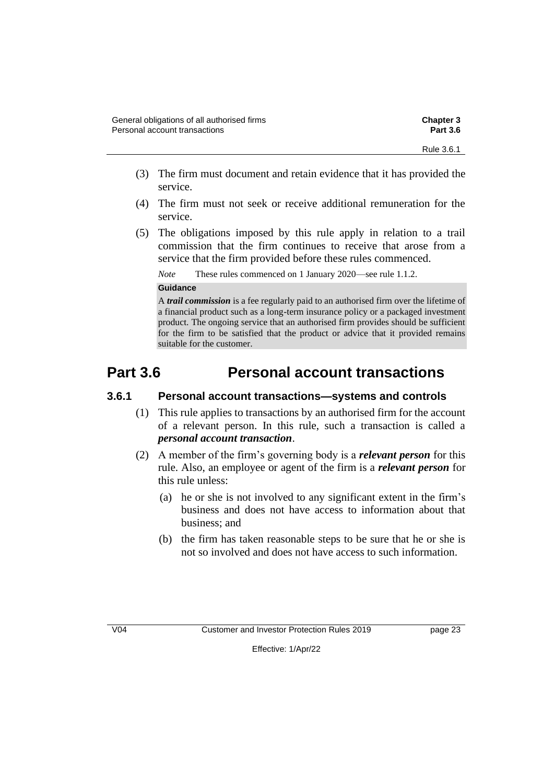- (3) The firm must document and retain evidence that it has provided the service.
- (4) The firm must not seek or receive additional remuneration for the service.
- (5) The obligations imposed by this rule apply in relation to a trail commission that the firm continues to receive that arose from a service that the firm provided before these rules commenced.

*Note* These rules commenced on 1 January 2020—see rule 1.1.2.

#### **Guidance**

A *trail commission* is a fee regularly paid to an authorised firm over the lifetime of a financial product such as a long-term insurance policy or a packaged investment product. The ongoing service that an authorised firm provides should be sufficient for the firm to be satisfied that the product or advice that it provided remains suitable for the customer.

# **Part 3.6 Personal account transactions**

#### **3.6.1 Personal account transactions—systems and controls**

- (1) This rule applies to transactions by an authorised firm for the account of a relevant person. In this rule, such a transaction is called a *personal account transaction*.
- (2) A member of the firm's governing body is a *relevant person* for this rule. Also, an employee or agent of the firm is a *relevant person* for this rule unless:
	- (a) he or she is not involved to any significant extent in the firm's business and does not have access to information about that business; and
	- (b) the firm has taken reasonable steps to be sure that he or she is not so involved and does not have access to such information.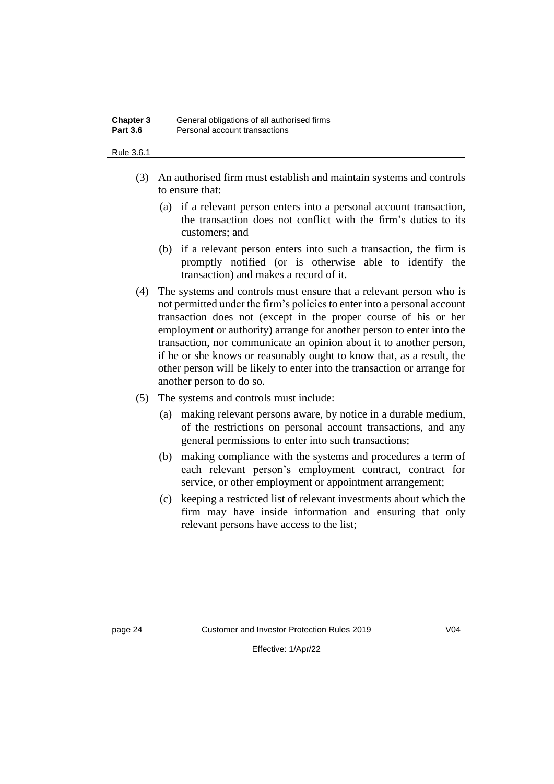#### **Chapter 3** General obligations of all authorised firms **Part 3.6** Personal account transactions

#### Rule 3.6.1

- (3) An authorised firm must establish and maintain systems and controls to ensure that:
	- (a) if a relevant person enters into a personal account transaction, the transaction does not conflict with the firm's duties to its customers; and
	- (b) if a relevant person enters into such a transaction, the firm is promptly notified (or is otherwise able to identify the transaction) and makes a record of it.
- (4) The systems and controls must ensure that a relevant person who is not permitted under the firm's policies to enter into a personal account transaction does not (except in the proper course of his or her employment or authority) arrange for another person to enter into the transaction, nor communicate an opinion about it to another person, if he or she knows or reasonably ought to know that, as a result, the other person will be likely to enter into the transaction or arrange for another person to do so.
- (5) The systems and controls must include:
	- (a) making relevant persons aware, by notice in a durable medium, of the restrictions on personal account transactions, and any general permissions to enter into such transactions;
	- (b) making compliance with the systems and procedures a term of each relevant person's employment contract, contract for service, or other employment or appointment arrangement;
	- (c) keeping a restricted list of relevant investments about which the firm may have inside information and ensuring that only relevant persons have access to the list;

page 24 Customer and Investor Protection Rules 2019 V04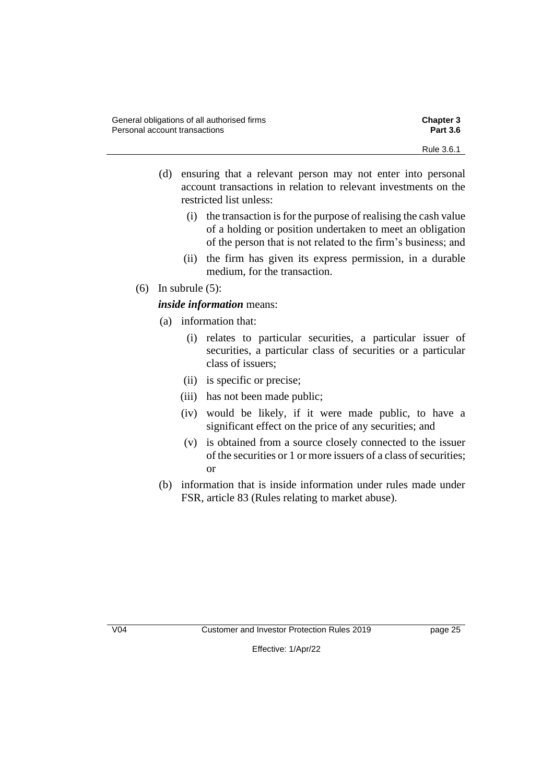- (d) ensuring that a relevant person may not enter into personal account transactions in relation to relevant investments on the restricted list unless:
	- (i) the transaction is for the purpose of realising the cash value of a holding or position undertaken to meet an obligation of the person that is not related to the firm's business; and
	- (ii) the firm has given its express permission, in a durable medium, for the transaction.
- (6) In subrule  $(5)$ :

#### *inside information* means:

- (a) information that:
	- (i) relates to particular securities, a particular issuer of securities, a particular class of securities or a particular class of issuers;
	- (ii) is specific or precise;
	- (iii) has not been made public;
	- (iv) would be likely, if it were made public, to have a significant effect on the price of any securities; and
	- (v) is obtained from a source closely connected to the issuer of the securities or 1 or more issuers of a class of securities; or
- (b) information that is inside information under rules made under FSR, article 83 (Rules relating to market abuse).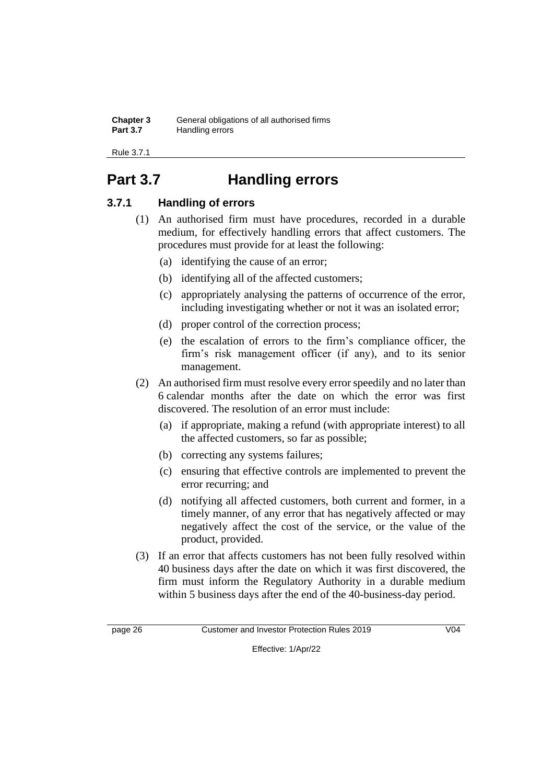| <b>Chapter 3</b> | General obligations of all authorised firms |
|------------------|---------------------------------------------|
| <b>Part 3.7</b>  | Handling errors                             |

Rule 3.7.1

# **Part 3.7 Handling errors**

### **3.7.1 Handling of errors**

- (1) An authorised firm must have procedures, recorded in a durable medium, for effectively handling errors that affect customers. The procedures must provide for at least the following:
	- (a) identifying the cause of an error;
	- (b) identifying all of the affected customers;
	- (c) appropriately analysing the patterns of occurrence of the error, including investigating whether or not it was an isolated error;
	- (d) proper control of the correction process;
	- (e) the escalation of errors to the firm's compliance officer, the firm's risk management officer (if any), and to its senior management.
- (2) An authorised firm must resolve every error speedily and no later than 6 calendar months after the date on which the error was first discovered. The resolution of an error must include:
	- (a) if appropriate, making a refund (with appropriate interest) to all the affected customers, so far as possible;
	- (b) correcting any systems failures;
	- (c) ensuring that effective controls are implemented to prevent the error recurring; and
	- (d) notifying all affected customers, both current and former, in a timely manner, of any error that has negatively affected or may negatively affect the cost of the service, or the value of the product, provided.
- (3) If an error that affects customers has not been fully resolved within 40 business days after the date on which it was first discovered, the firm must inform the Regulatory Authority in a durable medium within 5 business days after the end of the 40-business-day period.

page 26 Customer and Investor Protection Rules 2019 V04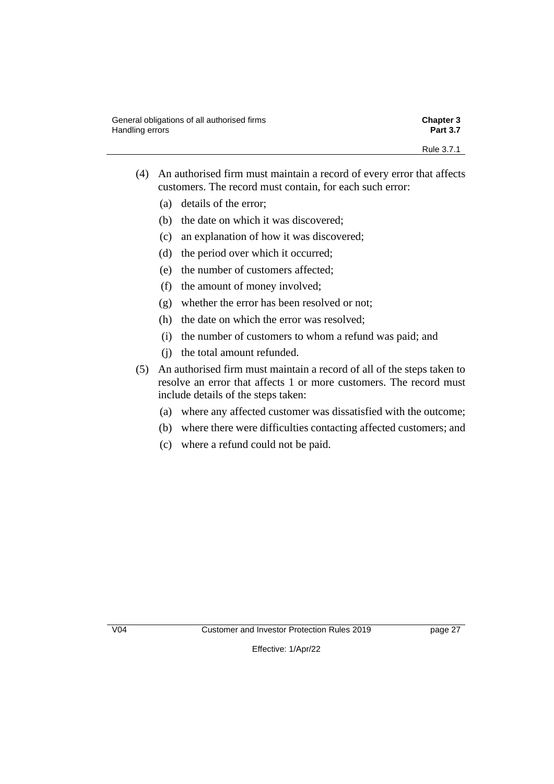- (4) An authorised firm must maintain a record of every error that affects customers. The record must contain, for each such error:
	- (a) details of the error;
	- (b) the date on which it was discovered;
	- (c) an explanation of how it was discovered;
	- (d) the period over which it occurred;
	- (e) the number of customers affected;
	- (f) the amount of money involved;
	- (g) whether the error has been resolved or not;
	- (h) the date on which the error was resolved;
	- (i) the number of customers to whom a refund was paid; and
	- (j) the total amount refunded.
- (5) An authorised firm must maintain a record of all of the steps taken to resolve an error that affects 1 or more customers. The record must include details of the steps taken:
	- (a) where any affected customer was dissatisfied with the outcome;
	- (b) where there were difficulties contacting affected customers; and
	- (c) where a refund could not be paid.

V04 Customer and Investor Protection Rules 2019 page 27

Effective: 1/Apr/22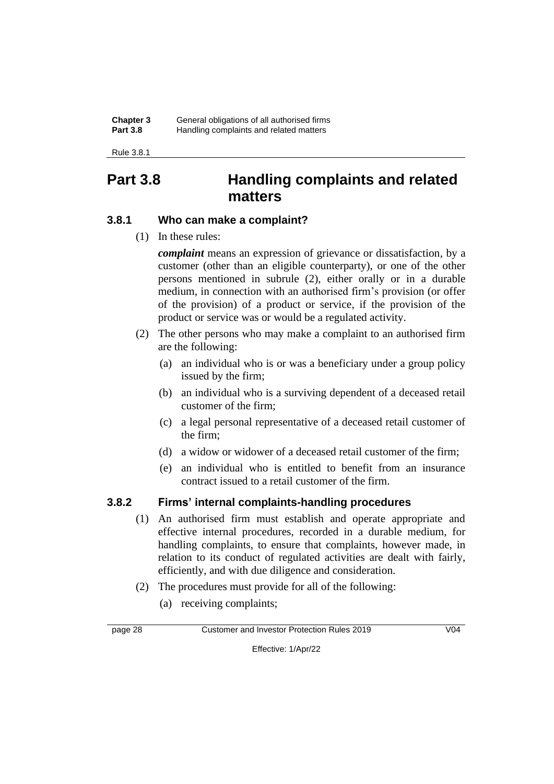#### **Chapter 3** General obligations of all authorised firms **Part 3.8** Handling complaints and related matters

Rule 3.8.1

## **Part 3.8 Handling complaints and related matters**

### **3.8.1 Who can make a complaint?**

(1) In these rules:

*complaint* means an expression of grievance or dissatisfaction, by a customer (other than an eligible counterparty), or one of the other persons mentioned in subrule (2), either orally or in a durable medium, in connection with an authorised firm's provision (or offer of the provision) of a product or service, if the provision of the product or service was or would be a regulated activity.

- (2) The other persons who may make a complaint to an authorised firm are the following:
	- (a) an individual who is or was a beneficiary under a group policy issued by the firm;
	- (b) an individual who is a surviving dependent of a deceased retail customer of the firm;
	- (c) a legal personal representative of a deceased retail customer of the firm;
	- (d) a widow or widower of a deceased retail customer of the firm;
	- (e) an individual who is entitled to benefit from an insurance contract issued to a retail customer of the firm.

### **3.8.2 Firms' internal complaints-handling procedures**

- (1) An authorised firm must establish and operate appropriate and effective internal procedures, recorded in a durable medium, for handling complaints, to ensure that complaints, however made, in relation to its conduct of regulated activities are dealt with fairly, efficiently, and with due diligence and consideration.
- (2) The procedures must provide for all of the following:
	- (a) receiving complaints;

page 28 Customer and Investor Protection Rules 2019 V04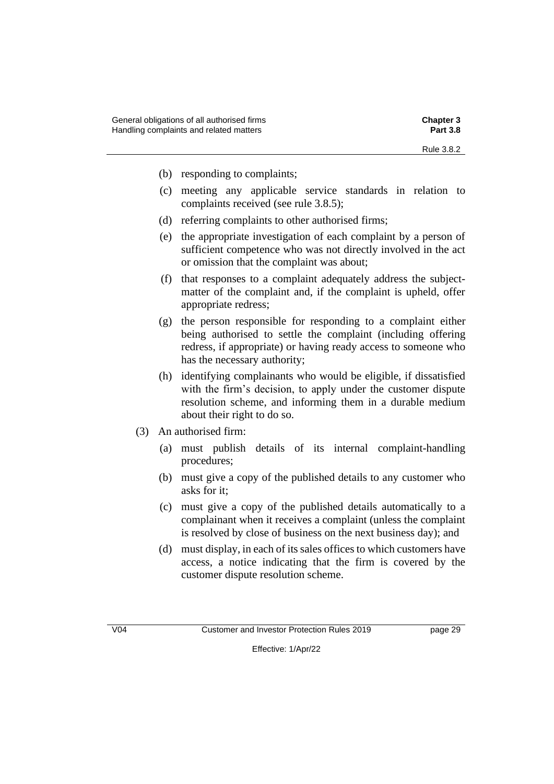- (b) responding to complaints;
- (c) meeting any applicable service standards in relation to complaints received (see rule 3.8.5);
- (d) referring complaints to other authorised firms;
- (e) the appropriate investigation of each complaint by a person of sufficient competence who was not directly involved in the act or omission that the complaint was about;
- (f) that responses to a complaint adequately address the subjectmatter of the complaint and, if the complaint is upheld, offer appropriate redress;
- (g) the person responsible for responding to a complaint either being authorised to settle the complaint (including offering redress, if appropriate) or having ready access to someone who has the necessary authority;
- (h) identifying complainants who would be eligible, if dissatisfied with the firm's decision, to apply under the customer dispute resolution scheme, and informing them in a durable medium about their right to do so.
- (3) An authorised firm:
	- (a) must publish details of its internal complaint-handling procedures;
	- (b) must give a copy of the published details to any customer who asks for it;
	- (c) must give a copy of the published details automatically to a complainant when it receives a complaint (unless the complaint is resolved by close of business on the next business day); and
	- (d) must display, in each of its sales offices to which customers have access, a notice indicating that the firm is covered by the customer dispute resolution scheme.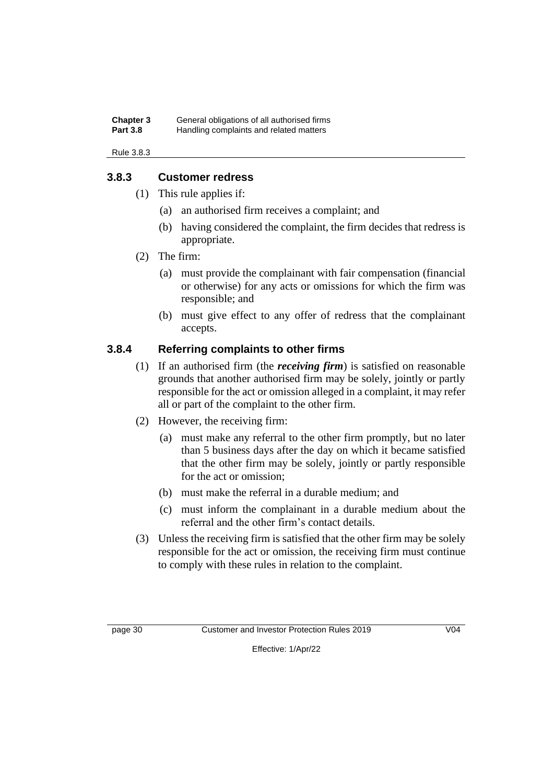#### **Chapter 3** General obligations of all authorised firms **Part 3.8** Handling complaints and related matters

#### Rule 3.8.3

### **3.8.3 Customer redress**

- (1) This rule applies if:
	- (a) an authorised firm receives a complaint; and
	- (b) having considered the complaint, the firm decides that redress is appropriate.
- (2) The firm:
	- (a) must provide the complainant with fair compensation (financial or otherwise) for any acts or omissions for which the firm was responsible; and
	- (b) must give effect to any offer of redress that the complainant accepts.

### **3.8.4 Referring complaints to other firms**

- (1) If an authorised firm (the *receiving firm*) is satisfied on reasonable grounds that another authorised firm may be solely, jointly or partly responsible for the act or omission alleged in a complaint, it may refer all or part of the complaint to the other firm.
- (2) However, the receiving firm:
	- (a) must make any referral to the other firm promptly, but no later than 5 business days after the day on which it became satisfied that the other firm may be solely, jointly or partly responsible for the act or omission;
	- (b) must make the referral in a durable medium; and
	- (c) must inform the complainant in a durable medium about the referral and the other firm's contact details.
- (3) Unless the receiving firm is satisfied that the other firm may be solely responsible for the act or omission, the receiving firm must continue to comply with these rules in relation to the complaint.

page 30 Customer and Investor Protection Rules 2019 V04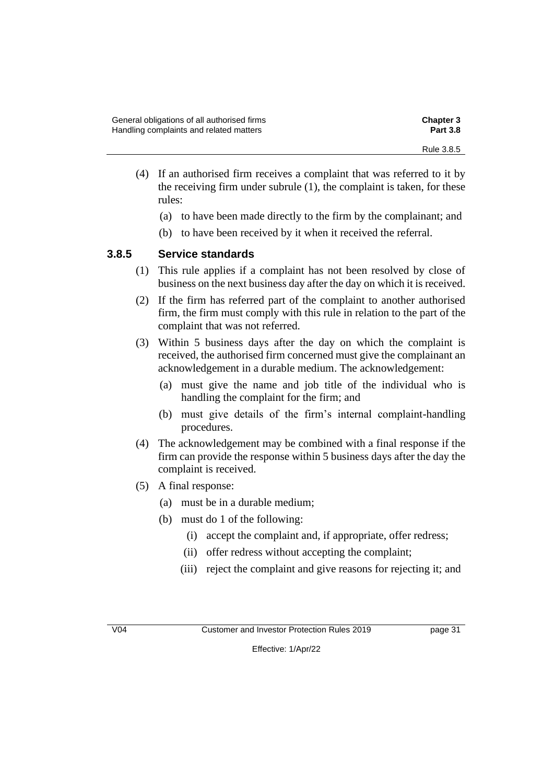- (4) If an authorised firm receives a complaint that was referred to it by the receiving firm under subrule (1), the complaint is taken, for these rules:
	- (a) to have been made directly to the firm by the complainant; and
	- (b) to have been received by it when it received the referral.

### **3.8.5 Service standards**

- (1) This rule applies if a complaint has not been resolved by close of business on the next business day after the day on which it is received.
- (2) If the firm has referred part of the complaint to another authorised firm, the firm must comply with this rule in relation to the part of the complaint that was not referred.
- (3) Within 5 business days after the day on which the complaint is received, the authorised firm concerned must give the complainant an acknowledgement in a durable medium. The acknowledgement:
	- (a) must give the name and job title of the individual who is handling the complaint for the firm; and
	- (b) must give details of the firm's internal complaint-handling procedures.
- (4) The acknowledgement may be combined with a final response if the firm can provide the response within 5 business days after the day the complaint is received.
- (5) A final response:
	- (a) must be in a durable medium;
	- (b) must do 1 of the following:
		- (i) accept the complaint and, if appropriate, offer redress;
		- (ii) offer redress without accepting the complaint;
		- (iii) reject the complaint and give reasons for rejecting it; and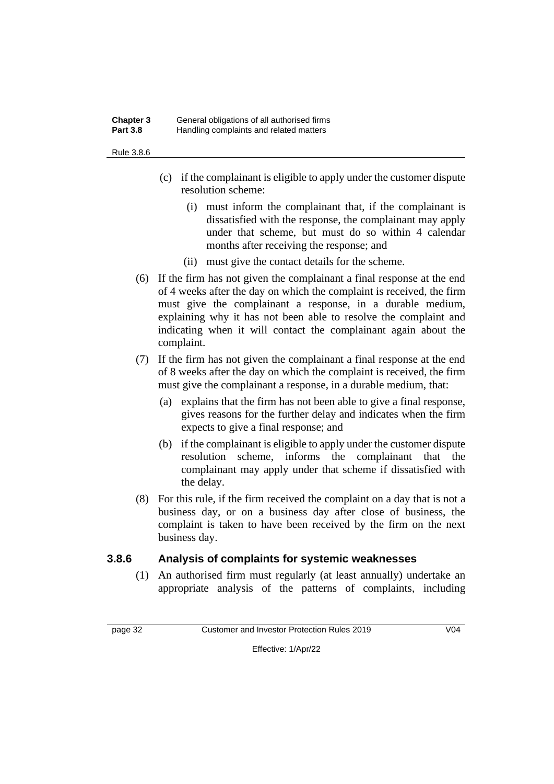#### **Chapter 3** General obligations of all authorised firms **Part 3.8** Handling complaints and related matters

#### Rule 3.8.6

- (c) if the complainant is eligible to apply under the customer dispute resolution scheme:
	- (i) must inform the complainant that, if the complainant is dissatisfied with the response, the complainant may apply under that scheme, but must do so within 4 calendar months after receiving the response; and
	- (ii) must give the contact details for the scheme.
- (6) If the firm has not given the complainant a final response at the end of 4 weeks after the day on which the complaint is received, the firm must give the complainant a response, in a durable medium, explaining why it has not been able to resolve the complaint and indicating when it will contact the complainant again about the complaint.
- (7) If the firm has not given the complainant a final response at the end of 8 weeks after the day on which the complaint is received, the firm must give the complainant a response, in a durable medium, that:
	- (a) explains that the firm has not been able to give a final response, gives reasons for the further delay and indicates when the firm expects to give a final response; and
	- (b) if the complainant is eligible to apply under the customer dispute resolution scheme, informs the complainant that the complainant may apply under that scheme if dissatisfied with the delay.
- (8) For this rule, if the firm received the complaint on a day that is not a business day, or on a business day after close of business, the complaint is taken to have been received by the firm on the next business day.

### **3.8.6 Analysis of complaints for systemic weaknesses**

(1) An authorised firm must regularly (at least annually) undertake an appropriate analysis of the patterns of complaints, including

page 32 Customer and Investor Protection Rules 2019 V04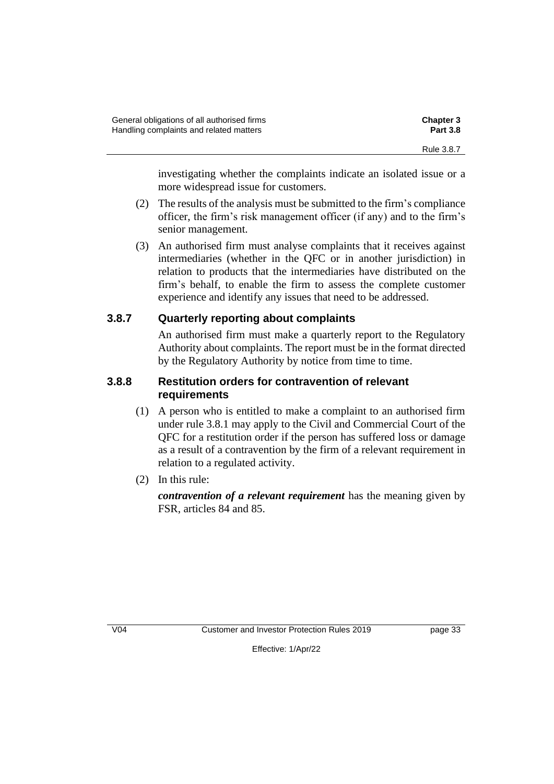investigating whether the complaints indicate an isolated issue or a more widespread issue for customers.

- (2) The results of the analysis must be submitted to the firm's compliance officer, the firm's risk management officer (if any) and to the firm's senior management.
- (3) An authorised firm must analyse complaints that it receives against intermediaries (whether in the QFC or in another jurisdiction) in relation to products that the intermediaries have distributed on the firm's behalf, to enable the firm to assess the complete customer experience and identify any issues that need to be addressed.

### **3.8.7 Quarterly reporting about complaints**

An authorised firm must make a quarterly report to the Regulatory Authority about complaints. The report must be in the format directed by the Regulatory Authority by notice from time to time.

### **3.8.8 Restitution orders for contravention of relevant requirements**

- (1) A person who is entitled to make a complaint to an authorised firm under rule 3.8.1 may apply to the Civil and Commercial Court of the QFC for a restitution order if the person has suffered loss or damage as a result of a contravention by the firm of a relevant requirement in relation to a regulated activity.
- (2) In this rule:

*contravention of a relevant requirement* has the meaning given by FSR, articles 84 and 85.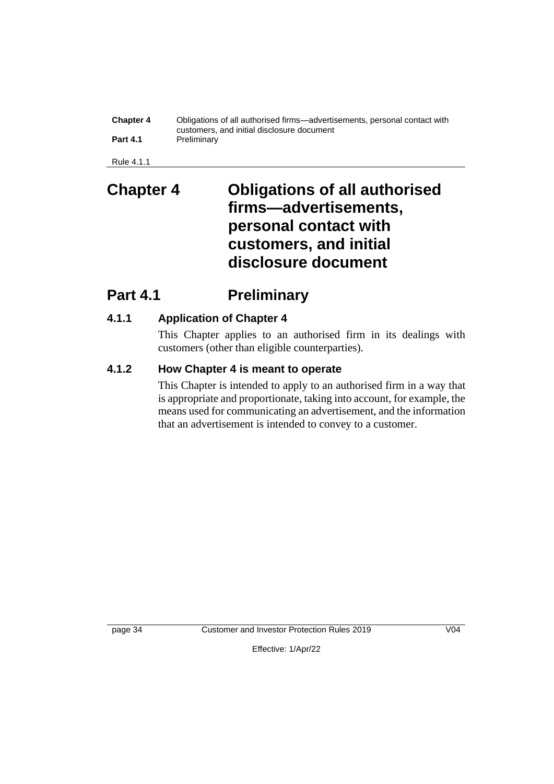| <b>Chapter 4</b> | Obligations of all authorised firms—advertisements, personal contact with |
|------------------|---------------------------------------------------------------------------|
| <b>Part 4.1</b>  | customers, and initial disclosure document<br>Preliminary                 |

Rule 4.1.1

## **Chapter 4 Obligations of all authorised firms—advertisements, personal contact with customers, and initial disclosure document**

## **Part 4.1 Preliminary**

## **4.1.1 Application of Chapter 4**

This Chapter applies to an authorised firm in its dealings with customers (other than eligible counterparties).

## **4.1.2 How Chapter 4 is meant to operate**

This Chapter is intended to apply to an authorised firm in a way that is appropriate and proportionate, taking into account, for example, the means used for communicating an advertisement, and the information that an advertisement is intended to convey to a customer.

page 34 Customer and Investor Protection Rules 2019 V04

Effective: 1/Apr/22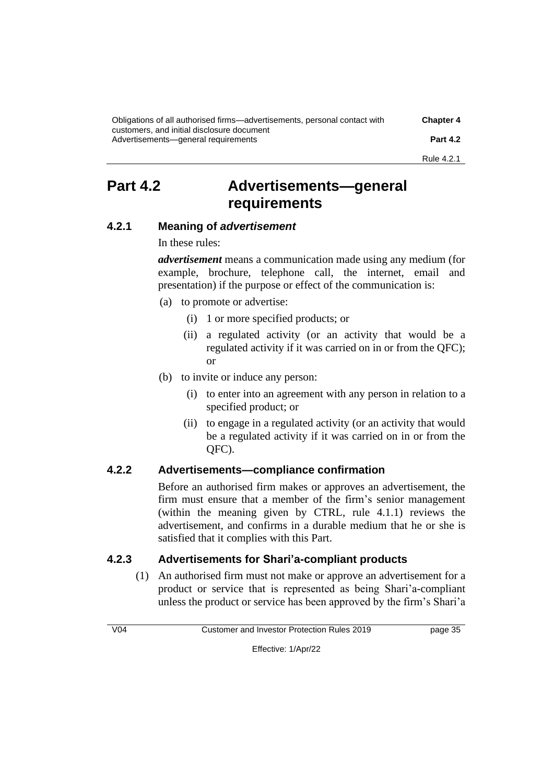| Obligations of all authorised firms—advertisements, personal contact with         | <b>Chapter 4</b> |
|-----------------------------------------------------------------------------------|------------------|
| customers, and initial disclosure document<br>Advertisements—general requirements | <b>Part 4.2</b>  |
|                                                                                   | Rule 4.2.1       |

## **Part 4.2 Advertisements—general requirements**

### **4.2.1 Meaning of** *advertisement*

In these rules:

*advertisement* means a communication made using any medium (for example, brochure, telephone call, the internet, email and presentation) if the purpose or effect of the communication is:

- (a) to promote or advertise:
	- (i) 1 or more specified products; or
	- (ii) a regulated activity (or an activity that would be a regulated activity if it was carried on in or from the QFC); or
- (b) to invite or induce any person:
	- (i) to enter into an agreement with any person in relation to a specified product; or
	- (ii) to engage in a regulated activity (or an activity that would be a regulated activity if it was carried on in or from the QFC).

### **4.2.2 Advertisements—compliance confirmation**

Before an authorised firm makes or approves an advertisement, the firm must ensure that a member of the firm's senior management (within the meaning given by CTRL, rule 4.1.1) reviews the advertisement, and confirms in a durable medium that he or she is satisfied that it complies with this Part.

### **4.2.3 Advertisements for Shari'a-compliant products**

(1) An authorised firm must not make or approve an advertisement for a product or service that is represented as being Shari'a-compliant unless the product or service has been approved by the firm's Shari'a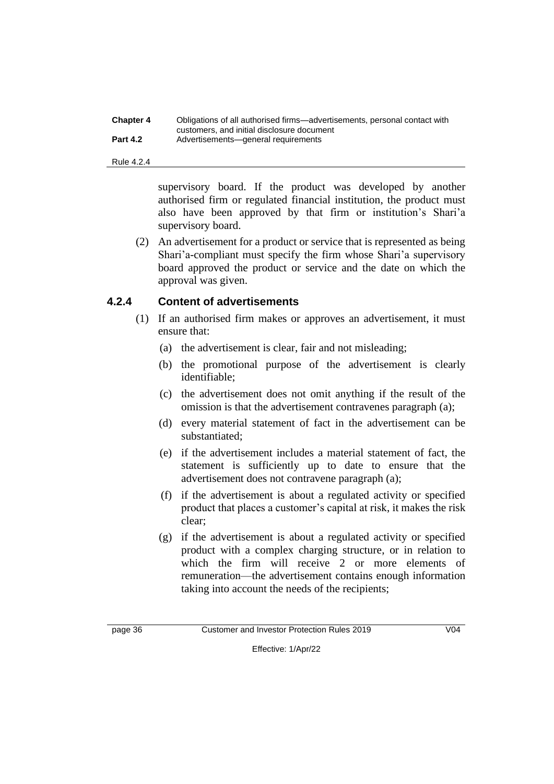| <b>Chapter 4</b> | Obligations of all authorised firms—advertisements, personal contact with |
|------------------|---------------------------------------------------------------------------|
|                  | customers, and initial disclosure document                                |
| <b>Part 4.2</b>  | Advertisements-general requirements                                       |

#### Rule 4.2.4

supervisory board. If the product was developed by another authorised firm or regulated financial institution, the product must also have been approved by that firm or institution's Shari'a supervisory board.

(2) An advertisement for a product or service that is represented as being Shari'a-compliant must specify the firm whose Shari'a supervisory board approved the product or service and the date on which the approval was given.

### **4.2.4 Content of advertisements**

- (1) If an authorised firm makes or approves an advertisement, it must ensure that:
	- (a) the advertisement is clear, fair and not misleading;
	- (b) the promotional purpose of the advertisement is clearly identifiable;
	- (c) the advertisement does not omit anything if the result of the omission is that the advertisement contravenes paragraph (a);
	- (d) every material statement of fact in the advertisement can be substantiated;
	- (e) if the advertisement includes a material statement of fact, the statement is sufficiently up to date to ensure that the advertisement does not contravene paragraph (a);
	- (f) if the advertisement is about a regulated activity or specified product that places a customer's capital at risk, it makes the risk clear;
	- (g) if the advertisement is about a regulated activity or specified product with a complex charging structure, or in relation to which the firm will receive 2 or more elements of remuneration—the advertisement contains enough information taking into account the needs of the recipients;

page 36 Customer and Investor Protection Rules 2019 V04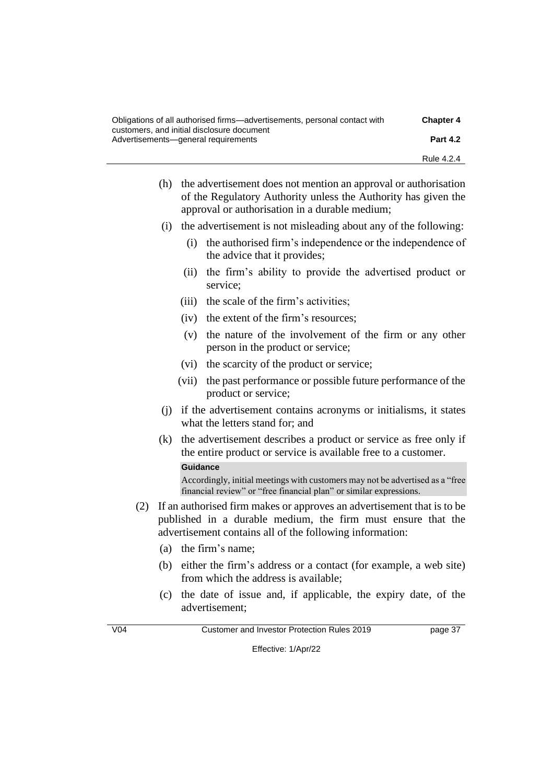| Obligations of all authorised firms—advertisements, personal contact with         | <b>Chapter 4</b> |
|-----------------------------------------------------------------------------------|------------------|
| customers, and initial disclosure document<br>Advertisements—general requirements | <b>Part 4.2</b>  |
|                                                                                   | Rule 4.2.4       |

- (h) the advertisement does not mention an approval or authorisation of the Regulatory Authority unless the Authority has given the approval or authorisation in a durable medium;
- (i) the advertisement is not misleading about any of the following:
	- (i) the authorised firm's independence or the independence of the advice that it provides;
	- (ii) the firm's ability to provide the advertised product or service;
	- (iii) the scale of the firm's activities;
	- (iv) the extent of the firm's resources;
	- (v) the nature of the involvement of the firm or any other person in the product or service;
	- (vi) the scarcity of the product or service;
	- (vii) the past performance or possible future performance of the product or service;
- (j) if the advertisement contains acronyms or initialisms, it states what the letters stand for; and
- (k) the advertisement describes a product or service as free only if the entire product or service is available free to a customer.

#### **Guidance**

Accordingly, initial meetings with customers may not be advertised as a "free financial review" or "free financial plan" or similar expressions.

- (2) If an authorised firm makes or approves an advertisement that is to be published in a durable medium, the firm must ensure that the advertisement contains all of the following information:
	- (a) the firm's name;
	- (b) either the firm's address or a contact (for example, a web site) from which the address is available;
	- (c) the date of issue and, if applicable, the expiry date, of the advertisement;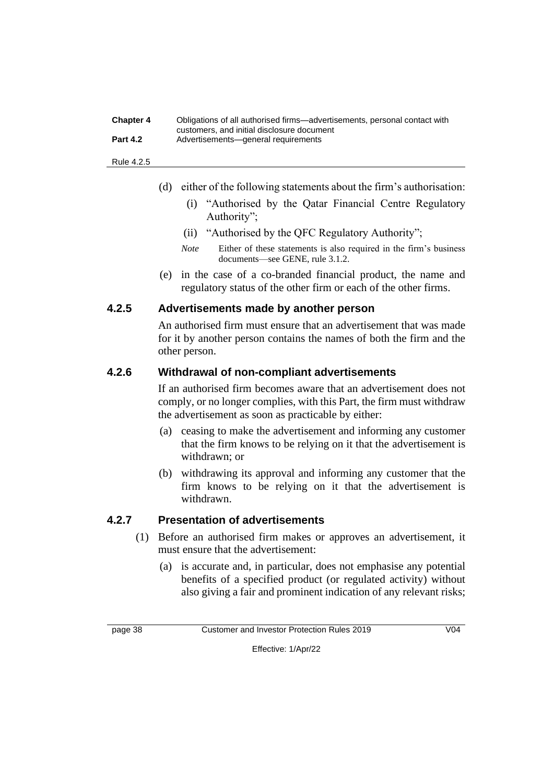#### **Chapter 4** Obligations of all authorised firms—advertisements, personal contact with customers, and initial disclosure document **Part 4.2** Advertisements—general requirements

#### Rule 4.2.5

- (d) either of the following statements about the firm's authorisation:
	- (i) "Authorised by the Qatar Financial Centre Regulatory Authority";
	- (ii) "Authorised by the QFC Regulatory Authority";
	- *Note* Either of these statements is also required in the firm's business documents—see GENE, rule 3.1.2.
- (e) in the case of a co-branded financial product, the name and regulatory status of the other firm or each of the other firms.

### **4.2.5 Advertisements made by another person**

An authorised firm must ensure that an advertisement that was made for it by another person contains the names of both the firm and the other person.

### **4.2.6 Withdrawal of non-compliant advertisements**

If an authorised firm becomes aware that an advertisement does not comply, or no longer complies, with this Part, the firm must withdraw the advertisement as soon as practicable by either:

- (a) ceasing to make the advertisement and informing any customer that the firm knows to be relying on it that the advertisement is withdrawn; or
- (b) withdrawing its approval and informing any customer that the firm knows to be relying on it that the advertisement is withdrawn.

### **4.2.7 Presentation of advertisements**

- (1) Before an authorised firm makes or approves an advertisement, it must ensure that the advertisement:
	- (a) is accurate and, in particular, does not emphasise any potential benefits of a specified product (or regulated activity) without also giving a fair and prominent indication of any relevant risks;

page 38 Customer and Investor Protection Rules 2019 V04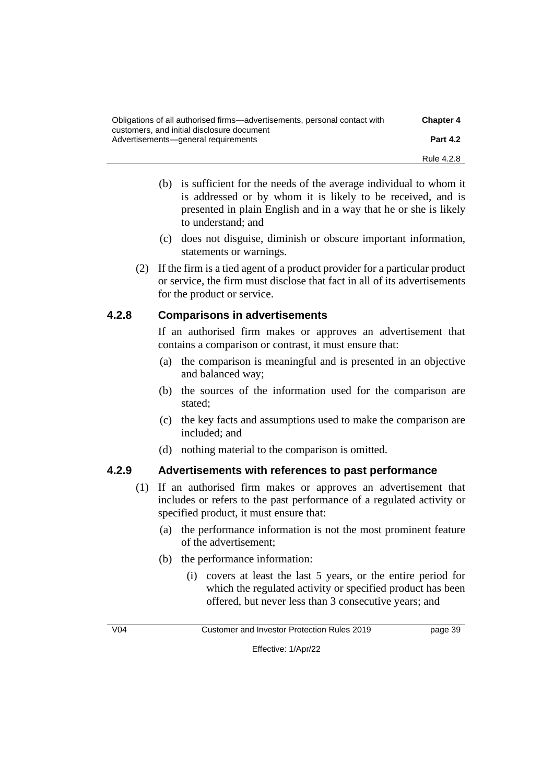| Obligations of all authorised firms—advertisements, personal contact with<br>customers, and initial disclosure document | <b>Chapter 4</b> |
|-------------------------------------------------------------------------------------------------------------------------|------------------|
| Advertisements—general requirements                                                                                     | <b>Part 4.2</b>  |
|                                                                                                                         | Rule 4.2.8       |

- (b) is sufficient for the needs of the average individual to whom it is addressed or by whom it is likely to be received, and is presented in plain English and in a way that he or she is likely to understand; and
- (c) does not disguise, diminish or obscure important information, statements or warnings.
- (2) If the firm is a tied agent of a product provider for a particular product or service, the firm must disclose that fact in all of its advertisements for the product or service.

### **4.2.8 Comparisons in advertisements**

If an authorised firm makes or approves an advertisement that contains a comparison or contrast, it must ensure that:

- (a) the comparison is meaningful and is presented in an objective and balanced way;
- (b) the sources of the information used for the comparison are stated;
- (c) the key facts and assumptions used to make the comparison are included; and
- (d) nothing material to the comparison is omitted.

### **4.2.9 Advertisements with references to past performance**

- (1) If an authorised firm makes or approves an advertisement that includes or refers to the past performance of a regulated activity or specified product, it must ensure that:
	- (a) the performance information is not the most prominent feature of the advertisement;
	- (b) the performance information:
		- (i) covers at least the last 5 years, or the entire period for which the regulated activity or specified product has been offered, but never less than 3 consecutive years; and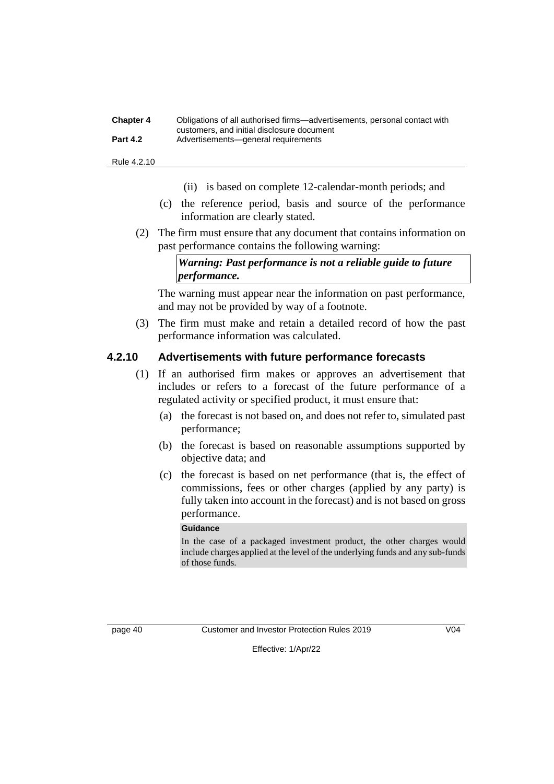#### **Chapter 4** Obligations of all authorised firms—advertisements, personal contact with customers, and initial disclosure document **Part 4.2** Advertisements—general requirements

Rule 4.2.10

- (ii) is based on complete 12-calendar-month periods; and
- (c) the reference period, basis and source of the performance information are clearly stated.
- (2) The firm must ensure that any document that contains information on past performance contains the following warning:

*Warning: Past performance is not a reliable guide to future performance.*

The warning must appear near the information on past performance, and may not be provided by way of a footnote.

(3) The firm must make and retain a detailed record of how the past performance information was calculated.

### **4.2.10 Advertisements with future performance forecasts**

- (1) If an authorised firm makes or approves an advertisement that includes or refers to a forecast of the future performance of a regulated activity or specified product, it must ensure that:
	- (a) the forecast is not based on, and does not refer to, simulated past performance;
	- (b) the forecast is based on reasonable assumptions supported by objective data; and
	- (c) the forecast is based on net performance (that is, the effect of commissions, fees or other charges (applied by any party) is fully taken into account in the forecast) and is not based on gross performance.

#### **Guidance**

In the case of a packaged investment product, the other charges would include charges applied at the level of the underlying funds and any sub-funds of those funds.

page 40 Customer and Investor Protection Rules 2019 V04

Effective: 1/Apr/22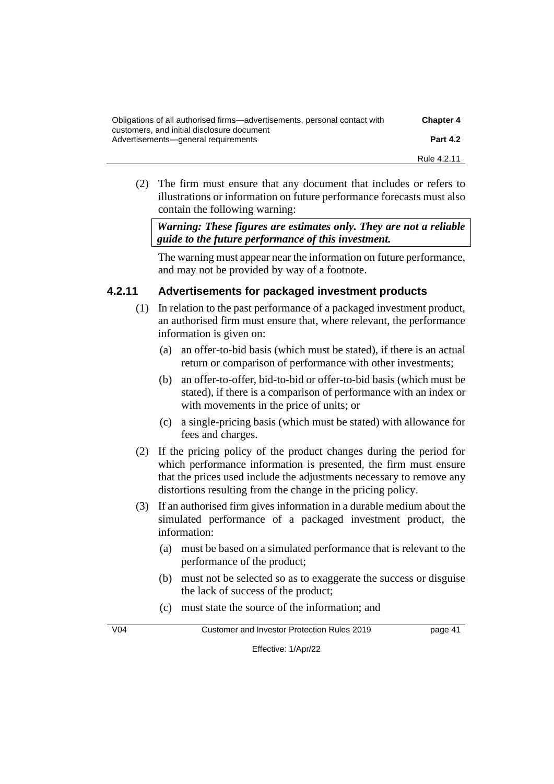| Obligations of all authorised firms—advertisements, personal contact with         | <b>Chapter 4</b> |
|-----------------------------------------------------------------------------------|------------------|
| customers, and initial disclosure document<br>Advertisements—general requirements | <b>Part 4.2</b>  |
|                                                                                   | Rule 4.2.11      |

(2) The firm must ensure that any document that includes or refers to illustrations or information on future performance forecasts must also contain the following warning:

*Warning: These figures are estimates only. They are not a reliable guide to the future performance of this investment.*

The warning must appear near the information on future performance, and may not be provided by way of a footnote.

### **4.2.11 Advertisements for packaged investment products**

- (1) In relation to the past performance of a packaged investment product, an authorised firm must ensure that, where relevant, the performance information is given on:
	- (a) an offer-to-bid basis (which must be stated), if there is an actual return or comparison of performance with other investments;
	- (b) an offer-to-offer, bid-to-bid or offer-to-bid basis (which must be stated), if there is a comparison of performance with an index or with movements in the price of units; or
	- (c) a single-pricing basis (which must be stated) with allowance for fees and charges.
- (2) If the pricing policy of the product changes during the period for which performance information is presented, the firm must ensure that the prices used include the adjustments necessary to remove any distortions resulting from the change in the pricing policy.
- (3) If an authorised firm gives information in a durable medium about the simulated performance of a packaged investment product, the information:
	- (a) must be based on a simulated performance that is relevant to the performance of the product;
	- (b) must not be selected so as to exaggerate the success or disguise the lack of success of the product;
	- (c) must state the source of the information; and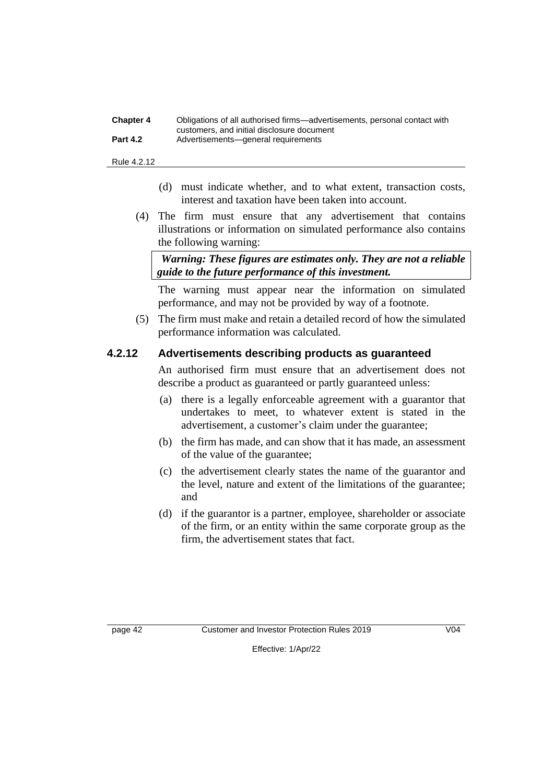| <b>Chapter 4</b> | Obligations of all authorised firms—advertisements, personal contact with |
|------------------|---------------------------------------------------------------------------|
|                  | customers, and initial disclosure document                                |
| <b>Part 4.2</b>  | Advertisements—general requirements                                       |

Rule 4.2.12

- (d) must indicate whether, and to what extent, transaction costs, interest and taxation have been taken into account.
- (4) The firm must ensure that any advertisement that contains illustrations or information on simulated performance also contains the following warning:

*Warning: These figures are estimates only. They are not a reliable guide to the future performance of this investment.*

The warning must appear near the information on simulated performance, and may not be provided by way of a footnote.

(5) The firm must make and retain a detailed record of how the simulated performance information was calculated.

### **4.2.12 Advertisements describing products as guaranteed**

An authorised firm must ensure that an advertisement does not describe a product as guaranteed or partly guaranteed unless:

- (a) there is a legally enforceable agreement with a guarantor that undertakes to meet, to whatever extent is stated in the advertisement, a customer's claim under the guarantee;
- (b) the firm has made, and can show that it has made, an assessment of the value of the guarantee;
- (c) the advertisement clearly states the name of the guarantor and the level, nature and extent of the limitations of the guarantee; and
- (d) if the guarantor is a partner, employee, shareholder or associate of the firm, or an entity within the same corporate group as the firm, the advertisement states that fact.

page 42 Customer and Investor Protection Rules 2019 V04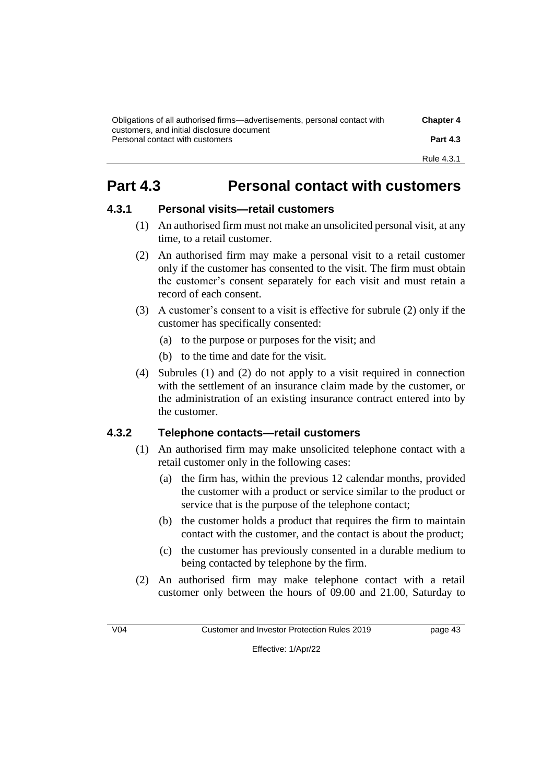| Obligations of all authorised firms—advertisements, personal contact with     | <b>Chapter 4</b> |
|-------------------------------------------------------------------------------|------------------|
| customers, and initial disclosure document<br>Personal contact with customers | <b>Part 4.3</b>  |
|                                                                               | Rule 4.3.1       |

# **Part 4.3 Personal contact with customers**

### **4.3.1 Personal visits—retail customers**

- (1) An authorised firm must not make an unsolicited personal visit, at any time, to a retail customer.
- (2) An authorised firm may make a personal visit to a retail customer only if the customer has consented to the visit. The firm must obtain the customer's consent separately for each visit and must retain a record of each consent.
- (3) A customer's consent to a visit is effective for subrule (2) only if the customer has specifically consented:
	- (a) to the purpose or purposes for the visit; and
	- (b) to the time and date for the visit.
- (4) Subrules (1) and (2) do not apply to a visit required in connection with the settlement of an insurance claim made by the customer, or the administration of an existing insurance contract entered into by the customer.

### **4.3.2 Telephone contacts—retail customers**

- (1) An authorised firm may make unsolicited telephone contact with a retail customer only in the following cases:
	- (a) the firm has, within the previous 12 calendar months, provided the customer with a product or service similar to the product or service that is the purpose of the telephone contact;
	- (b) the customer holds a product that requires the firm to maintain contact with the customer, and the contact is about the product;
	- (c) the customer has previously consented in a durable medium to being contacted by telephone by the firm.
- (2) An authorised firm may make telephone contact with a retail customer only between the hours of 09.00 and 21.00, Saturday to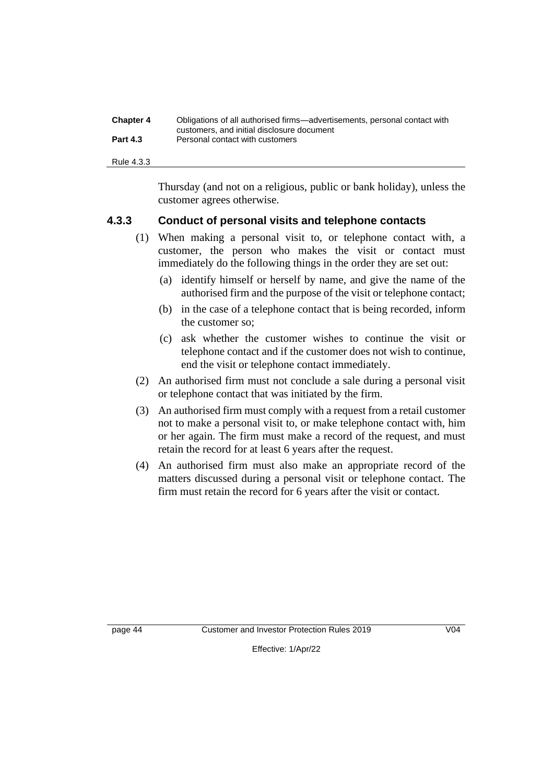| <b>Chapter 4</b> | Obligations of all authorised firms—advertisements, personal contact with |
|------------------|---------------------------------------------------------------------------|
|                  | customers, and initial disclosure document                                |
| <b>Part 4.3</b>  | Personal contact with customers                                           |

Rule 4.3.3

Thursday (and not on a religious, public or bank holiday), unless the customer agrees otherwise.

#### **4.3.3 Conduct of personal visits and telephone contacts**

- (1) When making a personal visit to, or telephone contact with, a customer, the person who makes the visit or contact must immediately do the following things in the order they are set out:
	- (a) identify himself or herself by name, and give the name of the authorised firm and the purpose of the visit or telephone contact;
	- (b) in the case of a telephone contact that is being recorded, inform the customer so;
	- (c) ask whether the customer wishes to continue the visit or telephone contact and if the customer does not wish to continue, end the visit or telephone contact immediately.
- (2) An authorised firm must not conclude a sale during a personal visit or telephone contact that was initiated by the firm.
- (3) An authorised firm must comply with a request from a retail customer not to make a personal visit to, or make telephone contact with, him or her again. The firm must make a record of the request, and must retain the record for at least 6 years after the request.
- (4) An authorised firm must also make an appropriate record of the matters discussed during a personal visit or telephone contact. The firm must retain the record for 6 years after the visit or contact.

page 44 Customer and Investor Protection Rules 2019 V04

Effective: 1/Apr/22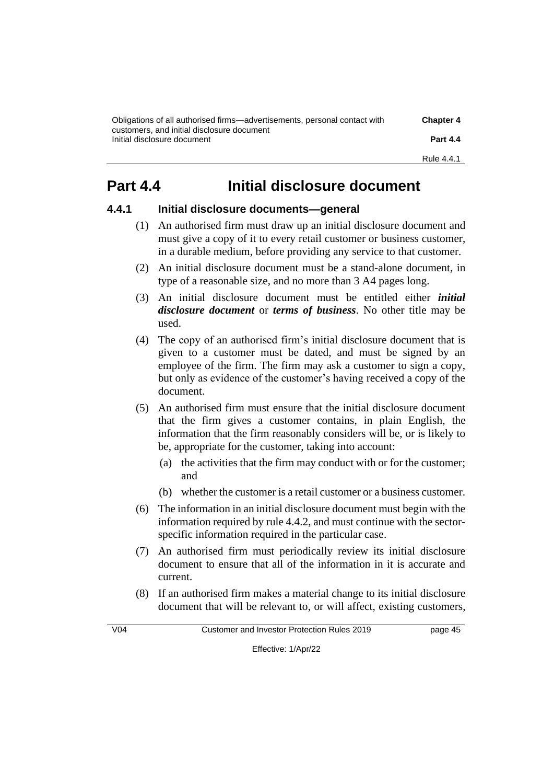| Obligations of all authorised firms—advertisements, personal contact with | <b>Chapter 4</b> |
|---------------------------------------------------------------------------|------------------|
| customers, and initial disclosure document<br>Initial disclosure document | <b>Part 4.4</b>  |
|                                                                           | Rule 4.4.1       |

## **Part 4.4 Initial disclosure document**

### **4.4.1 Initial disclosure documents—general**

- (1) An authorised firm must draw up an initial disclosure document and must give a copy of it to every retail customer or business customer, in a durable medium, before providing any service to that customer.
- (2) An initial disclosure document must be a stand-alone document, in type of a reasonable size, and no more than 3 A4 pages long.
- (3) An initial disclosure document must be entitled either *initial disclosure document* or *terms of business*. No other title may be used.
- (4) The copy of an authorised firm's initial disclosure document that is given to a customer must be dated, and must be signed by an employee of the firm. The firm may ask a customer to sign a copy, but only as evidence of the customer's having received a copy of the document.
- (5) An authorised firm must ensure that the initial disclosure document that the firm gives a customer contains, in plain English, the information that the firm reasonably considers will be, or is likely to be, appropriate for the customer, taking into account:
	- (a) the activities that the firm may conduct with or for the customer; and
	- (b) whether the customer is a retail customer or a business customer.
- (6) The information in an initial disclosure document must begin with the information required by rule 4.4.2, and must continue with the sectorspecific information required in the particular case.
- (7) An authorised firm must periodically review its initial disclosure document to ensure that all of the information in it is accurate and current.
- (8) If an authorised firm makes a material change to its initial disclosure document that will be relevant to, or will affect, existing customers,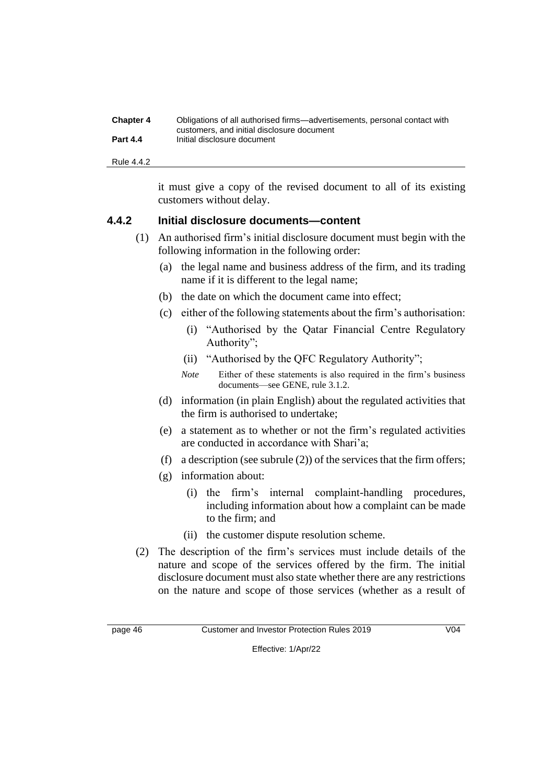| <b>Chapter 4</b> | Obligations of all authorised firms—advertisements, personal contact with |
|------------------|---------------------------------------------------------------------------|
| <b>Part 4.4</b>  | customers, and initial disclosure document<br>Initial disclosure document |
|                  |                                                                           |

Rule 4.4.2

it must give a copy of the revised document to all of its existing customers without delay.

#### **4.4.2 Initial disclosure documents—content**

- (1) An authorised firm's initial disclosure document must begin with the following information in the following order:
	- (a) the legal name and business address of the firm, and its trading name if it is different to the legal name;
	- (b) the date on which the document came into effect;
	- (c) either of the following statements about the firm's authorisation:
		- (i) "Authorised by the Qatar Financial Centre Regulatory Authority";
		- (ii) "Authorised by the QFC Regulatory Authority";
		- *Note* Either of these statements is also required in the firm's business documents—see GENE, rule 3.1.2.
	- (d) information (in plain English) about the regulated activities that the firm is authorised to undertake;
	- (e) a statement as to whether or not the firm's regulated activities are conducted in accordance with Shari'a;
	- (f) a description (see subrule (2)) of the services that the firm offers;
	- (g) information about:
		- (i) the firm's internal complaint-handling procedures, including information about how a complaint can be made to the firm; and
		- (ii) the customer dispute resolution scheme.
- (2) The description of the firm's services must include details of the nature and scope of the services offered by the firm. The initial disclosure document must also state whether there are any restrictions on the nature and scope of those services (whether as a result of

page 46 Customer and Investor Protection Rules 2019 V04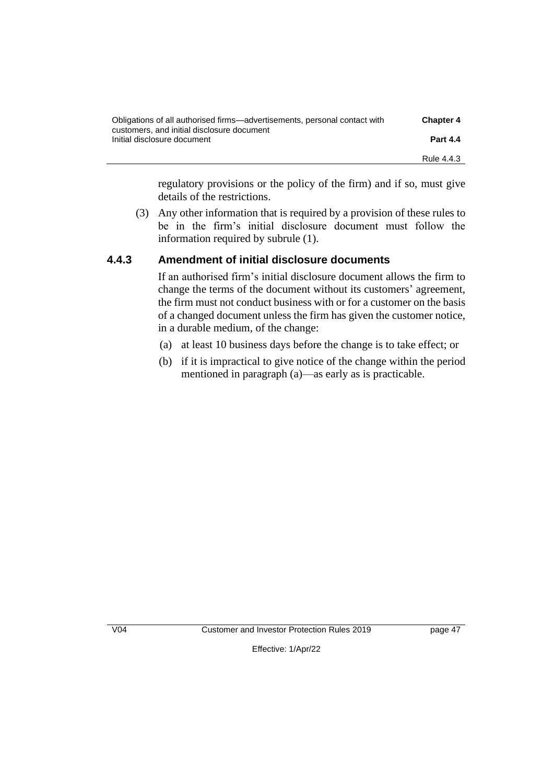| Obligations of all authorised firms—advertisements, personal contact with | <b>Chapter 4</b> |
|---------------------------------------------------------------------------|------------------|
| customers, and initial disclosure document<br>Initial disclosure document | <b>Part 4.4</b>  |
|                                                                           | Rule 4.4.3       |

regulatory provisions or the policy of the firm) and if so, must give details of the restrictions.

(3) Any other information that is required by a provision of these rules to be in the firm's initial disclosure document must follow the information required by subrule (1).

### **4.4.3 Amendment of initial disclosure documents**

If an authorised firm's initial disclosure document allows the firm to change the terms of the document without its customers' agreement, the firm must not conduct business with or for a customer on the basis of a changed document unless the firm has given the customer notice, in a durable medium, of the change:

- (a) at least 10 business days before the change is to take effect; or
- (b) if it is impractical to give notice of the change within the period mentioned in paragraph (a)—as early as is practicable.

V04 Customer and Investor Protection Rules 2019 page 47

Effective: 1/Apr/22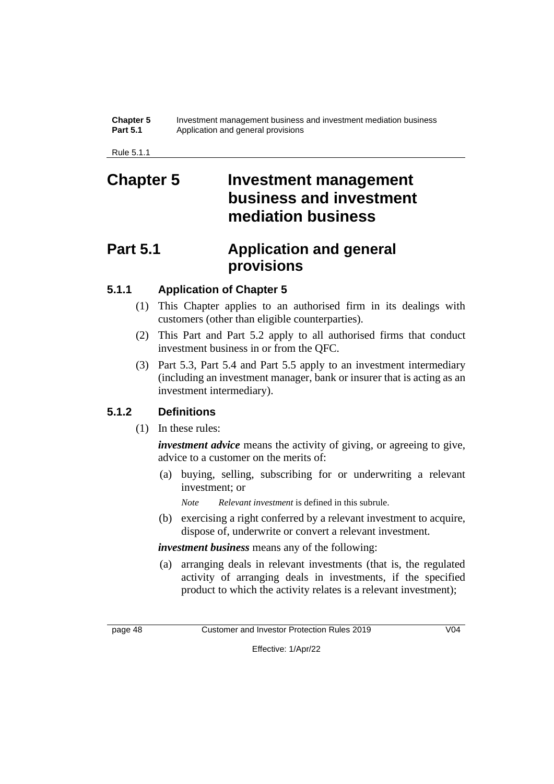#### **Chapter 5** Investment management business and investment mediation business **Part 5.1** Application and general provisions

Rule 5.1.1

## **Chapter 5 Investment management business and investment mediation business**

## **Part 5.1 Application and general provisions**

### **5.1.1 Application of Chapter 5**

- (1) This Chapter applies to an authorised firm in its dealings with customers (other than eligible counterparties).
- (2) This Part and Part 5.2 apply to all authorised firms that conduct investment business in or from the QFC.
- (3) Part 5.3, Part 5.4 and Part 5.5 apply to an investment intermediary (including an investment manager, bank or insurer that is acting as an investment intermediary).

### **5.1.2 Definitions**

(1) In these rules:

*investment advice* means the activity of giving, or agreeing to give, advice to a customer on the merits of:

(a) buying, selling, subscribing for or underwriting a relevant investment; or

*Note Relevant investment* is defined in this subrule.

(b) exercising a right conferred by a relevant investment to acquire, dispose of, underwrite or convert a relevant investment.

*investment business* means any of the following:

(a) arranging deals in relevant investments (that is, the regulated activity of arranging deals in investments, if the specified product to which the activity relates is a relevant investment);

page 48 Customer and Investor Protection Rules 2019 V04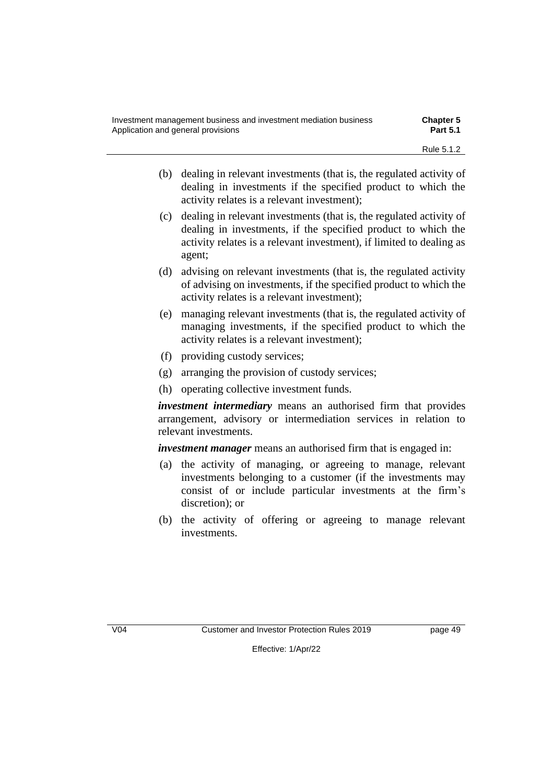| Investment management business and investment mediation business | <b>Chapter 5</b> |
|------------------------------------------------------------------|------------------|
| Application and general provisions                               | <b>Part 5.1</b>  |
|                                                                  | Rule 5.1.2       |

- (b) dealing in relevant investments (that is, the regulated activity of dealing in investments if the specified product to which the activity relates is a relevant investment);
- (c) dealing in relevant investments (that is, the regulated activity of dealing in investments, if the specified product to which the activity relates is a relevant investment), if limited to dealing as agent;
- (d) advising on relevant investments (that is, the regulated activity of advising on investments, if the specified product to which the activity relates is a relevant investment);
- (e) managing relevant investments (that is, the regulated activity of managing investments, if the specified product to which the activity relates is a relevant investment);
- (f) providing custody services;
- (g) arranging the provision of custody services;
- (h) operating collective investment funds.

*investment intermediary* means an authorised firm that provides arrangement, advisory or intermediation services in relation to relevant investments.

*investment manager* means an authorised firm that is engaged in:

- (a) the activity of managing, or agreeing to manage, relevant investments belonging to a customer (if the investments may consist of or include particular investments at the firm's discretion); or
- (b) the activity of offering or agreeing to manage relevant investments.

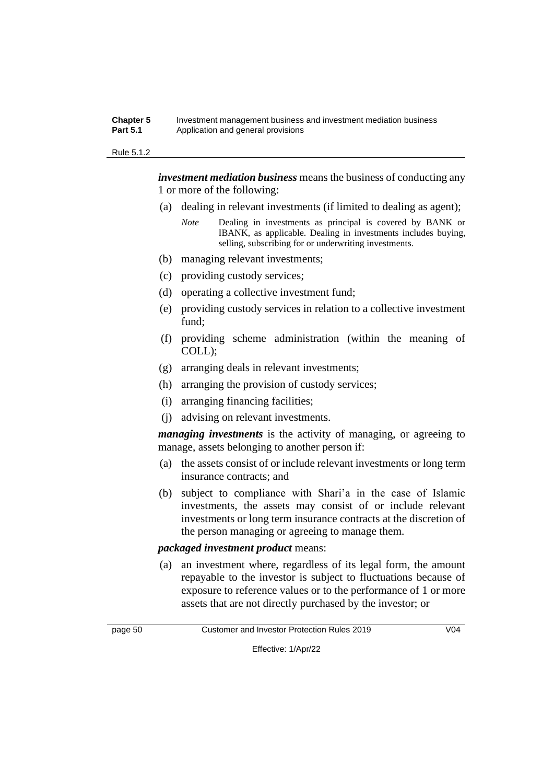#### **Chapter 5** Investment management business and investment mediation business **Part 5.1** Application and general provisions

#### Rule 5.1.2

*investment mediation business* means the business of conducting any 1 or more of the following:

- (a) dealing in relevant investments (if limited to dealing as agent);
	- *Note* Dealing in investments as principal is covered by BANK or IBANK, as applicable. Dealing in investments includes buying, selling, subscribing for or underwriting investments.
- (b) managing relevant investments;
- (c) providing custody services;
- (d) operating a collective investment fund;
- (e) providing custody services in relation to a collective investment fund;
- (f) providing scheme administration (within the meaning of COLL);
- (g) arranging deals in relevant investments;
- (h) arranging the provision of custody services;
- (i) arranging financing facilities;
- (j) advising on relevant investments.

*managing investments* is the activity of managing, or agreeing to manage, assets belonging to another person if:

- (a) the assets consist of or include relevant investments or long term insurance contracts; and
- (b) subject to compliance with Shari'a in the case of Islamic investments, the assets may consist of or include relevant investments or long term insurance contracts at the discretion of the person managing or agreeing to manage them.

#### *packaged investment product* means:

(a) an investment where, regardless of its legal form, the amount repayable to the investor is subject to fluctuations because of exposure to reference values or to the performance of 1 or more assets that are not directly purchased by the investor; or



page 50 Customer and Investor Protection Rules 2019 V04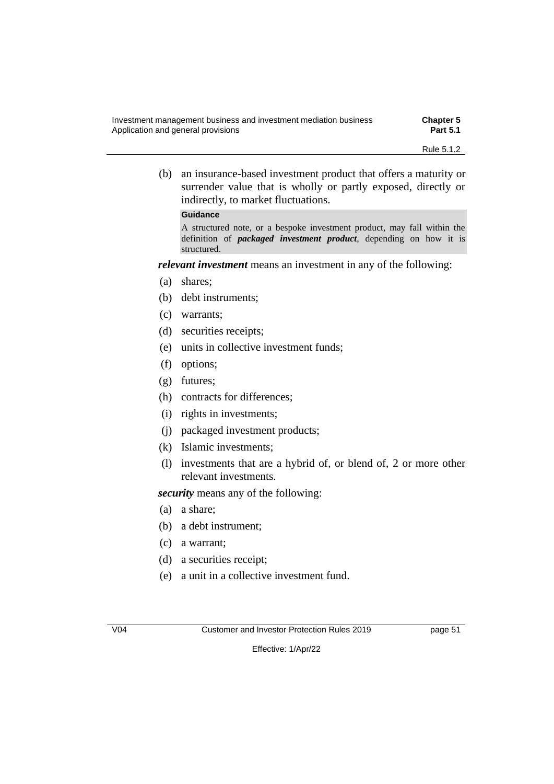| Investment management business and investment mediation business | <b>Chapter 5</b> |
|------------------------------------------------------------------|------------------|
| Application and general provisions                               | <b>Part 5.1</b>  |
|                                                                  |                  |

(b) an insurance-based investment product that offers a maturity or surrender value that is wholly or partly exposed, directly or indirectly, to market fluctuations.

#### **Guidance**

A structured note, or a bespoke investment product, may fall within the definition of *packaged investment product*, depending on how it is structured.

*relevant investment* means an investment in any of the following:

- (a) shares;
- (b) debt instruments;
- (c) warrants;
- (d) securities receipts;
- (e) units in collective investment funds;
- (f) options;
- (g) futures;
- (h) contracts for differences;
- (i) rights in investments;
- (j) packaged investment products;
- (k) Islamic investments;
- (l) investments that are a hybrid of, or blend of, 2 or more other relevant investments.

*security* means any of the following:

- (a) a share;
- (b) a debt instrument;
- (c) a warrant;
- (d) a securities receipt;
- (e) a unit in a collective investment fund.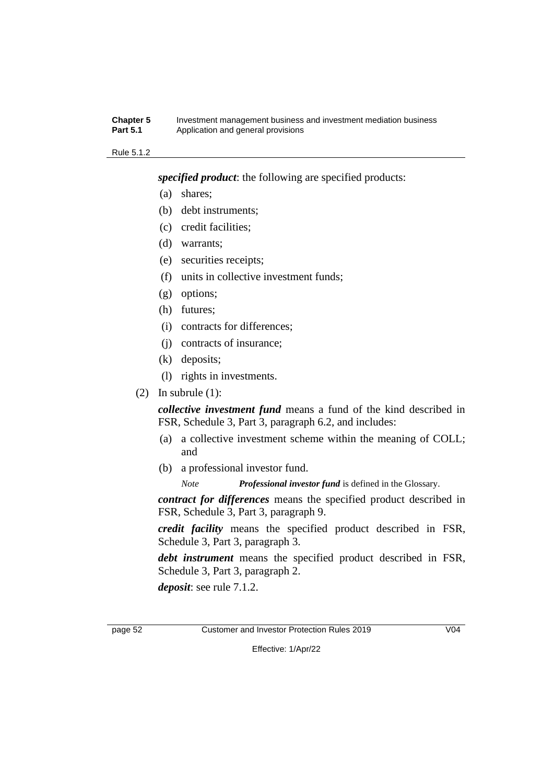#### **Chapter 5** Investment management business and investment mediation business **Part 5.1** Application and general provisions

#### Rule 5.1.2

*specified product*: the following are specified products:

- (a) shares;
- (b) debt instruments;
- (c) credit facilities;
- (d) warrants;
- (e) securities receipts;
- (f) units in collective investment funds;
- (g) options;
- (h) futures;
- (i) contracts for differences;
- (j) contracts of insurance;
- (k) deposits;
- (l) rights in investments.
- (2) In subrule  $(1)$ :

*collective investment fund* means a fund of the kind described in FSR, Schedule 3, Part 3, paragraph 6.2, and includes:

- (a) a collective investment scheme within the meaning of COLL; and
- (b) a professional investor fund.

*Note Professional investor fund* is defined in the Glossary.

*contract for differences* means the specified product described in FSR, Schedule 3, Part 3, paragraph 9.

*credit facility* means the specified product described in FSR, Schedule 3, Part 3, paragraph 3.

*debt instrument* means the specified product described in FSR, Schedule 3, Part 3, paragraph 2.

*deposit*: see rule 7.1.2.

page 52 Customer and Investor Protection Rules 2019 V04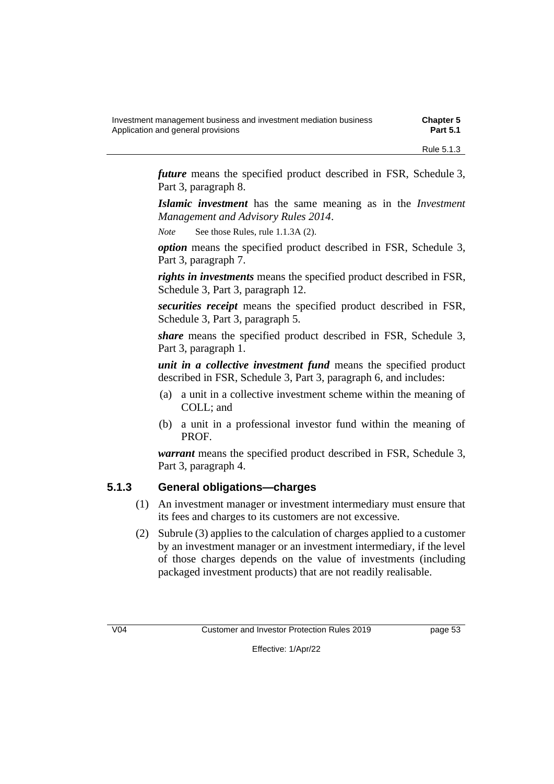| Investment management business and investment mediation business | <b>Chapter 5</b> |
|------------------------------------------------------------------|------------------|
| Application and general provisions                               | <b>Part 5.1</b>  |
|                                                                  |                  |

*future* means the specified product described in FSR, Schedule 3, Part 3, paragraph 8.

*Islamic investment* has the same meaning as in the *Investment Management and Advisory Rules 2014*.

*Note* See those Rules, rule 1.1.3A (2).

*option* means the specified product described in FSR, Schedule 3, Part 3, paragraph 7.

*rights in investments* means the specified product described in FSR, Schedule 3, Part 3, paragraph 12.

*securities receipt* means the specified product described in FSR, Schedule 3, Part 3, paragraph 5.

*share* means the specified product described in FSR, Schedule 3, Part 3, paragraph 1.

*unit in a collective investment fund* means the specified product described in FSR, Schedule 3, Part 3, paragraph 6, and includes:

- (a) a unit in a collective investment scheme within the meaning of COLL; and
- (b) a unit in a professional investor fund within the meaning of PROF.

*warrant* means the specified product described in FSR, Schedule 3, Part 3, paragraph 4.

### **5.1.3 General obligations—charges**

- (1) An investment manager or investment intermediary must ensure that its fees and charges to its customers are not excessive.
- (2) Subrule (3) applies to the calculation of charges applied to a customer by an investment manager or an investment intermediary, if the level of those charges depends on the value of investments (including packaged investment products) that are not readily realisable.

V04 Customer and Investor Protection Rules 2019 page 53

Rule 5.1.3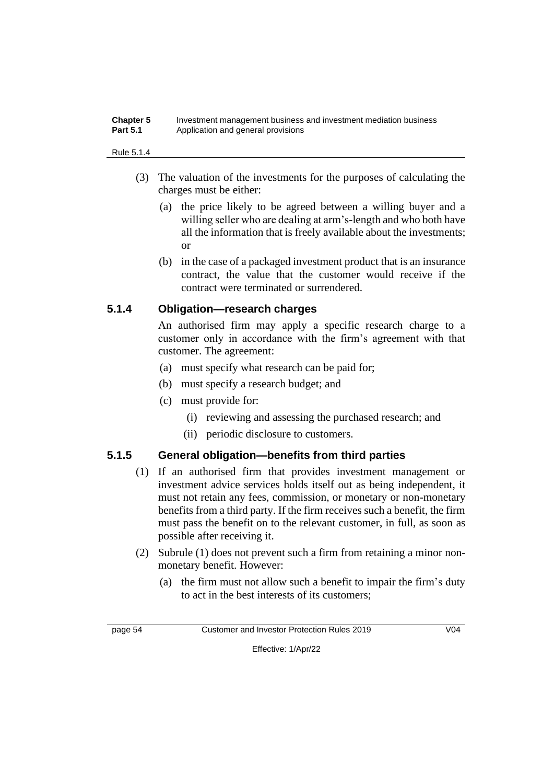#### **Chapter 5** Investment management business and investment mediation business **Part 5.1** Application and general provisions

#### Rule 5.1.4

- (3) The valuation of the investments for the purposes of calculating the charges must be either:
	- (a) the price likely to be agreed between a willing buyer and a willing seller who are dealing at arm's-length and who both have all the information that is freely available about the investments; or
	- (b) in the case of a packaged investment product that is an insurance contract, the value that the customer would receive if the contract were terminated or surrendered.

### **5.1.4 Obligation—research charges**

An authorised firm may apply a specific research charge to a customer only in accordance with the firm's agreement with that customer. The agreement:

- (a) must specify what research can be paid for;
- (b) must specify a research budget; and
- (c) must provide for:
	- (i) reviewing and assessing the purchased research; and
	- (ii) periodic disclosure to customers.

### **5.1.5 General obligation—benefits from third parties**

- (1) If an authorised firm that provides investment management or investment advice services holds itself out as being independent, it must not retain any fees, commission, or monetary or non-monetary benefits from a third party. If the firm receives such a benefit, the firm must pass the benefit on to the relevant customer, in full, as soon as possible after receiving it.
- (2) Subrule (1) does not prevent such a firm from retaining a minor nonmonetary benefit. However:
	- (a) the firm must not allow such a benefit to impair the firm's duty to act in the best interests of its customers;

page 54 Customer and Investor Protection Rules 2019 V04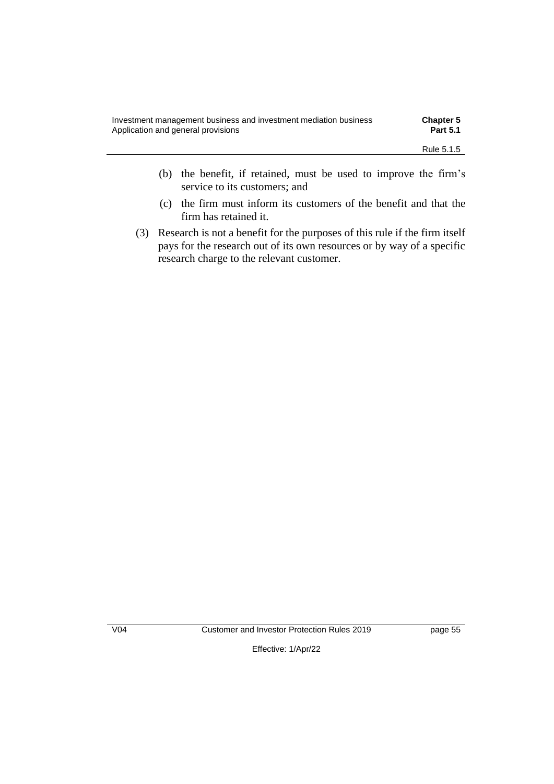| Investment management business and investment mediation business | <b>Chapter 5</b> |
|------------------------------------------------------------------|------------------|
| Application and general provisions                               | <b>Part 5.1</b>  |
|                                                                  | Rule 5.1.5       |

- (b) the benefit, if retained, must be used to improve the firm's service to its customers; and
- (c) the firm must inform its customers of the benefit and that the firm has retained it.
- (3) Research is not a benefit for the purposes of this rule if the firm itself pays for the research out of its own resources or by way of a specific research charge to the relevant customer.

V04 Customer and Investor Protection Rules 2019 page 55

Effective: 1/Apr/22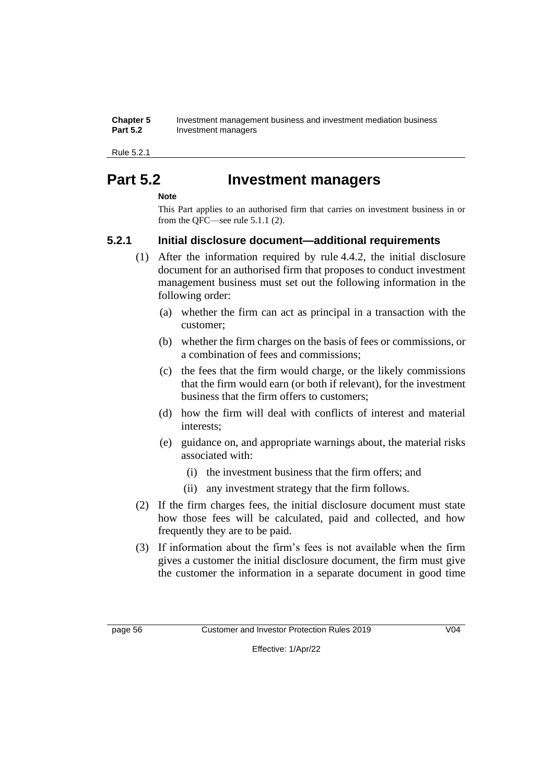| <b>Chapter 5</b> | Investment management business and investment mediation business |
|------------------|------------------------------------------------------------------|
| <b>Part 5.2</b>  | Investment managers                                              |

Rule 5.2.1

## **Part 5.2 Investment managers**

#### **Note**

This Part applies to an authorised firm that carries on investment business in or from the QFC—see rule 5.1.1 (2).

### **5.2.1 Initial disclosure document—additional requirements**

- (1) After the information required by rule 4.4.2, the initial disclosure document for an authorised firm that proposes to conduct investment management business must set out the following information in the following order:
	- (a) whether the firm can act as principal in a transaction with the customer;
	- (b) whether the firm charges on the basis of fees or commissions, or a combination of fees and commissions;
	- (c) the fees that the firm would charge, or the likely commissions that the firm would earn (or both if relevant), for the investment business that the firm offers to customers;
	- (d) how the firm will deal with conflicts of interest and material interests;
	- (e) guidance on, and appropriate warnings about, the material risks associated with:
		- (i) the investment business that the firm offers; and
		- (ii) any investment strategy that the firm follows.
- (2) If the firm charges fees, the initial disclosure document must state how those fees will be calculated, paid and collected, and how frequently they are to be paid.
- (3) If information about the firm's fees is not available when the firm gives a customer the initial disclosure document, the firm must give the customer the information in a separate document in good time

page 56 Customer and Investor Protection Rules 2019 V04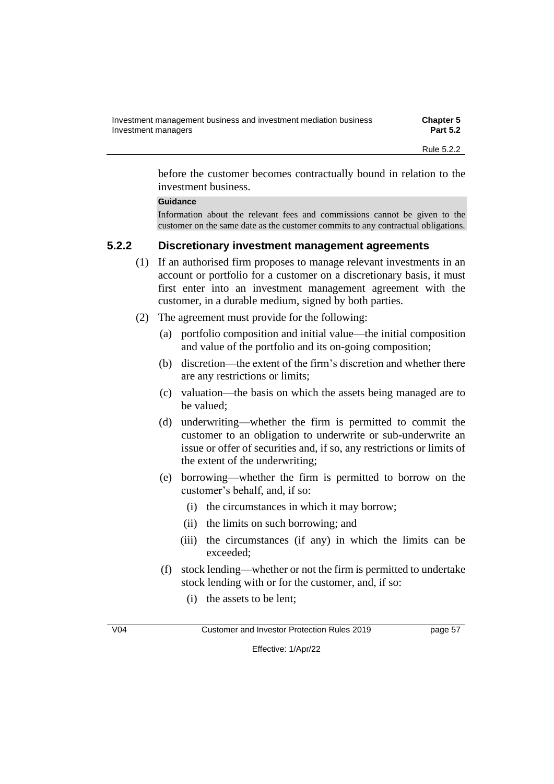| Investment management business and investment mediation business | <b>Chapter 5</b> |
|------------------------------------------------------------------|------------------|
| Investment managers                                              | <b>Part 5.2</b>  |
|                                                                  | Rule 5.2.2       |

before the customer becomes contractually bound in relation to the investment business.

#### **Guidance**

Information about the relevant fees and commissions cannot be given to the customer on the same date as the customer commits to any contractual obligations.

#### **5.2.2 Discretionary investment management agreements**

- (1) If an authorised firm proposes to manage relevant investments in an account or portfolio for a customer on a discretionary basis, it must first enter into an investment management agreement with the customer, in a durable medium, signed by both parties.
- (2) The agreement must provide for the following:
	- (a) portfolio composition and initial value—the initial composition and value of the portfolio and its on-going composition;
	- (b) discretion—the extent of the firm's discretion and whether there are any restrictions or limits;
	- (c) valuation—the basis on which the assets being managed are to be valued;
	- (d) underwriting—whether the firm is permitted to commit the customer to an obligation to underwrite or sub-underwrite an issue or offer of securities and, if so, any restrictions or limits of the extent of the underwriting;
	- (e) borrowing—whether the firm is permitted to borrow on the customer's behalf, and, if so:
		- (i) the circumstances in which it may borrow;
		- (ii) the limits on such borrowing; and
		- (iii) the circumstances (if any) in which the limits can be exceeded;
	- (f) stock lending—whether or not the firm is permitted to undertake stock lending with or for the customer, and, if so:
		- (i) the assets to be lent;

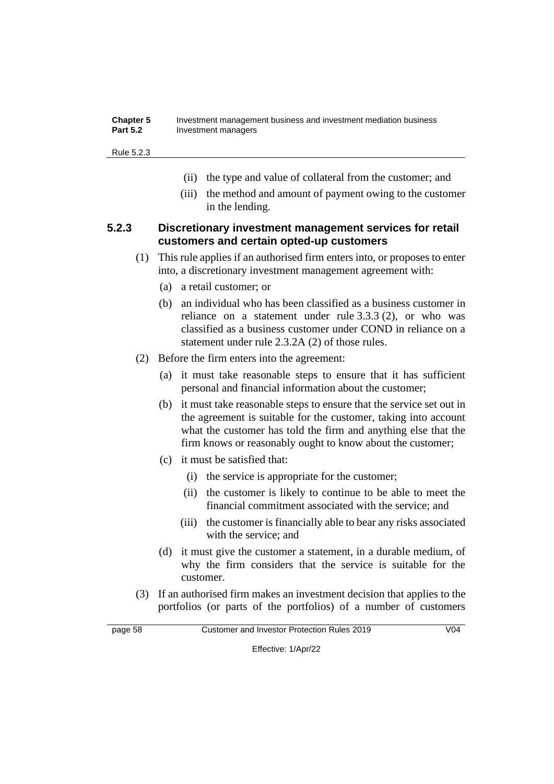| <b>Chapter 5</b> | Investment management business and investment mediation business |
|------------------|------------------------------------------------------------------|
| <b>Part 5.2</b>  | Investment managers                                              |

Rule 5.2.3

- (ii) the type and value of collateral from the customer; and
- (iii) the method and amount of payment owing to the customer in the lending.

#### **5.2.3 Discretionary investment management services for retail customers and certain opted-up customers**

- (1) This rule applies if an authorised firm enters into, or proposes to enter into, a discretionary investment management agreement with:
	- (a) a retail customer; or
	- (b) an individual who has been classified as a business customer in reliance on a statement under rule 3.3.3 (2), or who was classified as a business customer under COND in reliance on a statement under rule 2.3.2A (2) of those rules.
- (2) Before the firm enters into the agreement:
	- (a) it must take reasonable steps to ensure that it has sufficient personal and financial information about the customer;
	- (b) it must take reasonable steps to ensure that the service set out in the agreement is suitable for the customer, taking into account what the customer has told the firm and anything else that the firm knows or reasonably ought to know about the customer;
	- (c) it must be satisfied that:
		- (i) the service is appropriate for the customer;
		- (ii) the customer is likely to continue to be able to meet the financial commitment associated with the service; and
		- (iii) the customer is financially able to bear any risks associated with the service; and
	- (d) it must give the customer a statement, in a durable medium, of why the firm considers that the service is suitable for the customer.
- (3) If an authorised firm makes an investment decision that applies to the portfolios (or parts of the portfolios) of a number of customers

page 58 Customer and Investor Protection Rules 2019 V04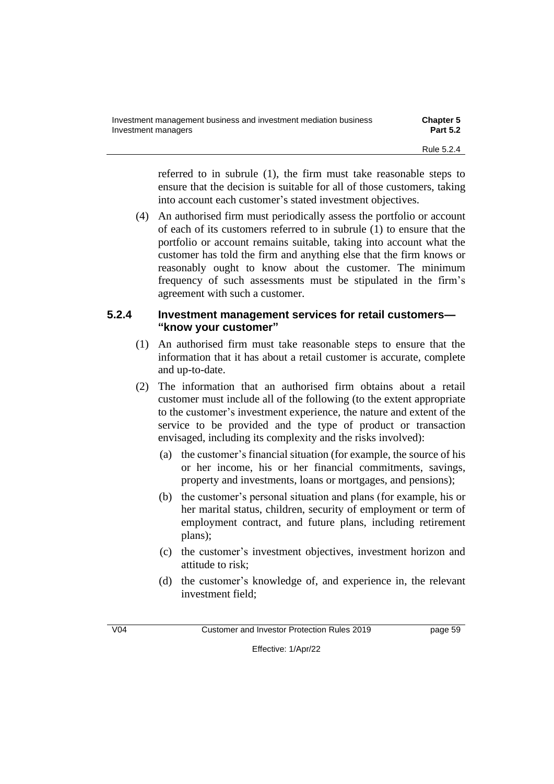| Investment management business and investment mediation business | <b>Chapter 5</b> |
|------------------------------------------------------------------|------------------|
| Investment managers                                              | <b>Part 5.2</b>  |
|                                                                  | Rule 5.2.4       |

referred to in subrule (1), the firm must take reasonable steps to ensure that the decision is suitable for all of those customers, taking into account each customer's stated investment objectives.

(4) An authorised firm must periodically assess the portfolio or account of each of its customers referred to in subrule (1) to ensure that the portfolio or account remains suitable, taking into account what the customer has told the firm and anything else that the firm knows or reasonably ought to know about the customer. The minimum frequency of such assessments must be stipulated in the firm's agreement with such a customer.

### **5.2.4 Investment management services for retail customers— "know your customer"**

- (1) An authorised firm must take reasonable steps to ensure that the information that it has about a retail customer is accurate, complete and up-to-date.
- (2) The information that an authorised firm obtains about a retail customer must include all of the following (to the extent appropriate to the customer's investment experience, the nature and extent of the service to be provided and the type of product or transaction envisaged, including its complexity and the risks involved):
	- (a) the customer's financial situation (for example, the source of his or her income, his or her financial commitments, savings, property and investments, loans or mortgages, and pensions);
	- (b) the customer's personal situation and plans (for example, his or her marital status, children, security of employment or term of employment contract, and future plans, including retirement plans);
	- (c) the customer's investment objectives, investment horizon and attitude to risk;
	- (d) the customer's knowledge of, and experience in, the relevant investment field;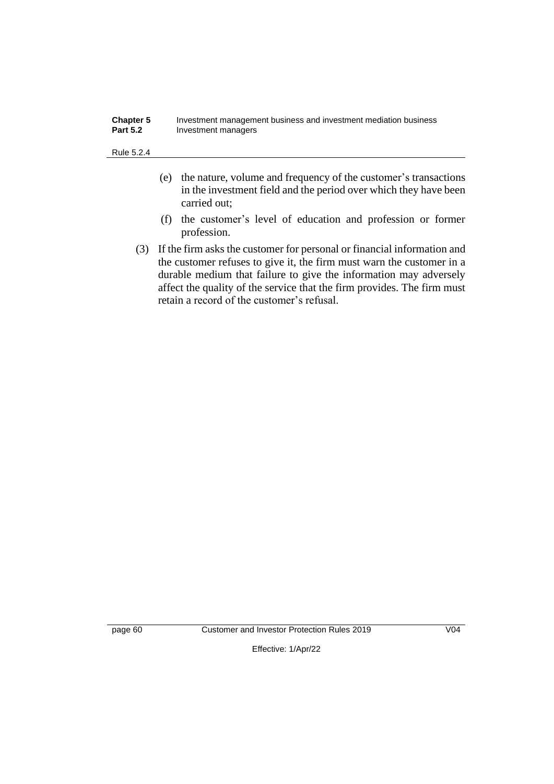| <b>Chapter 5</b> | Investment management business and investment mediation business |
|------------------|------------------------------------------------------------------|
| <b>Part 5.2</b>  | Investment managers                                              |

#### Rule 5.2.4

- (e) the nature, volume and frequency of the customer's transactions in the investment field and the period over which they have been carried out;
- (f) the customer's level of education and profession or former profession.
- (3) If the firm asks the customer for personal or financial information and the customer refuses to give it, the firm must warn the customer in a durable medium that failure to give the information may adversely affect the quality of the service that the firm provides. The firm must retain a record of the customer's refusal.

page 60 Customer and Investor Protection Rules 2019 V04

Effective: 1/Apr/22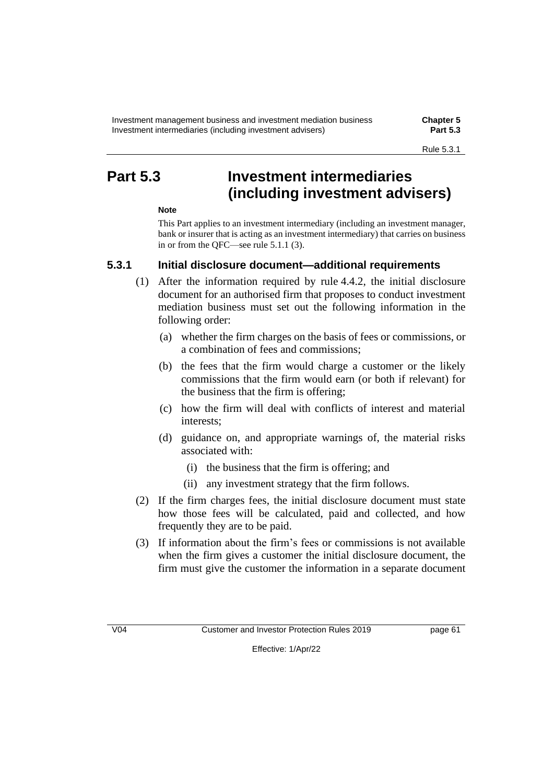## **Part 5.3 Investment intermediaries (including investment advisers)**

### **Note**

This Part applies to an investment intermediary (including an investment manager, bank or insurer that is acting as an investment intermediary) that carries on business in or from the QFC—see rule 5.1.1 (3).

### **5.3.1 Initial disclosure document—additional requirements**

- (1) After the information required by rule 4.4.2, the initial disclosure document for an authorised firm that proposes to conduct investment mediation business must set out the following information in the following order:
	- (a) whether the firm charges on the basis of fees or commissions, or a combination of fees and commissions;
	- (b) the fees that the firm would charge a customer or the likely commissions that the firm would earn (or both if relevant) for the business that the firm is offering;
	- (c) how the firm will deal with conflicts of interest and material interests;
	- (d) guidance on, and appropriate warnings of, the material risks associated with:
		- (i) the business that the firm is offering; and
		- (ii) any investment strategy that the firm follows.
- (2) If the firm charges fees, the initial disclosure document must state how those fees will be calculated, paid and collected, and how frequently they are to be paid.
- (3) If information about the firm's fees or commissions is not available when the firm gives a customer the initial disclosure document, the firm must give the customer the information in a separate document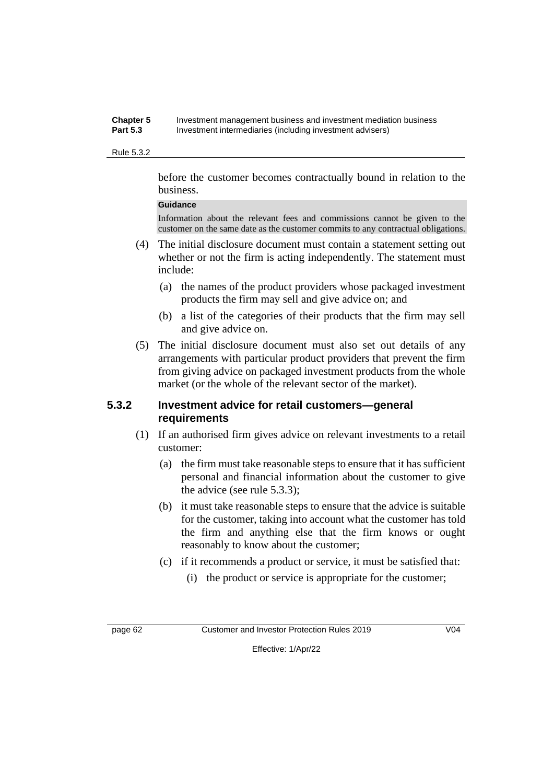#### **Chapter 5** Investment management business and investment mediation business **Part 5.3** Investment intermediaries (including investment advisers)

#### Rule 5.3.2

before the customer becomes contractually bound in relation to the business.

#### **Guidance**

Information about the relevant fees and commissions cannot be given to the customer on the same date as the customer commits to any contractual obligations.

- (4) The initial disclosure document must contain a statement setting out whether or not the firm is acting independently. The statement must include:
	- (a) the names of the product providers whose packaged investment products the firm may sell and give advice on; and
	- (b) a list of the categories of their products that the firm may sell and give advice on.
- (5) The initial disclosure document must also set out details of any arrangements with particular product providers that prevent the firm from giving advice on packaged investment products from the whole market (or the whole of the relevant sector of the market).

#### **5.3.2 Investment advice for retail customers—general requirements**

- (1) If an authorised firm gives advice on relevant investments to a retail customer:
	- (a) the firm must take reasonable steps to ensure that it has sufficient personal and financial information about the customer to give the advice (see rule 5.3.3);
	- (b) it must take reasonable steps to ensure that the advice is suitable for the customer, taking into account what the customer has told the firm and anything else that the firm knows or ought reasonably to know about the customer;
	- (c) if it recommends a product or service, it must be satisfied that:
		- (i) the product or service is appropriate for the customer;

page 62 Customer and Investor Protection Rules 2019 V04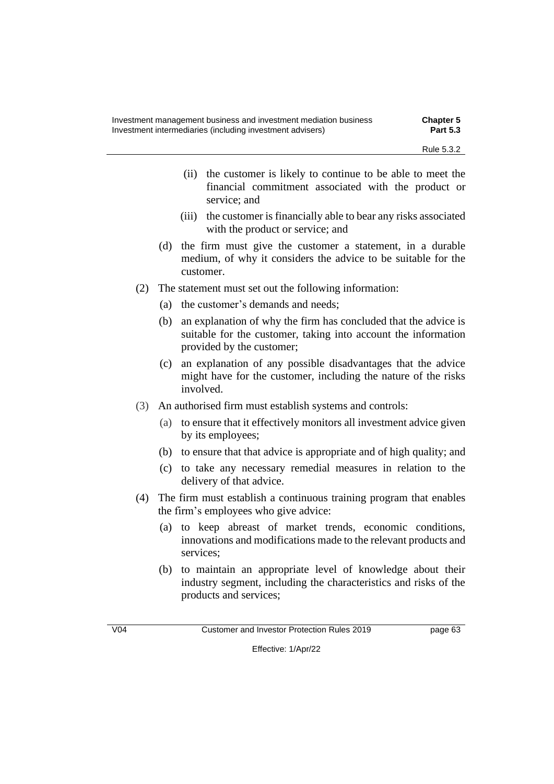- (ii) the customer is likely to continue to be able to meet the financial commitment associated with the product or service; and
- (iii) the customer is financially able to bear any risks associated with the product or service; and
- (d) the firm must give the customer a statement, in a durable medium, of why it considers the advice to be suitable for the customer.
- (2) The statement must set out the following information:
	- (a) the customer's demands and needs;
	- (b) an explanation of why the firm has concluded that the advice is suitable for the customer, taking into account the information provided by the customer;
	- (c) an explanation of any possible disadvantages that the advice might have for the customer, including the nature of the risks involved.
- (3) An authorised firm must establish systems and controls:
	- (a) to ensure that it effectively monitors all investment advice given by its employees;
	- (b) to ensure that that advice is appropriate and of high quality; and
	- (c) to take any necessary remedial measures in relation to the delivery of that advice.
- (4) The firm must establish a continuous training program that enables the firm's employees who give advice:
	- (a) to keep abreast of market trends, economic conditions, innovations and modifications made to the relevant products and services;
	- (b) to maintain an appropriate level of knowledge about their industry segment, including the characteristics and risks of the products and services;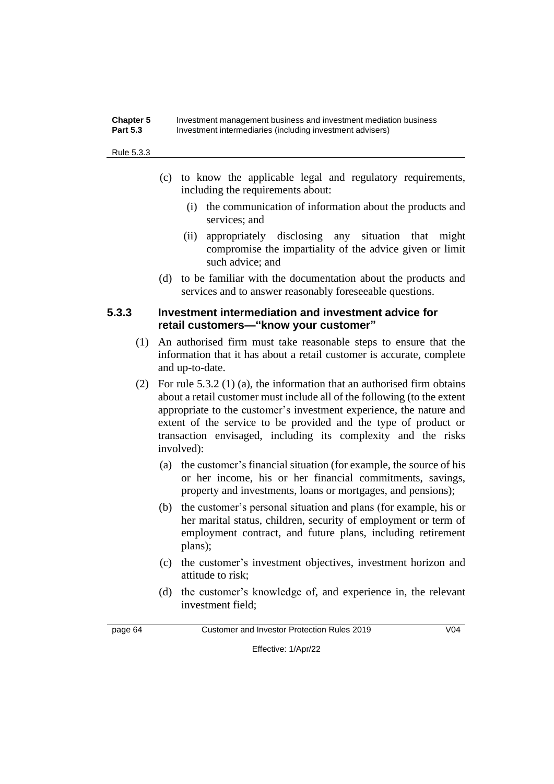#### **Chapter 5** Investment management business and investment mediation business **Part 5.3** Investment intermediaries (including investment advisers)

#### Rule 5.3.3

- (c) to know the applicable legal and regulatory requirements, including the requirements about:
	- (i) the communication of information about the products and services; and
	- (ii) appropriately disclosing any situation that might compromise the impartiality of the advice given or limit such advice; and
- (d) to be familiar with the documentation about the products and services and to answer reasonably foreseeable questions.

### **5.3.3 Investment intermediation and investment advice for retail customers—"know your customer"**

- (1) An authorised firm must take reasonable steps to ensure that the information that it has about a retail customer is accurate, complete and up-to-date.
- (2) For rule 5.3.2 (1) (a), the information that an authorised firm obtains about a retail customer must include all of the following (to the extent appropriate to the customer's investment experience, the nature and extent of the service to be provided and the type of product or transaction envisaged, including its complexity and the risks involved):
	- (a) the customer's financial situation (for example, the source of his or her income, his or her financial commitments, savings, property and investments, loans or mortgages, and pensions);
	- (b) the customer's personal situation and plans (for example, his or her marital status, children, security of employment or term of employment contract, and future plans, including retirement plans);
	- (c) the customer's investment objectives, investment horizon and attitude to risk;
	- (d) the customer's knowledge of, and experience in, the relevant investment field;

page 64 Customer and Investor Protection Rules 2019 V04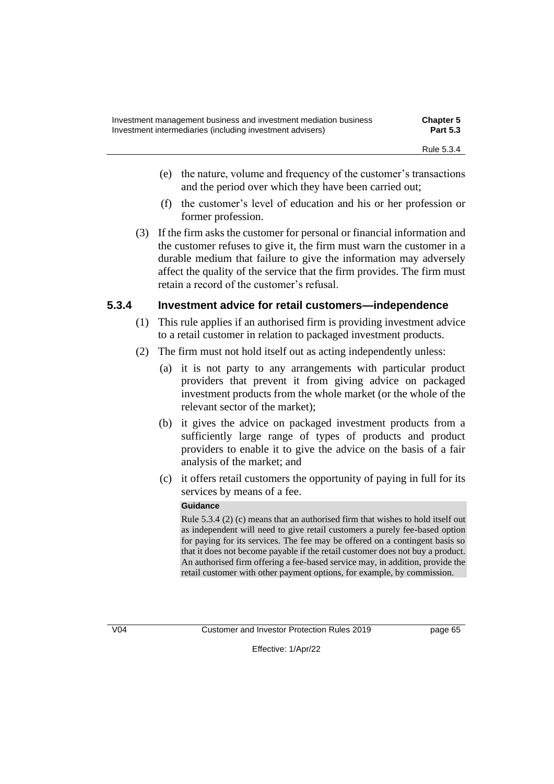- (e) the nature, volume and frequency of the customer's transactions and the period over which they have been carried out;
- (f) the customer's level of education and his or her profession or former profession.
- (3) If the firm asks the customer for personal or financial information and the customer refuses to give it, the firm must warn the customer in a durable medium that failure to give the information may adversely affect the quality of the service that the firm provides. The firm must retain a record of the customer's refusal.

# **5.3.4 Investment advice for retail customers—independence**

- (1) This rule applies if an authorised firm is providing investment advice to a retail customer in relation to packaged investment products.
- (2) The firm must not hold itself out as acting independently unless:
	- (a) it is not party to any arrangements with particular product providers that prevent it from giving advice on packaged investment products from the whole market (or the whole of the relevant sector of the market);
	- (b) it gives the advice on packaged investment products from a sufficiently large range of types of products and product providers to enable it to give the advice on the basis of a fair analysis of the market; and
	- (c) it offers retail customers the opportunity of paying in full for its services by means of a fee.

### **Guidance**

Rule 5.3.4 (2) (c) means that an authorised firm that wishes to hold itself out as independent will need to give retail customers a purely fee-based option for paying for its services. The fee may be offered on a contingent basis so that it does not become payable if the retail customer does not buy a product. An authorised firm offering a fee-based service may, in addition, provide the retail customer with other payment options, for example, by commission.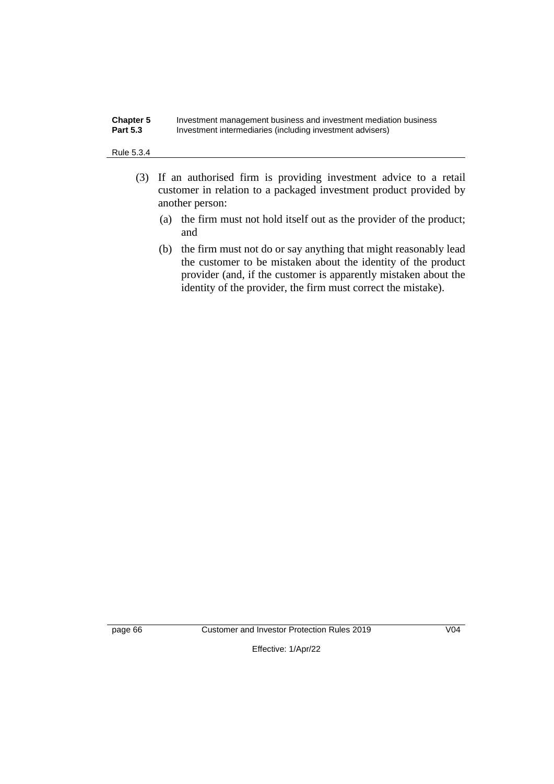#### **Chapter 5** Investment management business and investment mediation business **Part 5.3** Investment intermediaries (including investment advisers) Investment intermediaries (including investment advisers)

#### Rule 5.3.4

- (3) If an authorised firm is providing investment advice to a retail customer in relation to a packaged investment product provided by another person:
	- (a) the firm must not hold itself out as the provider of the product; and
	- (b) the firm must not do or say anything that might reasonably lead the customer to be mistaken about the identity of the product provider (and, if the customer is apparently mistaken about the identity of the provider, the firm must correct the mistake).

page 66 Customer and Investor Protection Rules 2019 V04

Effective: 1/Apr/22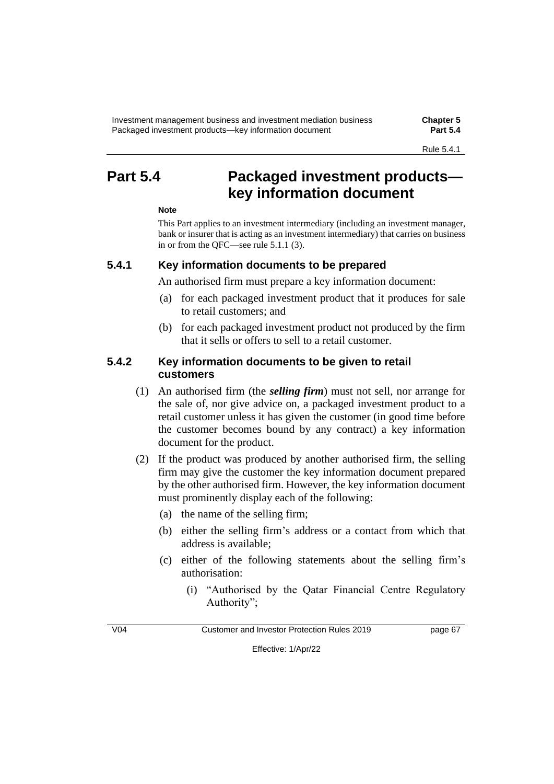# **Part 5.4 Packaged investment products key information document**

### **Note**

This Part applies to an investment intermediary (including an investment manager, bank or insurer that is acting as an investment intermediary) that carries on business in or from the QFC—see rule 5.1.1 (3).

# **5.4.1 Key information documents to be prepared**

An authorised firm must prepare a key information document:

- (a) for each packaged investment product that it produces for sale to retail customers; and
- (b) for each packaged investment product not produced by the firm that it sells or offers to sell to a retail customer.

# **5.4.2 Key information documents to be given to retail customers**

- (1) An authorised firm (the *selling firm*) must not sell, nor arrange for the sale of, nor give advice on, a packaged investment product to a retail customer unless it has given the customer (in good time before the customer becomes bound by any contract) a key information document for the product.
- (2) If the product was produced by another authorised firm, the selling firm may give the customer the key information document prepared by the other authorised firm. However, the key information document must prominently display each of the following:
	- (a) the name of the selling firm;
	- (b) either the selling firm's address or a contact from which that address is available;
	- (c) either of the following statements about the selling firm's authorisation:
		- (i) "Authorised by the Qatar Financial Centre Regulatory Authority";

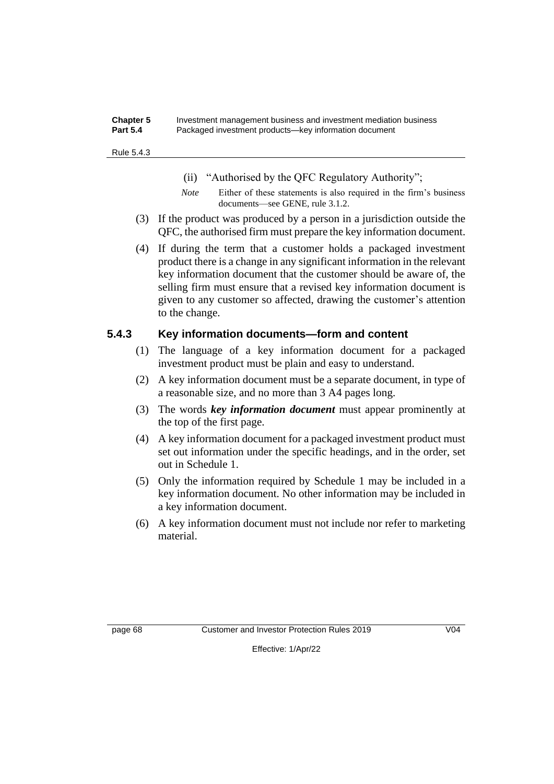#### **Chapter 5** Investment management business and investment mediation business **Part 5.4** Packaged investment products—key information document

#### Rule 5.4.3

- (ii) "Authorised by the QFC Regulatory Authority";
- *Note* Either of these statements is also required in the firm's business documents—see GENE, rule 3.1.2.
- (3) If the product was produced by a person in a jurisdiction outside the QFC, the authorised firm must prepare the key information document.
- (4) If during the term that a customer holds a packaged investment product there is a change in any significant information in the relevant key information document that the customer should be aware of, the selling firm must ensure that a revised key information document is given to any customer so affected, drawing the customer's attention to the change.

# **5.4.3 Key information documents—form and content**

- (1) The language of a key information document for a packaged investment product must be plain and easy to understand.
- (2) A key information document must be a separate document, in type of a reasonable size, and no more than 3 A4 pages long.
- (3) The words *key information document* must appear prominently at the top of the first page.
- (4) A key information document for a packaged investment product must set out information under the specific headings, and in the order, set out in Schedule 1.
- (5) Only the information required by Schedule 1 may be included in a key information document. No other information may be included in a key information document.
- (6) A key information document must not include nor refer to marketing material.

page 68 Customer and Investor Protection Rules 2019 V04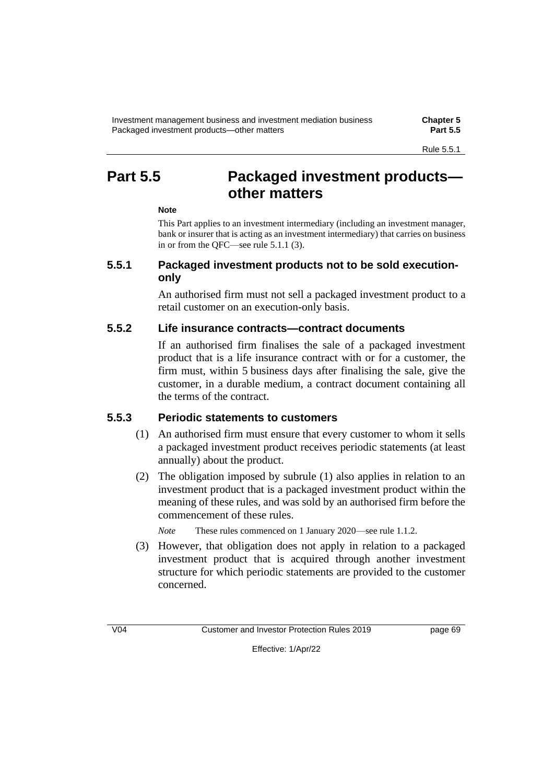# **Part 5.5 Packaged investment products other matters**

# **Note**

This Part applies to an investment intermediary (including an investment manager, bank or insurer that is acting as an investment intermediary) that carries on business in or from the QFC—see rule 5.1.1 (3).

# **5.5.1 Packaged investment products not to be sold executiononly**

An authorised firm must not sell a packaged investment product to a retail customer on an execution-only basis.

# **5.5.2 Life insurance contracts—contract documents**

If an authorised firm finalises the sale of a packaged investment product that is a life insurance contract with or for a customer, the firm must, within 5 business days after finalising the sale, give the customer, in a durable medium, a contract document containing all the terms of the contract.

# **5.5.3 Periodic statements to customers**

- (1) An authorised firm must ensure that every customer to whom it sells a packaged investment product receives periodic statements (at least annually) about the product.
- (2) The obligation imposed by subrule (1) also applies in relation to an investment product that is a packaged investment product within the meaning of these rules, and was sold by an authorised firm before the commencement of these rules.

*Note* These rules commenced on 1 January 2020—see rule 1.1.2.

(3) However, that obligation does not apply in relation to a packaged investment product that is acquired through another investment structure for which periodic statements are provided to the customer concerned.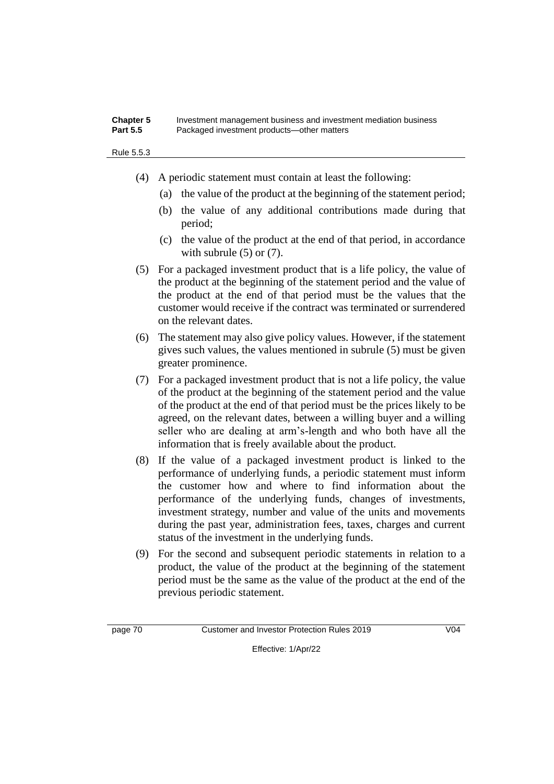#### **Chapter 5** Investment management business and investment mediation business Part 5.5 **Packaged investment products—other matters**

Rule 5.5.3

- (4) A periodic statement must contain at least the following:
	- (a) the value of the product at the beginning of the statement period;
	- (b) the value of any additional contributions made during that period;
	- (c) the value of the product at the end of that period, in accordance with subrule  $(5)$  or  $(7)$ .
- (5) For a packaged investment product that is a life policy, the value of the product at the beginning of the statement period and the value of the product at the end of that period must be the values that the customer would receive if the contract was terminated or surrendered on the relevant dates.
- (6) The statement may also give policy values. However, if the statement gives such values, the values mentioned in subrule (5) must be given greater prominence.
- (7) For a packaged investment product that is not a life policy, the value of the product at the beginning of the statement period and the value of the product at the end of that period must be the prices likely to be agreed, on the relevant dates, between a willing buyer and a willing seller who are dealing at arm's-length and who both have all the information that is freely available about the product.
- (8) If the value of a packaged investment product is linked to the performance of underlying funds, a periodic statement must inform the customer how and where to find information about the performance of the underlying funds, changes of investments, investment strategy, number and value of the units and movements during the past year, administration fees, taxes, charges and current status of the investment in the underlying funds.
- (9) For the second and subsequent periodic statements in relation to a product, the value of the product at the beginning of the statement period must be the same as the value of the product at the end of the previous periodic statement.

page 70 Customer and Investor Protection Rules 2019 V04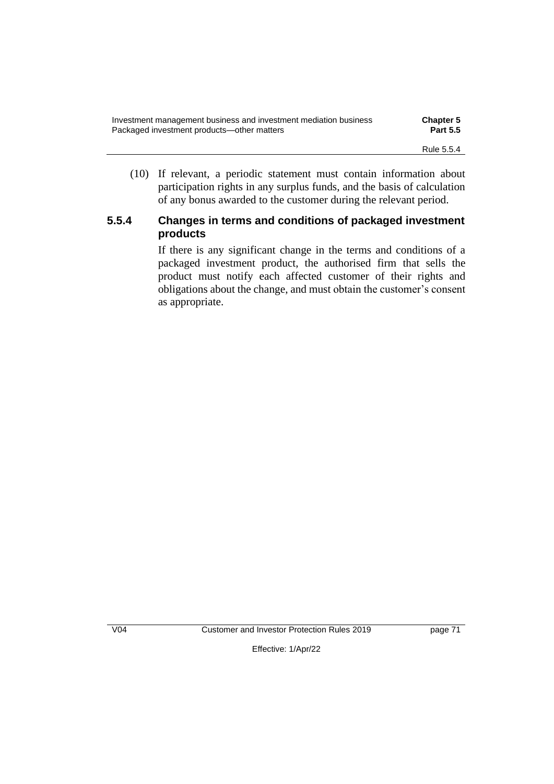| Investment management business and investment mediation business | <b>Chapter 5</b> |
|------------------------------------------------------------------|------------------|
| Packaged investment products—other matters                       | <b>Part 5.5</b>  |
|                                                                  | Rule 5.5.4       |

(10) If relevant, a periodic statement must contain information about participation rights in any surplus funds, and the basis of calculation of any bonus awarded to the customer during the relevant period.

# **5.5.4 Changes in terms and conditions of packaged investment products**

If there is any significant change in the terms and conditions of a packaged investment product, the authorised firm that sells the product must notify each affected customer of their rights and obligations about the change, and must obtain the customer's consent as appropriate.

V04 Customer and Investor Protection Rules 2019 page 71

Effective: 1/Apr/22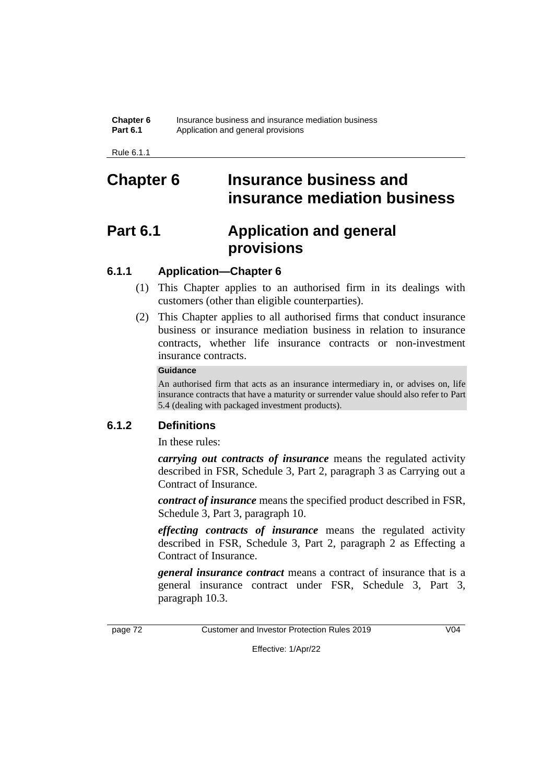Rule 6.1.1

# **Chapter 6 Insurance business and insurance mediation business**

# **Part 6.1 Application and general provisions**

# **6.1.1 Application—Chapter 6**

- (1) This Chapter applies to an authorised firm in its dealings with customers (other than eligible counterparties).
- (2) This Chapter applies to all authorised firms that conduct insurance business or insurance mediation business in relation to insurance contracts, whether life insurance contracts or non-investment insurance contracts.

### **Guidance**

An authorised firm that acts as an insurance intermediary in, or advises on, life insurance contracts that have a maturity or surrender value should also refer to Part 5.4 (dealing with packaged investment products).

# **6.1.2 Definitions**

In these rules:

*carrying out contracts of insurance* means the regulated activity described in FSR, Schedule 3, Part 2, paragraph 3 as Carrying out a Contract of Insurance.

*contract of insurance* means the specified product described in FSR, Schedule 3, Part 3, paragraph 10.

*effecting contracts of insurance* means the regulated activity described in FSR, Schedule 3, Part 2, paragraph 2 as Effecting a Contract of Insurance.

*general insurance contract* means a contract of insurance that is a general insurance contract under FSR, Schedule 3, Part 3, paragraph 10.3.

page 72 Customer and Investor Protection Rules 2019 V04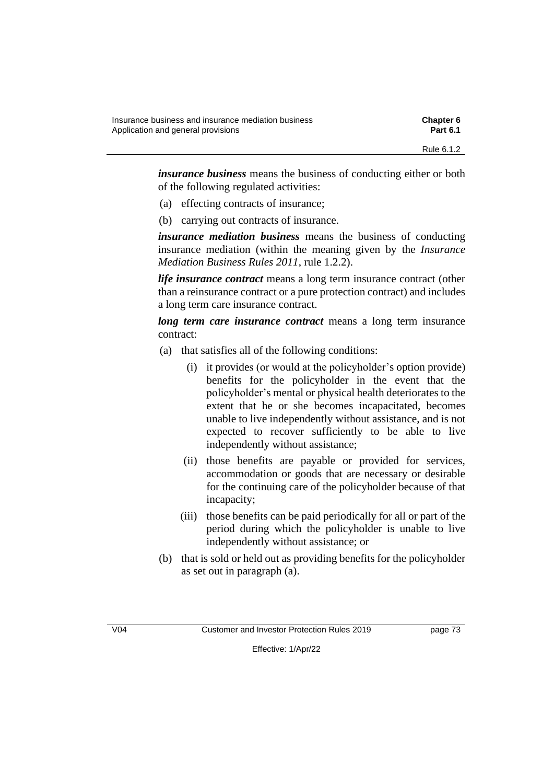| Insurance business and insurance mediation business | <b>Chapter 6</b> |
|-----------------------------------------------------|------------------|
| Application and general provisions                  | <b>Part 6.1</b>  |
|                                                     | Rule 6.1.2       |

*insurance business* means the business of conducting either or both of the following regulated activities:

- (a) effecting contracts of insurance;
- (b) carrying out contracts of insurance.

*insurance mediation business* means the business of conducting insurance mediation (within the meaning given by the *Insurance Mediation Business Rules 2011*, rule 1.2.2).

*life insurance contract* means a long term insurance contract (other than a reinsurance contract or a pure protection contract) and includes a long term care insurance contract.

*long term care insurance contract* means a long term insurance contract:

- (a) that satisfies all of the following conditions:
	- (i) it provides (or would at the policyholder's option provide) benefits for the policyholder in the event that the policyholder's mental or physical health deteriorates to the extent that he or she becomes incapacitated, becomes unable to live independently without assistance, and is not expected to recover sufficiently to be able to live independently without assistance;
	- (ii) those benefits are payable or provided for services, accommodation or goods that are necessary or desirable for the continuing care of the policyholder because of that incapacity;
	- (iii) those benefits can be paid periodically for all or part of the period during which the policyholder is unable to live independently without assistance; or
- (b) that is sold or held out as providing benefits for the policyholder as set out in paragraph (a).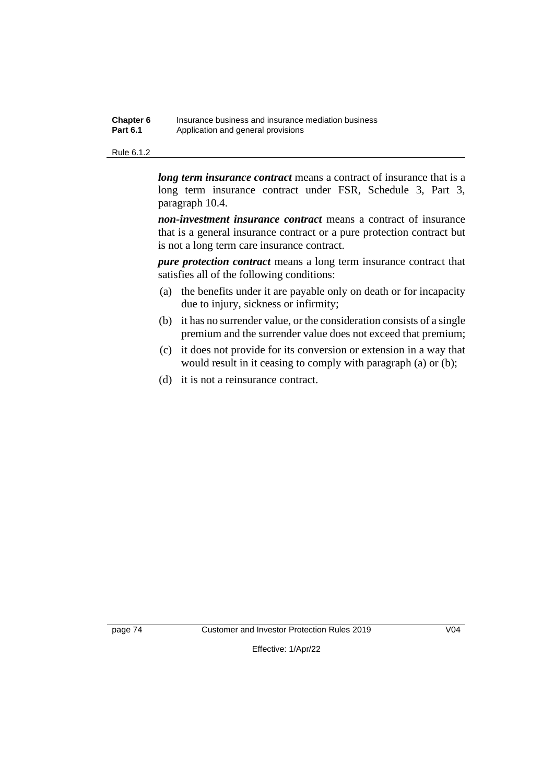| Chapter 6       | Insurance business and insurance mediation business |
|-----------------|-----------------------------------------------------|
| <b>Part 6.1</b> | Application and general provisions                  |

#### Rule 6.1.2

*long term insurance contract* means a contract of insurance that is a long term insurance contract under FSR, Schedule 3, Part 3, paragraph 10.4.

*non-investment insurance contract* means a contract of insurance that is a general insurance contract or a pure protection contract but is not a long term care insurance contract.

*pure protection contract* means a long term insurance contract that satisfies all of the following conditions:

- (a) the benefits under it are payable only on death or for incapacity due to injury, sickness or infirmity;
- (b) it has no surrender value, or the consideration consists of a single premium and the surrender value does not exceed that premium;
- (c) it does not provide for its conversion or extension in a way that would result in it ceasing to comply with paragraph (a) or (b);
- (d) it is not a reinsurance contract.

page 74 Customer and Investor Protection Rules 2019 V04

Effective: 1/Apr/22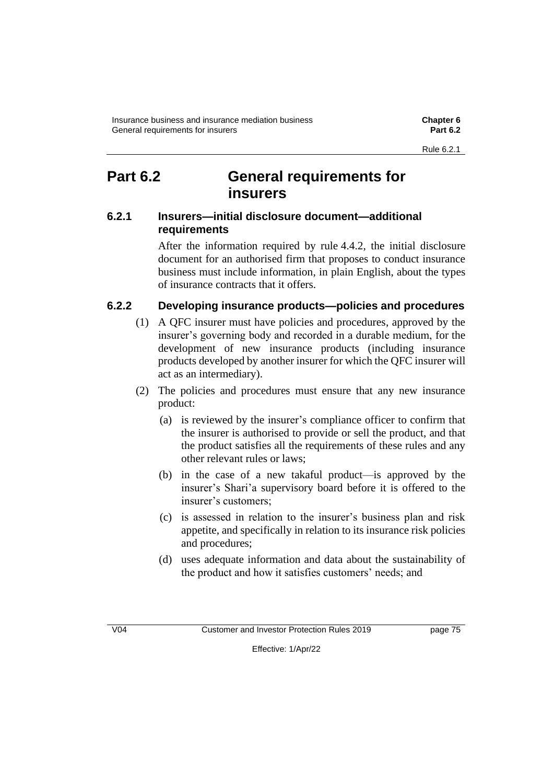# **Part 6.2 General requirements for insurers**

# **6.2.1 Insurers—initial disclosure document—additional requirements**

After the information required by rule 4.4.2, the initial disclosure document for an authorised firm that proposes to conduct insurance business must include information, in plain English, about the types of insurance contracts that it offers.

# **6.2.2 Developing insurance products—policies and procedures**

- (1) A QFC insurer must have policies and procedures, approved by the insurer's governing body and recorded in a durable medium, for the development of new insurance products (including insurance products developed by another insurer for which the QFC insurer will act as an intermediary).
- (2) The policies and procedures must ensure that any new insurance product:
	- (a) is reviewed by the insurer's compliance officer to confirm that the insurer is authorised to provide or sell the product, and that the product satisfies all the requirements of these rules and any other relevant rules or laws;
	- (b) in the case of a new takaful product—is approved by the insurer's Shari'a supervisory board before it is offered to the insurer's customers;
	- (c) is assessed in relation to the insurer's business plan and risk appetite, and specifically in relation to its insurance risk policies and procedures;
	- (d) uses adequate information and data about the sustainability of the product and how it satisfies customers' needs; and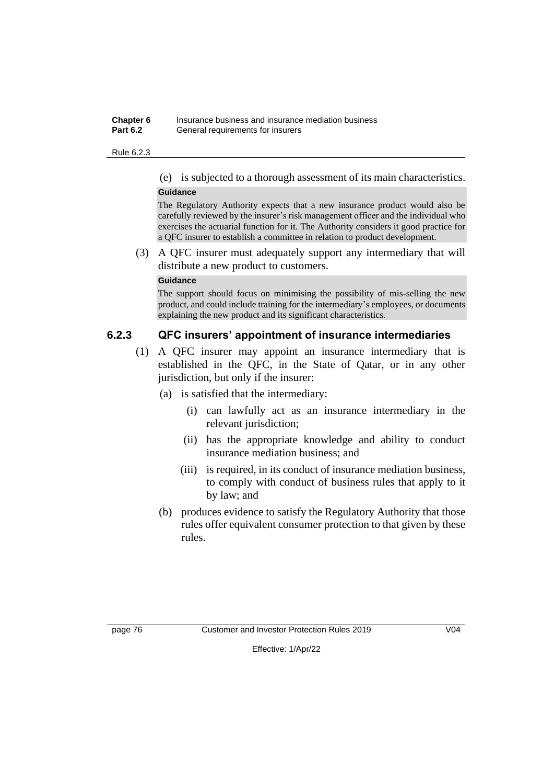#### **Chapter 6** Insurance business and insurance mediation business **Part 6.2** General requirements for insurers

#### Rule 6.2.3

(e) is subjected to a thorough assessment of its main characteristics.

#### **Guidance**

The Regulatory Authority expects that a new insurance product would also be carefully reviewed by the insurer's risk management officer and the individual who exercises the actuarial function for it. The Authority considers it good practice for a QFC insurer to establish a committee in relation to product development.

(3) A QFC insurer must adequately support any intermediary that will distribute a new product to customers.

#### **Guidance**

The support should focus on minimising the possibility of mis-selling the new product, and could include training for the intermediary's employees, or documents explaining the new product and its significant characteristics.

### **6.2.3 QFC insurers' appointment of insurance intermediaries**

- (1) A QFC insurer may appoint an insurance intermediary that is established in the QFC, in the State of Qatar, or in any other jurisdiction, but only if the insurer:
	- (a) is satisfied that the intermediary:
		- (i) can lawfully act as an insurance intermediary in the relevant jurisdiction;
		- (ii) has the appropriate knowledge and ability to conduct insurance mediation business; and
		- (iii) is required, in its conduct of insurance mediation business, to comply with conduct of business rules that apply to it by law; and
	- (b) produces evidence to satisfy the Regulatory Authority that those rules offer equivalent consumer protection to that given by these rules.

page 76 Customer and Investor Protection Rules 2019 V04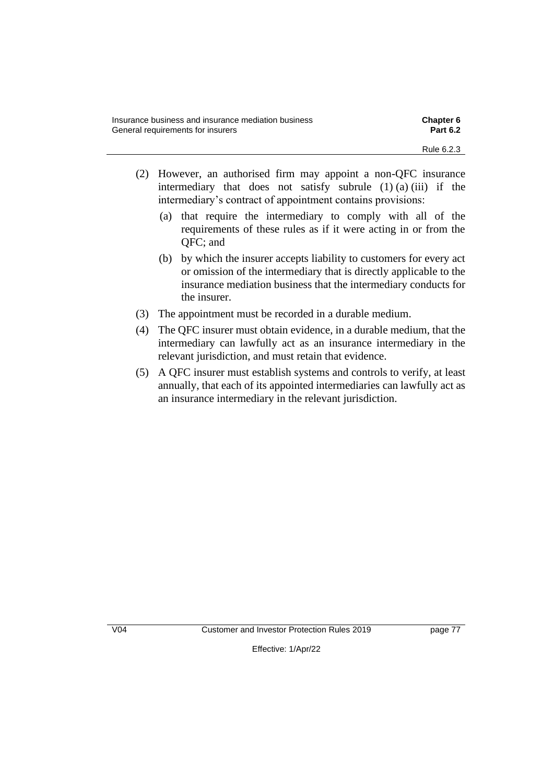- (2) However, an authorised firm may appoint a non-QFC insurance intermediary that does not satisfy subrule  $(1)$   $(a)$   $(iii)$  if the intermediary's contract of appointment contains provisions:
	- (a) that require the intermediary to comply with all of the requirements of these rules as if it were acting in or from the QFC; and
	- (b) by which the insurer accepts liability to customers for every act or omission of the intermediary that is directly applicable to the insurance mediation business that the intermediary conducts for the insurer.
- (3) The appointment must be recorded in a durable medium.
- (4) The QFC insurer must obtain evidence, in a durable medium, that the intermediary can lawfully act as an insurance intermediary in the relevant jurisdiction, and must retain that evidence.
- (5) A QFC insurer must establish systems and controls to verify, at least annually, that each of its appointed intermediaries can lawfully act as an insurance intermediary in the relevant jurisdiction.

V04 Customer and Investor Protection Rules 2019 page 77

Effective: 1/Apr/22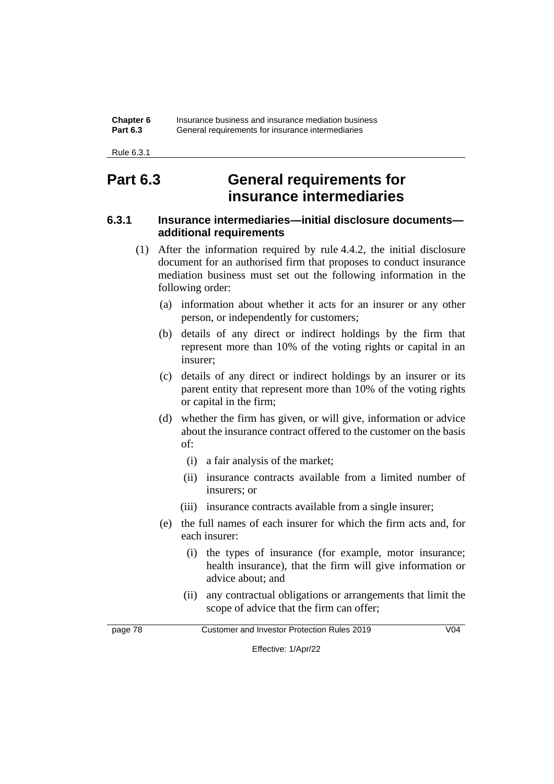| Chapter 6       | Insurance business and insurance mediation business |
|-----------------|-----------------------------------------------------|
| <b>Part 6.3</b> | General requirements for insurance intermediaries   |

Rule 6.3.1

# **Part 6.3 General requirements for insurance intermediaries**

# **6.3.1 Insurance intermediaries—initial disclosure documents additional requirements**

- (1) After the information required by rule 4.4.2, the initial disclosure document for an authorised firm that proposes to conduct insurance mediation business must set out the following information in the following order:
	- (a) information about whether it acts for an insurer or any other person, or independently for customers;
	- (b) details of any direct or indirect holdings by the firm that represent more than 10% of the voting rights or capital in an insurer;
	- (c) details of any direct or indirect holdings by an insurer or its parent entity that represent more than 10% of the voting rights or capital in the firm;
	- (d) whether the firm has given, or will give, information or advice about the insurance contract offered to the customer on the basis of:
		- (i) a fair analysis of the market;
		- (ii) insurance contracts available from a limited number of insurers; or
		- (iii) insurance contracts available from a single insurer;
	- (e) the full names of each insurer for which the firm acts and, for each insurer:
		- (i) the types of insurance (for example, motor insurance; health insurance), that the firm will give information or advice about; and
		- (ii) any contractual obligations or arrangements that limit the scope of advice that the firm can offer;

page 78 Customer and Investor Protection Rules 2019 V04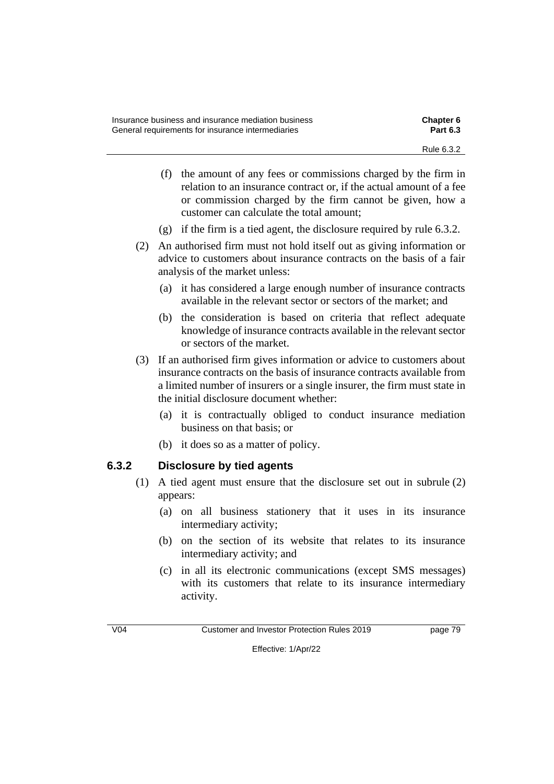| Insurance business and insurance mediation business | <b>Chapter 6</b> |
|-----------------------------------------------------|------------------|
| General requirements for insurance intermediaries   | <b>Part 6.3</b>  |
|                                                     | Rule 6.3.2       |

- (f) the amount of any fees or commissions charged by the firm in relation to an insurance contract or, if the actual amount of a fee or commission charged by the firm cannot be given, how a customer can calculate the total amount;
- (g) if the firm is a tied agent, the disclosure required by rule 6.3.2.
- (2) An authorised firm must not hold itself out as giving information or advice to customers about insurance contracts on the basis of a fair analysis of the market unless:
	- (a) it has considered a large enough number of insurance contracts available in the relevant sector or sectors of the market; and
	- (b) the consideration is based on criteria that reflect adequate knowledge of insurance contracts available in the relevant sector or sectors of the market.
- (3) If an authorised firm gives information or advice to customers about insurance contracts on the basis of insurance contracts available from a limited number of insurers or a single insurer, the firm must state in the initial disclosure document whether:
	- (a) it is contractually obliged to conduct insurance mediation business on that basis; or
	- (b) it does so as a matter of policy.

# **6.3.2 Disclosure by tied agents**

- (1) A tied agent must ensure that the disclosure set out in subrule (2) appears:
	- (a) on all business stationery that it uses in its insurance intermediary activity;
	- (b) on the section of its website that relates to its insurance intermediary activity; and
	- (c) in all its electronic communications (except SMS messages) with its customers that relate to its insurance intermediary activity.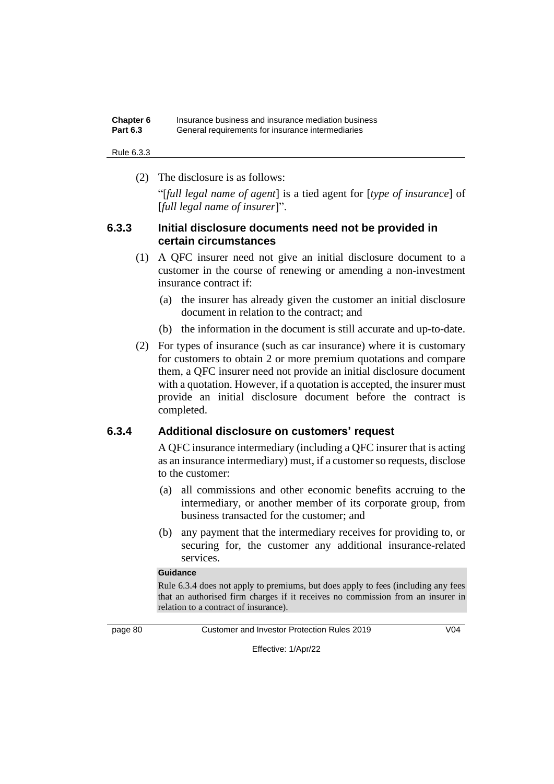| Chapter 6       | Insurance business and insurance mediation business |
|-----------------|-----------------------------------------------------|
| <b>Part 6.3</b> | General requirements for insurance intermediaries   |

Rule 6.3.3

(2) The disclosure is as follows:

"[*full legal name of agent*] is a tied agent for [*type of insurance*] of [*full legal name of insurer*]".

### **6.3.3 Initial disclosure documents need not be provided in certain circumstances**

- (1) A QFC insurer need not give an initial disclosure document to a customer in the course of renewing or amending a non-investment insurance contract if:
	- (a) the insurer has already given the customer an initial disclosure document in relation to the contract; and
	- (b) the information in the document is still accurate and up-to-date.
- (2) For types of insurance (such as car insurance) where it is customary for customers to obtain 2 or more premium quotations and compare them, a QFC insurer need not provide an initial disclosure document with a quotation. However, if a quotation is accepted, the insurer must provide an initial disclosure document before the contract is completed.

# **6.3.4 Additional disclosure on customers' request**

A QFC insurance intermediary (including a QFC insurer that is acting as an insurance intermediary) must, if a customer so requests, disclose to the customer:

- (a) all commissions and other economic benefits accruing to the intermediary, or another member of its corporate group, from business transacted for the customer; and
- (b) any payment that the intermediary receives for providing to, or securing for, the customer any additional insurance-related services.

#### **Guidance**

Rule 6.3.4 does not apply to premiums, but does apply to fees (including any fees that an authorised firm charges if it receives no commission from an insurer in relation to a contract of insurance).

page 80 Customer and Investor Protection Rules 2019 V04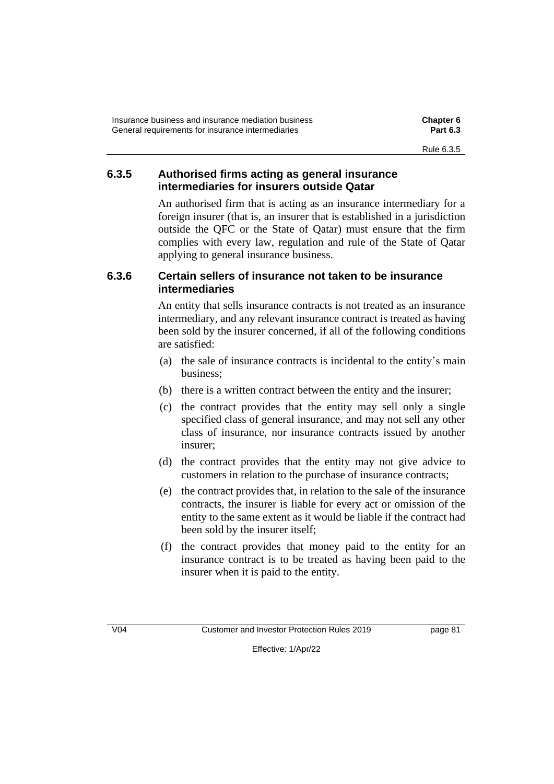| Insurance business and insurance mediation business | <b>Chapter 6</b> |
|-----------------------------------------------------|------------------|
| General requirements for insurance intermediaries   | <b>Part 6.3</b>  |
|                                                     | Rule 6.3.5       |

# **6.3.5 Authorised firms acting as general insurance intermediaries for insurers outside Qatar**

An authorised firm that is acting as an insurance intermediary for a foreign insurer (that is, an insurer that is established in a jurisdiction outside the QFC or the State of Qatar) must ensure that the firm complies with every law, regulation and rule of the State of Qatar applying to general insurance business.

# **6.3.6 Certain sellers of insurance not taken to be insurance intermediaries**

An entity that sells insurance contracts is not treated as an insurance intermediary, and any relevant insurance contract is treated as having been sold by the insurer concerned, if all of the following conditions are satisfied:

- (a) the sale of insurance contracts is incidental to the entity's main business;
- (b) there is a written contract between the entity and the insurer;
- (c) the contract provides that the entity may sell only a single specified class of general insurance, and may not sell any other class of insurance, nor insurance contracts issued by another insurer;
- (d) the contract provides that the entity may not give advice to customers in relation to the purchase of insurance contracts;
- (e) the contract provides that, in relation to the sale of the insurance contracts, the insurer is liable for every act or omission of the entity to the same extent as it would be liable if the contract had been sold by the insurer itself;
- (f) the contract provides that money paid to the entity for an insurance contract is to be treated as having been paid to the insurer when it is paid to the entity.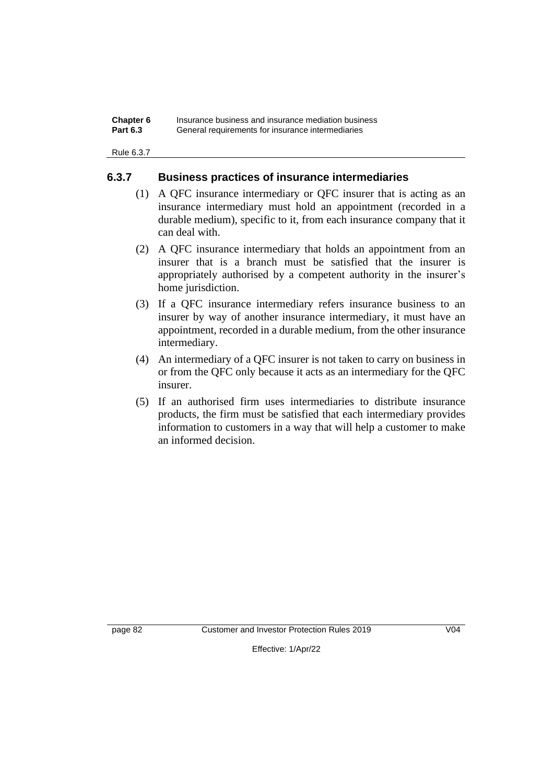| Chapter 6       | Insurance business and insurance mediation business |
|-----------------|-----------------------------------------------------|
| <b>Part 6.3</b> | General requirements for insurance intermediaries   |

Rule 6.3.7

### **6.3.7 Business practices of insurance intermediaries**

- (1) A QFC insurance intermediary or QFC insurer that is acting as an insurance intermediary must hold an appointment (recorded in a durable medium), specific to it, from each insurance company that it can deal with.
- (2) A QFC insurance intermediary that holds an appointment from an insurer that is a branch must be satisfied that the insurer is appropriately authorised by a competent authority in the insurer's home jurisdiction.
- (3) If a QFC insurance intermediary refers insurance business to an insurer by way of another insurance intermediary, it must have an appointment, recorded in a durable medium, from the other insurance intermediary.
- (4) An intermediary of a QFC insurer is not taken to carry on business in or from the QFC only because it acts as an intermediary for the QFC insurer.
- (5) If an authorised firm uses intermediaries to distribute insurance products, the firm must be satisfied that each intermediary provides information to customers in a way that will help a customer to make an informed decision.

page 82 Customer and Investor Protection Rules 2019 V04

Effective: 1/Apr/22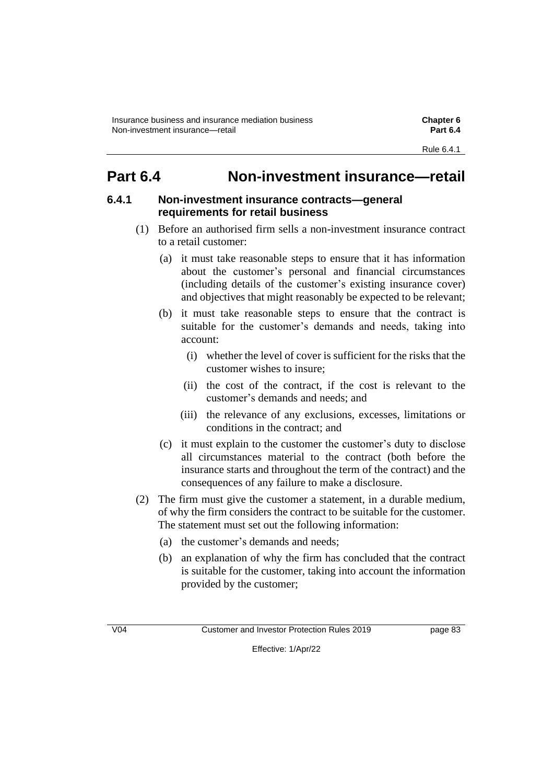# **Part 6.4 Non-investment insurance—retail**

# **6.4.1 Non-investment insurance contracts—general requirements for retail business**

- (1) Before an authorised firm sells a non-investment insurance contract to a retail customer:
	- (a) it must take reasonable steps to ensure that it has information about the customer's personal and financial circumstances (including details of the customer's existing insurance cover) and objectives that might reasonably be expected to be relevant;
	- (b) it must take reasonable steps to ensure that the contract is suitable for the customer's demands and needs, taking into account:
		- (i) whether the level of cover is sufficient for the risks that the customer wishes to insure;
		- (ii) the cost of the contract, if the cost is relevant to the customer's demands and needs; and
		- (iii) the relevance of any exclusions, excesses, limitations or conditions in the contract; and
	- (c) it must explain to the customer the customer's duty to disclose all circumstances material to the contract (both before the insurance starts and throughout the term of the contract) and the consequences of any failure to make a disclosure.
- (2) The firm must give the customer a statement, in a durable medium, of why the firm considers the contract to be suitable for the customer. The statement must set out the following information:
	- (a) the customer's demands and needs;
	- (b) an explanation of why the firm has concluded that the contract is suitable for the customer, taking into account the information provided by the customer;

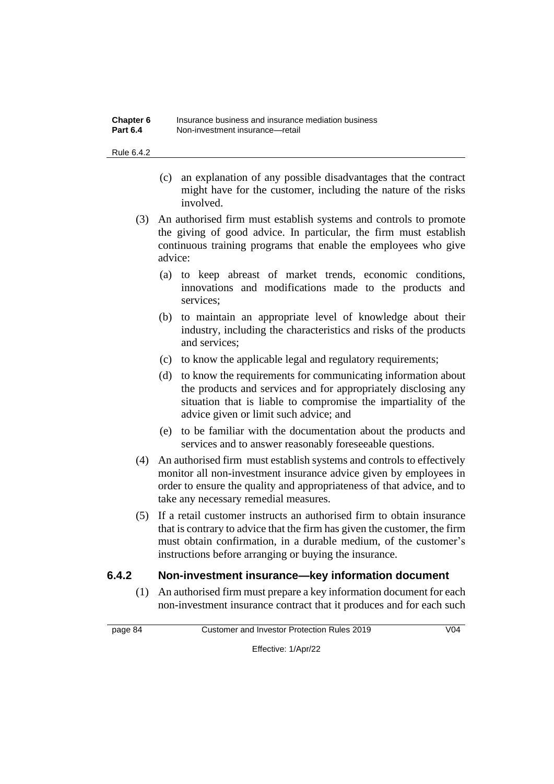| Chapter 6       | Insurance business and insurance mediation business |
|-----------------|-----------------------------------------------------|
| <b>Part 6.4</b> | Non-investment insurance—retail                     |

Rule 6.4.2

- (c) an explanation of any possible disadvantages that the contract might have for the customer, including the nature of the risks involved.
- (3) An authorised firm must establish systems and controls to promote the giving of good advice. In particular, the firm must establish continuous training programs that enable the employees who give advice:
	- (a) to keep abreast of market trends, economic conditions, innovations and modifications made to the products and services;
	- (b) to maintain an appropriate level of knowledge about their industry, including the characteristics and risks of the products and services;
	- (c) to know the applicable legal and regulatory requirements;
	- (d) to know the requirements for communicating information about the products and services and for appropriately disclosing any situation that is liable to compromise the impartiality of the advice given or limit such advice; and
	- (e) to be familiar with the documentation about the products and services and to answer reasonably foreseeable questions.
- (4) An authorised firm must establish systems and controls to effectively monitor all non-investment insurance advice given by employees in order to ensure the quality and appropriateness of that advice, and to take any necessary remedial measures.
- (5) If a retail customer instructs an authorised firm to obtain insurance that is contrary to advice that the firm has given the customer, the firm must obtain confirmation, in a durable medium, of the customer's instructions before arranging or buying the insurance.

# **6.4.2 Non-investment insurance—key information document**

(1) An authorised firm must prepare a key information document for each non-investment insurance contract that it produces and for each such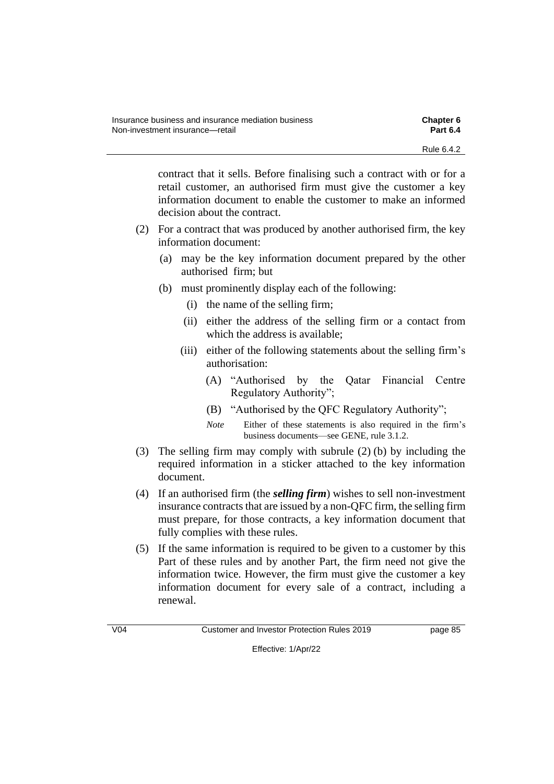contract that it sells. Before finalising such a contract with or for a retail customer, an authorised firm must give the customer a key information document to enable the customer to make an informed decision about the contract.

- (2) For a contract that was produced by another authorised firm, the key information document:
	- (a) may be the key information document prepared by the other authorised firm; but
	- (b) must prominently display each of the following:
		- (i) the name of the selling firm;
		- (ii) either the address of the selling firm or a contact from which the address is available;
		- (iii) either of the following statements about the selling firm's authorisation:
			- (A) "Authorised by the Qatar Financial Centre Regulatory Authority";
			- (B) "Authorised by the QFC Regulatory Authority";
			- *Note* Either of these statements is also required in the firm's business documents—see GENE, rule 3.1.2.
- (3) The selling firm may comply with subrule (2) (b) by including the required information in a sticker attached to the key information document.
- (4) If an authorised firm (the *selling firm*) wishes to sell non-investment insurance contracts that are issued by a non-QFC firm, the selling firm must prepare, for those contracts, a key information document that fully complies with these rules.
- (5) If the same information is required to be given to a customer by this Part of these rules and by another Part, the firm need not give the information twice. However, the firm must give the customer a key information document for every sale of a contract, including a renewal.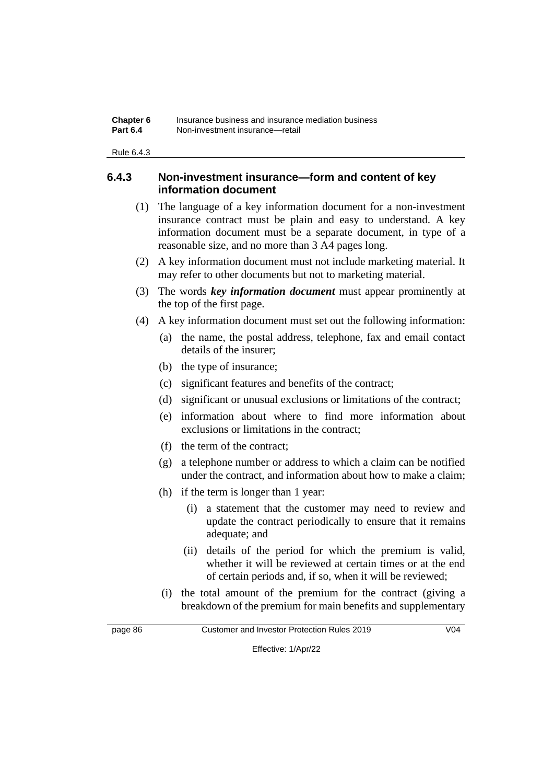| Chapter 6       | Insurance business and insurance mediation business |
|-----------------|-----------------------------------------------------|
| <b>Part 6.4</b> | Non-investment insurance—retail                     |

Rule 6.4.3

### **6.4.3 Non-investment insurance—form and content of key information document**

- (1) The language of a key information document for a non-investment insurance contract must be plain and easy to understand. A key information document must be a separate document, in type of a reasonable size, and no more than 3 A4 pages long.
- (2) A key information document must not include marketing material. It may refer to other documents but not to marketing material.
- (3) The words *key information document* must appear prominently at the top of the first page.
- (4) A key information document must set out the following information:
	- (a) the name, the postal address, telephone, fax and email contact details of the insurer;
	- (b) the type of insurance;
	- (c) significant features and benefits of the contract;
	- (d) significant or unusual exclusions or limitations of the contract;
	- (e) information about where to find more information about exclusions or limitations in the contract;
	- (f) the term of the contract;
	- (g) a telephone number or address to which a claim can be notified under the contract, and information about how to make a claim;
	- (h) if the term is longer than 1 year:
		- (i) a statement that the customer may need to review and update the contract periodically to ensure that it remains adequate; and
		- (ii) details of the period for which the premium is valid, whether it will be reviewed at certain times or at the end of certain periods and, if so, when it will be reviewed;
	- (i) the total amount of the premium for the contract (giving a breakdown of the premium for main benefits and supplementary

page 86 Customer and Investor Protection Rules 2019 V04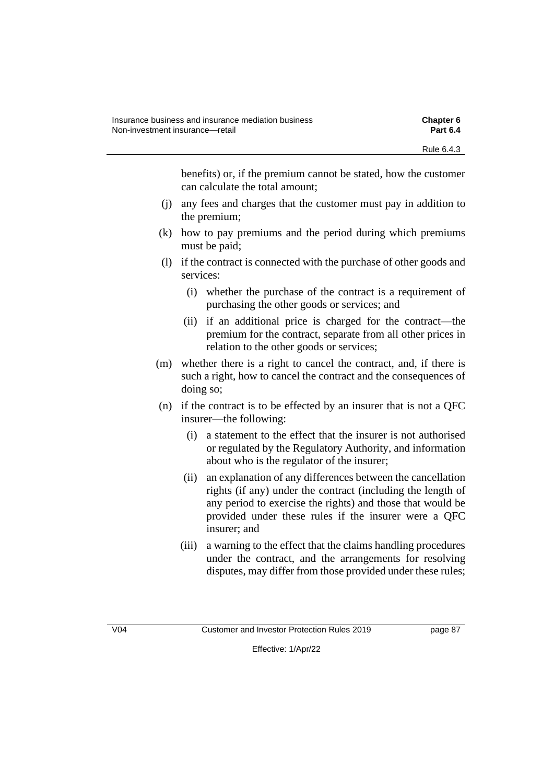benefits) or, if the premium cannot be stated, how the customer can calculate the total amount;

- (j) any fees and charges that the customer must pay in addition to the premium;
- (k) how to pay premiums and the period during which premiums must be paid;
- (l) if the contract is connected with the purchase of other goods and services:
	- (i) whether the purchase of the contract is a requirement of purchasing the other goods or services; and
	- (ii) if an additional price is charged for the contract—the premium for the contract, separate from all other prices in relation to the other goods or services;
- (m) whether there is a right to cancel the contract, and, if there is such a right, how to cancel the contract and the consequences of doing so;
- (n) if the contract is to be effected by an insurer that is not a QFC insurer—the following:
	- (i) a statement to the effect that the insurer is not authorised or regulated by the Regulatory Authority, and information about who is the regulator of the insurer;
	- (ii) an explanation of any differences between the cancellation rights (if any) under the contract (including the length of any period to exercise the rights) and those that would be provided under these rules if the insurer were a QFC insurer; and
	- (iii) a warning to the effect that the claims handling procedures under the contract, and the arrangements for resolving disputes, may differ from those provided under these rules;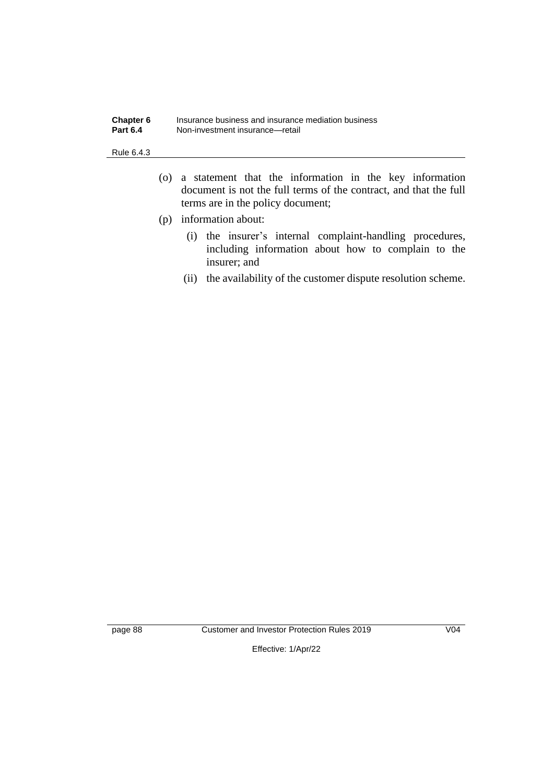| Chapter 6       | Insurance business and insurance mediation business |
|-----------------|-----------------------------------------------------|
| <b>Part 6.4</b> | Non-investment insurance—retail                     |

#### Rule 6.4.3

- (o) a statement that the information in the key information document is not the full terms of the contract, and that the full terms are in the policy document;
- (p) information about:
	- (i) the insurer's internal complaint-handling procedures, including information about how to complain to the insurer; and
	- (ii) the availability of the customer dispute resolution scheme.

page 88 Customer and Investor Protection Rules 2019 V04

Effective: 1/Apr/22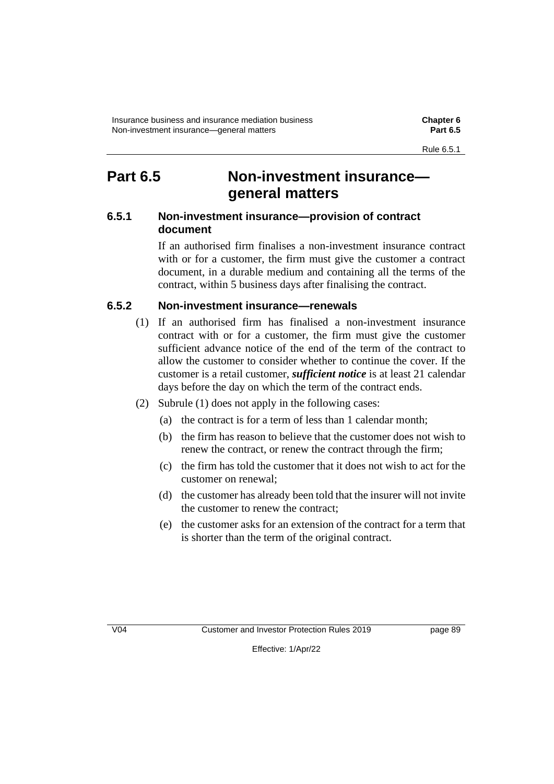# **Part 6.5 Non-investment insurance general matters**

# **6.5.1 Non-investment insurance—provision of contract document**

If an authorised firm finalises a non-investment insurance contract with or for a customer, the firm must give the customer a contract document, in a durable medium and containing all the terms of the contract, within 5 business days after finalising the contract.

# **6.5.2 Non-investment insurance—renewals**

- (1) If an authorised firm has finalised a non-investment insurance contract with or for a customer, the firm must give the customer sufficient advance notice of the end of the term of the contract to allow the customer to consider whether to continue the cover. If the customer is a retail customer, *sufficient notice* is at least 21 calendar days before the day on which the term of the contract ends.
- (2) Subrule (1) does not apply in the following cases:
	- (a) the contract is for a term of less than 1 calendar month;
	- (b) the firm has reason to believe that the customer does not wish to renew the contract, or renew the contract through the firm;
	- (c) the firm has told the customer that it does not wish to act for the customer on renewal;
	- (d) the customer has already been told that the insurer will not invite the customer to renew the contract;
	- (e) the customer asks for an extension of the contract for a term that is shorter than the term of the original contract.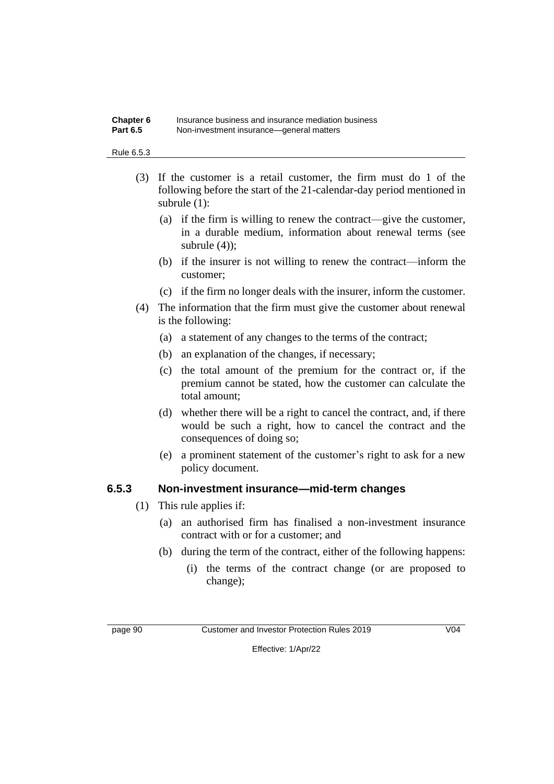#### **Chapter 6** Insurance business and insurance mediation business **Part 6.5** Non-investment insurance—general matters

#### Rule 6.5.3

- (3) If the customer is a retail customer, the firm must do 1 of the following before the start of the 21-calendar-day period mentioned in subrule (1):
	- (a) if the firm is willing to renew the contract—give the customer, in a durable medium, information about renewal terms (see subrule (4));
	- (b) if the insurer is not willing to renew the contract—inform the customer;
	- (c) if the firm no longer deals with the insurer, inform the customer.
- (4) The information that the firm must give the customer about renewal is the following:
	- (a) a statement of any changes to the terms of the contract;
	- (b) an explanation of the changes, if necessary;
	- (c) the total amount of the premium for the contract or, if the premium cannot be stated, how the customer can calculate the total amount;
	- (d) whether there will be a right to cancel the contract, and, if there would be such a right, how to cancel the contract and the consequences of doing so;
	- (e) a prominent statement of the customer's right to ask for a new policy document.

# **6.5.3 Non-investment insurance—mid-term changes**

- (1) This rule applies if:
	- (a) an authorised firm has finalised a non-investment insurance contract with or for a customer; and
	- (b) during the term of the contract, either of the following happens:
		- (i) the terms of the contract change (or are proposed to change);

page 90 Customer and Investor Protection Rules 2019 V04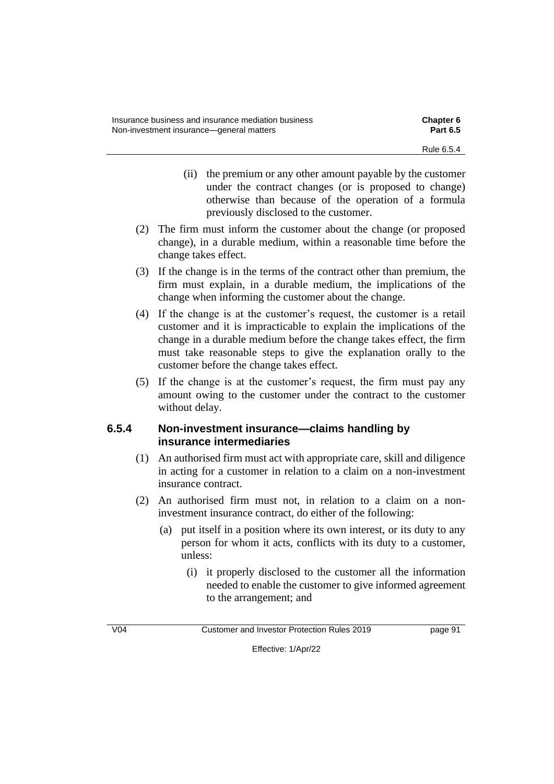- (ii) the premium or any other amount payable by the customer under the contract changes (or is proposed to change) otherwise than because of the operation of a formula previously disclosed to the customer.
- (2) The firm must inform the customer about the change (or proposed change), in a durable medium, within a reasonable time before the change takes effect.
- (3) If the change is in the terms of the contract other than premium, the firm must explain, in a durable medium, the implications of the change when informing the customer about the change.
- (4) If the change is at the customer's request, the customer is a retail customer and it is impracticable to explain the implications of the change in a durable medium before the change takes effect, the firm must take reasonable steps to give the explanation orally to the customer before the change takes effect.
- (5) If the change is at the customer's request, the firm must pay any amount owing to the customer under the contract to the customer without delay.

# **6.5.4 Non-investment insurance—claims handling by insurance intermediaries**

- (1) An authorised firm must act with appropriate care, skill and diligence in acting for a customer in relation to a claim on a non-investment insurance contract.
- (2) An authorised firm must not, in relation to a claim on a noninvestment insurance contract, do either of the following:
	- (a) put itself in a position where its own interest, or its duty to any person for whom it acts, conflicts with its duty to a customer, unless:
		- (i) it properly disclosed to the customer all the information needed to enable the customer to give informed agreement to the arrangement; and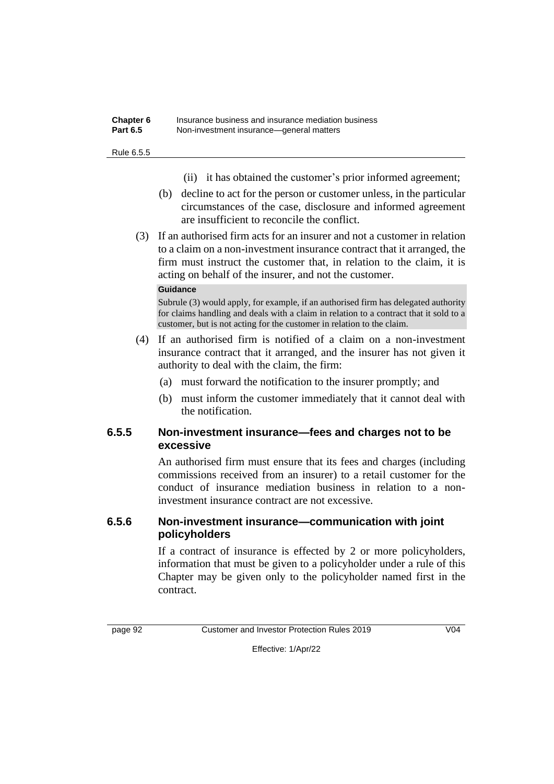#### **Chapter 6** Insurance business and insurance mediation business **Part 6.5** Non-investment insurance—general matters

#### Rule 6.5.5

- (ii) it has obtained the customer's prior informed agreement;
- (b) decline to act for the person or customer unless, in the particular circumstances of the case, disclosure and informed agreement are insufficient to reconcile the conflict.
- (3) If an authorised firm acts for an insurer and not a customer in relation to a claim on a non-investment insurance contract that it arranged, the firm must instruct the customer that, in relation to the claim, it is acting on behalf of the insurer, and not the customer.

### **Guidance**

Subrule (3) would apply, for example, if an authorised firm has delegated authority for claims handling and deals with a claim in relation to a contract that it sold to a customer, but is not acting for the customer in relation to the claim.

- (4) If an authorised firm is notified of a claim on a non-investment insurance contract that it arranged, and the insurer has not given it authority to deal with the claim, the firm:
	- (a) must forward the notification to the insurer promptly; and
	- (b) must inform the customer immediately that it cannot deal with the notification.

# **6.5.5 Non-investment insurance—fees and charges not to be excessive**

An authorised firm must ensure that its fees and charges (including commissions received from an insurer) to a retail customer for the conduct of insurance mediation business in relation to a noninvestment insurance contract are not excessive.

# **6.5.6 Non-investment insurance—communication with joint policyholders**

If a contract of insurance is effected by 2 or more policyholders, information that must be given to a policyholder under a rule of this Chapter may be given only to the policyholder named first in the contract.

page 92 Customer and Investor Protection Rules 2019 V04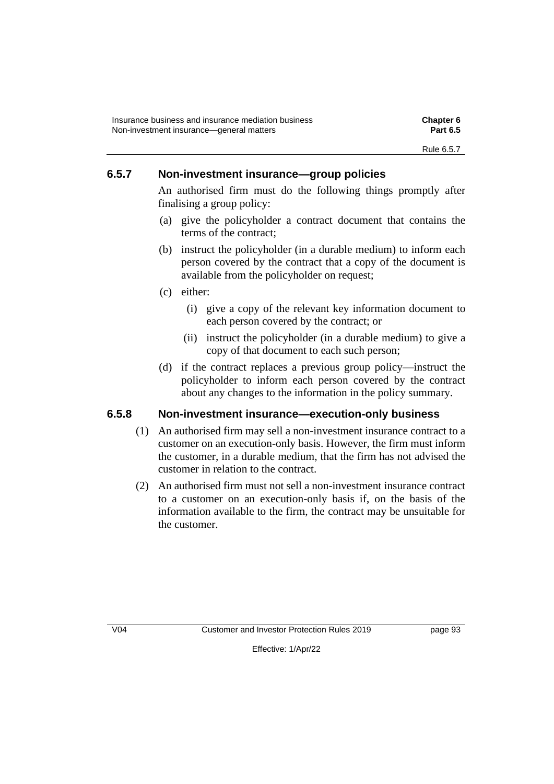# **6.5.7 Non-investment insurance—group policies**

An authorised firm must do the following things promptly after finalising a group policy:

- (a) give the policyholder a contract document that contains the terms of the contract;
- (b) instruct the policyholder (in a durable medium) to inform each person covered by the contract that a copy of the document is available from the policyholder on request;
- (c) either:
	- (i) give a copy of the relevant key information document to each person covered by the contract; or
	- (ii) instruct the policyholder (in a durable medium) to give a copy of that document to each such person;
- (d) if the contract replaces a previous group policy—instruct the policyholder to inform each person covered by the contract about any changes to the information in the policy summary.

# **6.5.8 Non-investment insurance—execution-only business**

- (1) An authorised firm may sell a non-investment insurance contract to a customer on an execution-only basis. However, the firm must inform the customer, in a durable medium, that the firm has not advised the customer in relation to the contract.
- (2) An authorised firm must not sell a non-investment insurance contract to a customer on an execution-only basis if, on the basis of the information available to the firm, the contract may be unsuitable for the customer.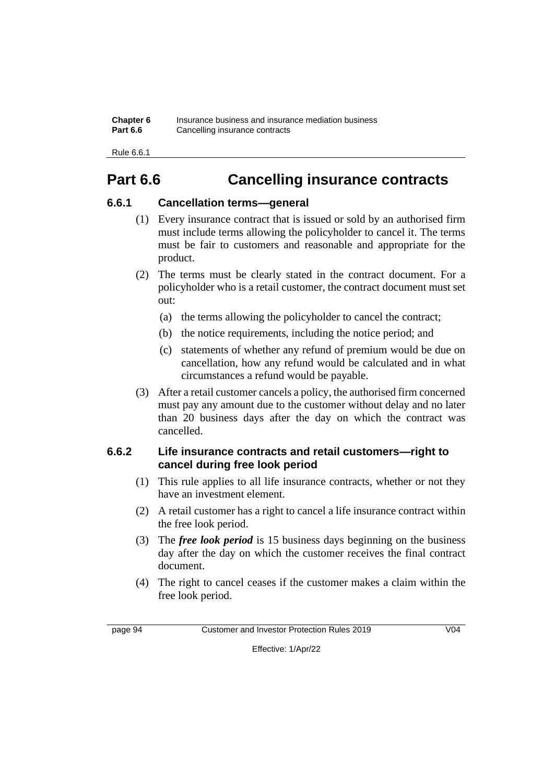| Chapter 6       | Insurance business and insurance mediation business |
|-----------------|-----------------------------------------------------|
| <b>Part 6.6</b> | Cancelling insurance contracts                      |

Rule 6.6.1

# **Part 6.6 Cancelling insurance contracts**

# **6.6.1 Cancellation terms—general**

- (1) Every insurance contract that is issued or sold by an authorised firm must include terms allowing the policyholder to cancel it. The terms must be fair to customers and reasonable and appropriate for the product.
- (2) The terms must be clearly stated in the contract document. For a policyholder who is a retail customer, the contract document must set out:
	- (a) the terms allowing the policyholder to cancel the contract;
	- (b) the notice requirements, including the notice period; and
	- (c) statements of whether any refund of premium would be due on cancellation, how any refund would be calculated and in what circumstances a refund would be payable.
- (3) After a retail customer cancels a policy, the authorised firm concerned must pay any amount due to the customer without delay and no later than 20 business days after the day on which the contract was cancelled.

# **6.6.2 Life insurance contracts and retail customers—right to cancel during free look period**

- (1) This rule applies to all life insurance contracts, whether or not they have an investment element.
- (2) A retail customer has a right to cancel a life insurance contract within the free look period.
- (3) The *free look period* is 15 business days beginning on the business day after the day on which the customer receives the final contract document.
- (4) The right to cancel ceases if the customer makes a claim within the free look period.

page 94 Customer and Investor Protection Rules 2019 V04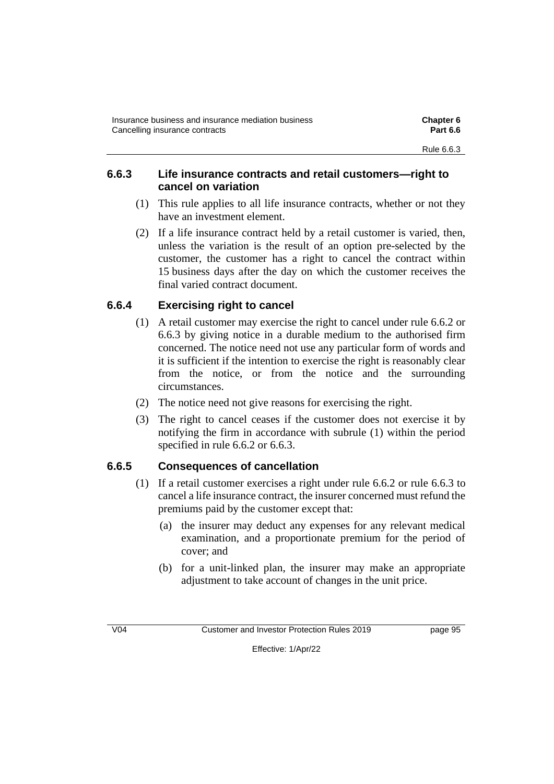# **6.6.3 Life insurance contracts and retail customers—right to cancel on variation**

- (1) This rule applies to all life insurance contracts, whether or not they have an investment element.
- (2) If a life insurance contract held by a retail customer is varied, then, unless the variation is the result of an option pre-selected by the customer, the customer has a right to cancel the contract within 15 business days after the day on which the customer receives the final varied contract document.

# **6.6.4 Exercising right to cancel**

- (1) A retail customer may exercise the right to cancel under rule 6.6.2 or 6.6.3 by giving notice in a durable medium to the authorised firm concerned. The notice need not use any particular form of words and it is sufficient if the intention to exercise the right is reasonably clear from the notice, or from the notice and the surrounding circumstances.
- (2) The notice need not give reasons for exercising the right.
- (3) The right to cancel ceases if the customer does not exercise it by notifying the firm in accordance with subrule (1) within the period specified in rule 6.6.2 or 6.6.3.

# **6.6.5 Consequences of cancellation**

- (1) If a retail customer exercises a right under rule 6.6.2 or rule 6.6.3 to cancel a life insurance contract, the insurer concerned must refund the premiums paid by the customer except that:
	- (a) the insurer may deduct any expenses for any relevant medical examination, and a proportionate premium for the period of cover; and
	- (b) for a unit-linked plan, the insurer may make an appropriate adjustment to take account of changes in the unit price.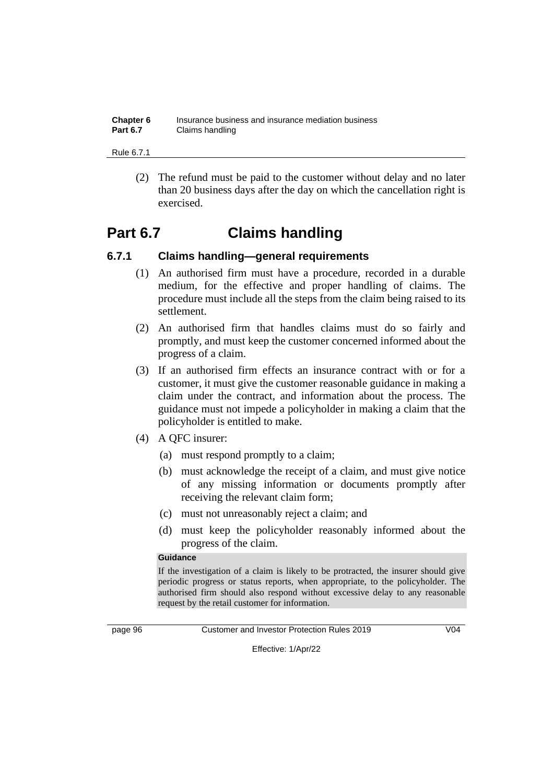| Chapter 6       | Insurance business and insurance mediation business |
|-----------------|-----------------------------------------------------|
| <b>Part 6.7</b> | Claims handling                                     |

Rule 6.7.1

(2) The refund must be paid to the customer without delay and no later than 20 business days after the day on which the cancellation right is exercised.

# **Part 6.7 Claims handling**

# **6.7.1 Claims handling—general requirements**

- (1) An authorised firm must have a procedure, recorded in a durable medium, for the effective and proper handling of claims. The procedure must include all the steps from the claim being raised to its settlement.
- (2) An authorised firm that handles claims must do so fairly and promptly, and must keep the customer concerned informed about the progress of a claim.
- (3) If an authorised firm effects an insurance contract with or for a customer, it must give the customer reasonable guidance in making a claim under the contract, and information about the process. The guidance must not impede a policyholder in making a claim that the policyholder is entitled to make.
- (4) A QFC insurer:
	- (a) must respond promptly to a claim;
	- (b) must acknowledge the receipt of a claim, and must give notice of any missing information or documents promptly after receiving the relevant claim form;
	- (c) must not unreasonably reject a claim; and
	- (d) must keep the policyholder reasonably informed about the progress of the claim.

#### **Guidance**

If the investigation of a claim is likely to be protracted, the insurer should give periodic progress or status reports, when appropriate, to the policyholder. The authorised firm should also respond without excessive delay to any reasonable request by the retail customer for information.



page 96 Customer and Investor Protection Rules 2019 V04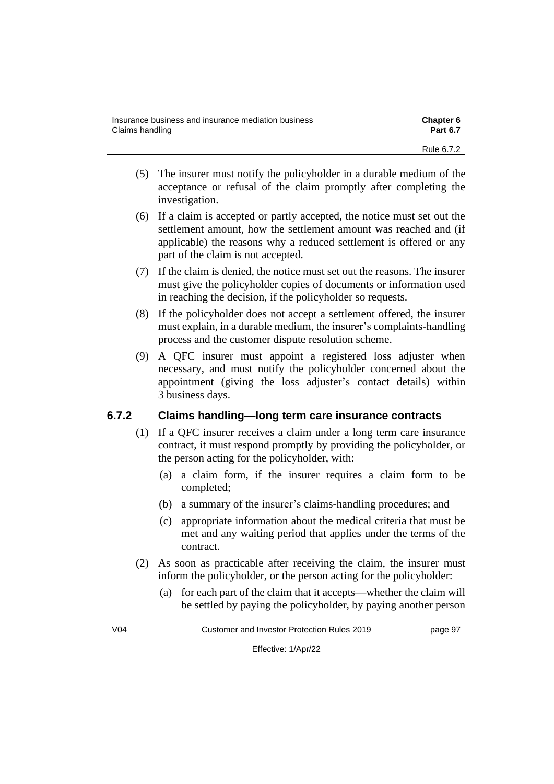| Insurance business and insurance mediation business | <b>Chapter 6</b> |
|-----------------------------------------------------|------------------|
| Claims handling                                     | <b>Part 6.7</b>  |
|                                                     | Rule 6.7.2       |

- (5) The insurer must notify the policyholder in a durable medium of the acceptance or refusal of the claim promptly after completing the investigation.
- (6) If a claim is accepted or partly accepted, the notice must set out the settlement amount, how the settlement amount was reached and (if applicable) the reasons why a reduced settlement is offered or any part of the claim is not accepted.
- (7) If the claim is denied, the notice must set out the reasons. The insurer must give the policyholder copies of documents or information used in reaching the decision, if the policyholder so requests.
- (8) If the policyholder does not accept a settlement offered, the insurer must explain, in a durable medium, the insurer's complaints-handling process and the customer dispute resolution scheme.
- (9) A QFC insurer must appoint a registered loss adjuster when necessary, and must notify the policyholder concerned about the appointment (giving the loss adjuster's contact details) within 3 business days.

# **6.7.2 Claims handling—long term care insurance contracts**

- (1) If a QFC insurer receives a claim under a long term care insurance contract, it must respond promptly by providing the policyholder, or the person acting for the policyholder, with:
	- (a) a claim form, if the insurer requires a claim form to be completed;
	- (b) a summary of the insurer's claims-handling procedures; and
	- (c) appropriate information about the medical criteria that must be met and any waiting period that applies under the terms of the contract.
- (2) As soon as practicable after receiving the claim, the insurer must inform the policyholder, or the person acting for the policyholder:
	- (a) for each part of the claim that it accepts—whether the claim will be settled by paying the policyholder, by paying another person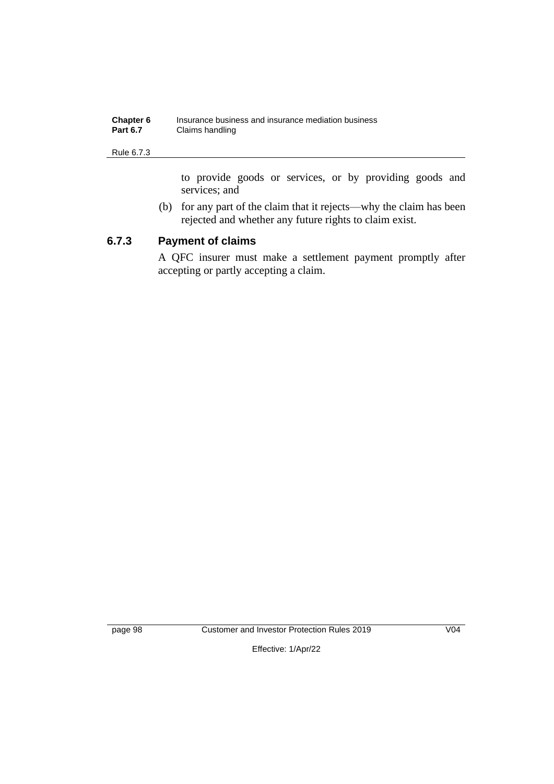| Chapter 6       | Insurance business and insurance mediation business |
|-----------------|-----------------------------------------------------|
| <b>Part 6.7</b> | Claims handling                                     |

#### Rule 6.7.3

to provide goods or services, or by providing goods and services; and

(b) for any part of the claim that it rejects—why the claim has been rejected and whether any future rights to claim exist.

# **6.7.3 Payment of claims**

A QFC insurer must make a settlement payment promptly after accepting or partly accepting a claim.

page 98 Customer and Investor Protection Rules 2019 V04

Effective: 1/Apr/22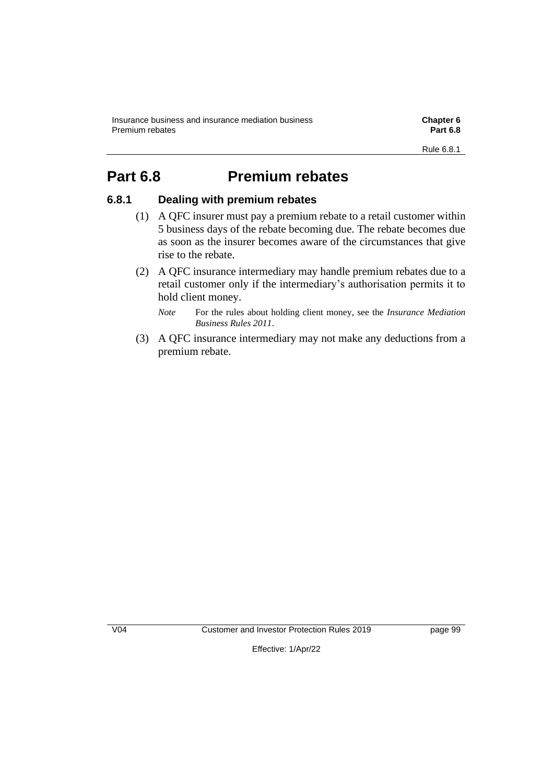# **Part 6.8 Premium rebates**

## **6.8.1 Dealing with premium rebates**

- (1) A QFC insurer must pay a premium rebate to a retail customer within 5 business days of the rebate becoming due. The rebate becomes due as soon as the insurer becomes aware of the circumstances that give rise to the rebate.
- (2) A QFC insurance intermediary may handle premium rebates due to a retail customer only if the intermediary's authorisation permits it to hold client money.
	- *Note* For the rules about holding client money, see the *Insurance Mediation Business Rules 2011*.
- (3) A QFC insurance intermediary may not make any deductions from a premium rebate.

V04 Customer and Investor Protection Rules 2019 page 99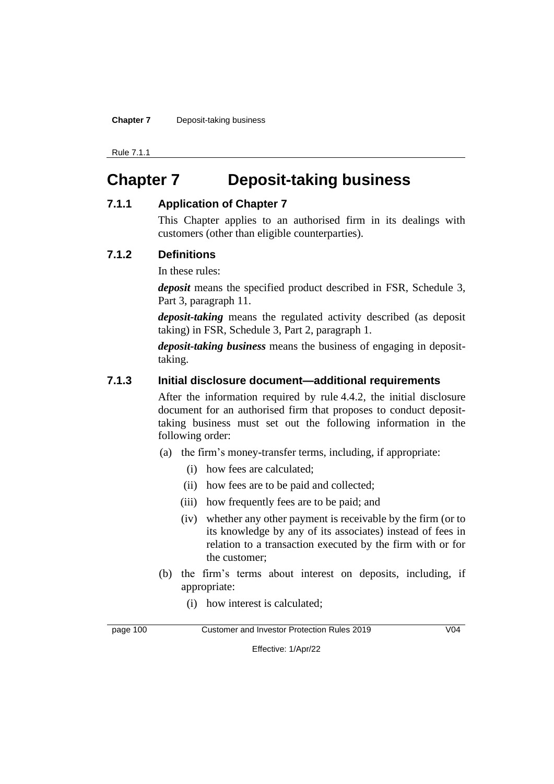**Chapter 7** Deposit-taking business

Rule 7.1.1

# **Chapter 7 Deposit-taking business**

#### **7.1.1 Application of Chapter 7**

This Chapter applies to an authorised firm in its dealings with customers (other than eligible counterparties).

### **7.1.2 Definitions**

In these rules:

*deposit* means the specified product described in FSR, Schedule 3, Part 3, paragraph 11.

*deposit-taking* means the regulated activity described (as deposit taking) in FSR, Schedule 3, Part 2, paragraph 1.

*deposit-taking business* means the business of engaging in deposittaking.

### **7.1.3 Initial disclosure document—additional requirements**

After the information required by rule 4.4.2, the initial disclosure document for an authorised firm that proposes to conduct deposittaking business must set out the following information in the following order:

- (a) the firm's money-transfer terms, including, if appropriate:
	- (i) how fees are calculated;
	- (ii) how fees are to be paid and collected;
	- (iii) how frequently fees are to be paid; and
	- (iv) whether any other payment is receivable by the firm (or to its knowledge by any of its associates) instead of fees in relation to a transaction executed by the firm with or for the customer;
- (b) the firm's terms about interest on deposits, including, if appropriate:
	- (i) how interest is calculated;

page 100 Customer and Investor Protection Rules 2019 V04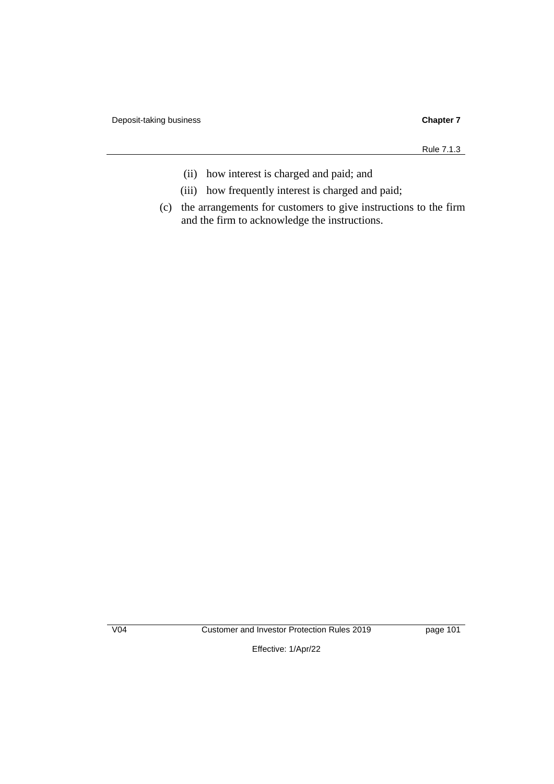Rule 7.1.3

- (ii) how interest is charged and paid; and
- (iii) how frequently interest is charged and paid;
- (c) the arrangements for customers to give instructions to the firm and the firm to acknowledge the instructions.

V04 Customer and Investor Protection Rules 2019 page 101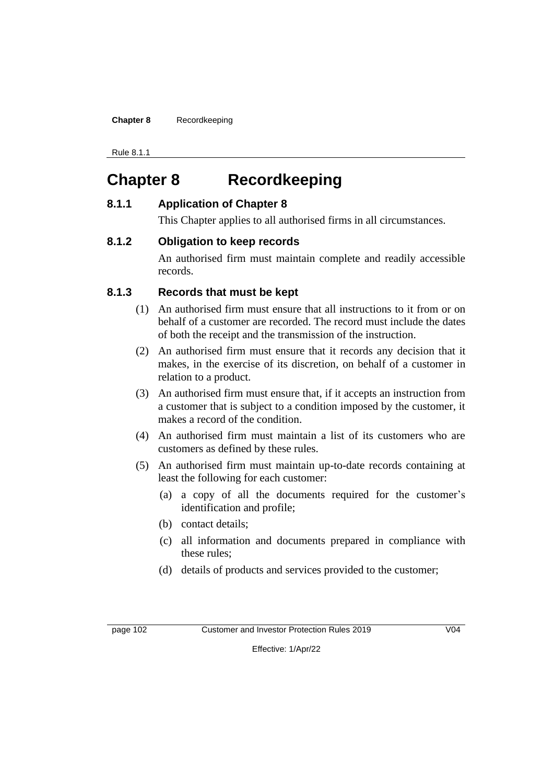**Chapter 8** Recordkeeping

Rule 8.1.1

# **Chapter 8 Recordkeeping**

### **8.1.1 Application of Chapter 8**

This Chapter applies to all authorised firms in all circumstances.

### **8.1.2 Obligation to keep records**

An authorised firm must maintain complete and readily accessible records.

## **8.1.3 Records that must be kept**

- (1) An authorised firm must ensure that all instructions to it from or on behalf of a customer are recorded. The record must include the dates of both the receipt and the transmission of the instruction.
- (2) An authorised firm must ensure that it records any decision that it makes, in the exercise of its discretion, on behalf of a customer in relation to a product.
- (3) An authorised firm must ensure that, if it accepts an instruction from a customer that is subject to a condition imposed by the customer, it makes a record of the condition.
- (4) An authorised firm must maintain a list of its customers who are customers as defined by these rules.
- (5) An authorised firm must maintain up-to-date records containing at least the following for each customer:
	- (a) a copy of all the documents required for the customer's identification and profile;
	- (b) contact details;
	- (c) all information and documents prepared in compliance with these rules;
	- (d) details of products and services provided to the customer;

page 102 Customer and Investor Protection Rules 2019 V04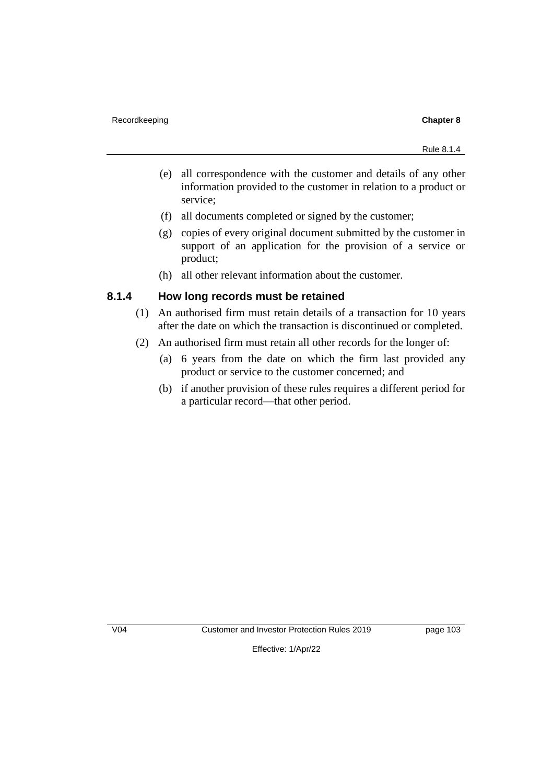- (e) all correspondence with the customer and details of any other information provided to the customer in relation to a product or service;
- (f) all documents completed or signed by the customer;
- (g) copies of every original document submitted by the customer in support of an application for the provision of a service or product;
- (h) all other relevant information about the customer.

#### **8.1.4 How long records must be retained**

- (1) An authorised firm must retain details of a transaction for 10 years after the date on which the transaction is discontinued or completed.
- (2) An authorised firm must retain all other records for the longer of:
	- (a) 6 years from the date on which the firm last provided any product or service to the customer concerned; and
	- (b) if another provision of these rules requires a different period for a particular record—that other period.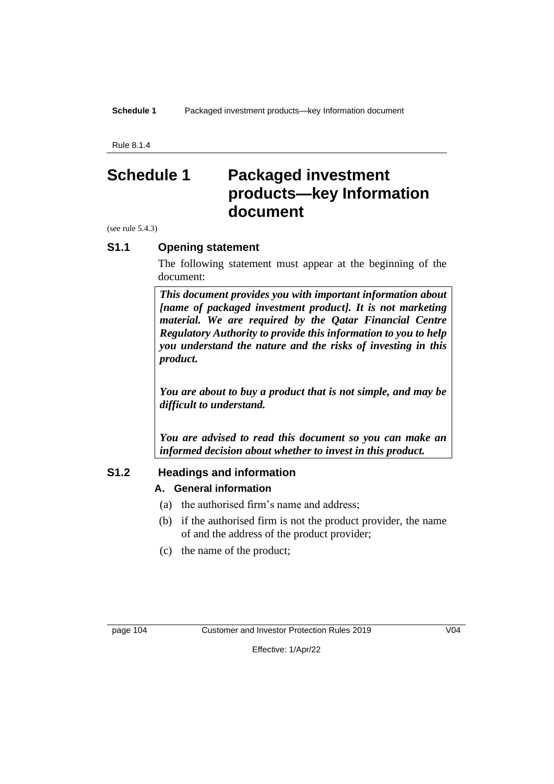Rule 8.1.4

# **Schedule 1 Packaged investment products—key Information document**

(see rule 5.4.3)

#### **S1.1 Opening statement**

The following statement must appear at the beginning of the document:

*This document provides you with important information about [name of packaged investment product]. It is not marketing material. We are required by the Qatar Financial Centre Regulatory Authority to provide this information to you to help you understand the nature and the risks of investing in this product.*

*You are about to buy a product that is not simple, and may be difficult to understand.*

*You are advised to read this document so you can make an informed decision about whether to invest in this product.*

#### **S1.2 Headings and information**

#### **A. General information**

- (a) the authorised firm's name and address;
- (b) if the authorised firm is not the product provider, the name of and the address of the product provider;
- (c) the name of the product;

page 104 Customer and Investor Protection Rules 2019 V04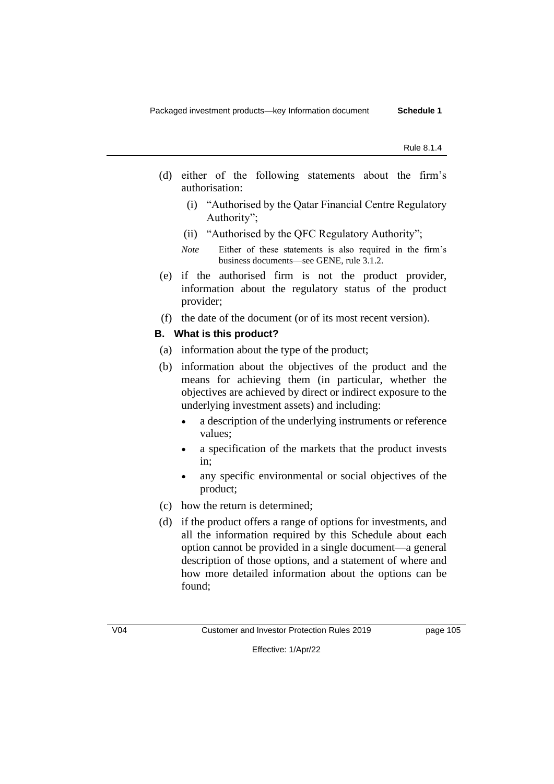- (d) either of the following statements about the firm's authorisation:
	- (i) "Authorised by the Qatar Financial Centre Regulatory Authority";
	- (ii) "Authorised by the QFC Regulatory Authority";
	- *Note* Either of these statements is also required in the firm's business documents—see GENE, rule 3.1.2.
- (e) if the authorised firm is not the product provider, information about the regulatory status of the product provider;
- (f) the date of the document (or of its most recent version).

#### **B. What is this product?**

- (a) information about the type of the product;
- (b) information about the objectives of the product and the means for achieving them (in particular, whether the objectives are achieved by direct or indirect exposure to the underlying investment assets) and including:
	- a description of the underlying instruments or reference values;
	- a specification of the markets that the product invests in;
	- any specific environmental or social objectives of the product;
- (c) how the return is determined;
- (d) if the product offers a range of options for investments, and all the information required by this Schedule about each option cannot be provided in a single document—a general description of those options, and a statement of where and how more detailed information about the options can be found;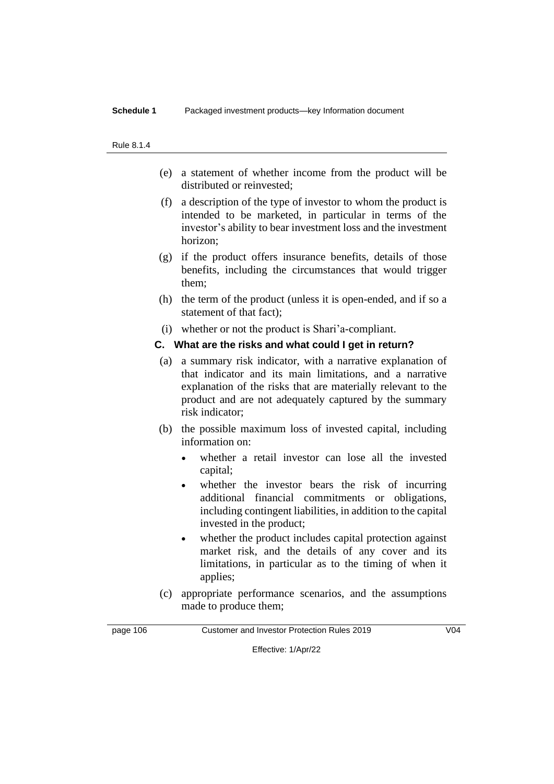#### Rule 8.1.4

- (e) a statement of whether income from the product will be distributed or reinvested;
- (f) a description of the type of investor to whom the product is intended to be marketed, in particular in terms of the investor's ability to bear investment loss and the investment horizon;
- (g) if the product offers insurance benefits, details of those benefits, including the circumstances that would trigger them;
- (h) the term of the product (unless it is open-ended, and if so a statement of that fact);
- (i) whether or not the product is Shari'a-compliant.

#### **C. What are the risks and what could I get in return?**

- (a) a summary risk indicator, with a narrative explanation of that indicator and its main limitations, and a narrative explanation of the risks that are materially relevant to the product and are not adequately captured by the summary risk indicator;
- (b) the possible maximum loss of invested capital, including information on:
	- whether a retail investor can lose all the invested capital;
	- whether the investor bears the risk of incurring additional financial commitments or obligations, including contingent liabilities, in addition to the capital invested in the product;
	- whether the product includes capital protection against market risk, and the details of any cover and its limitations, in particular as to the timing of when it applies;
- (c) appropriate performance scenarios, and the assumptions made to produce them;

page 106 Customer and Investor Protection Rules 2019 V04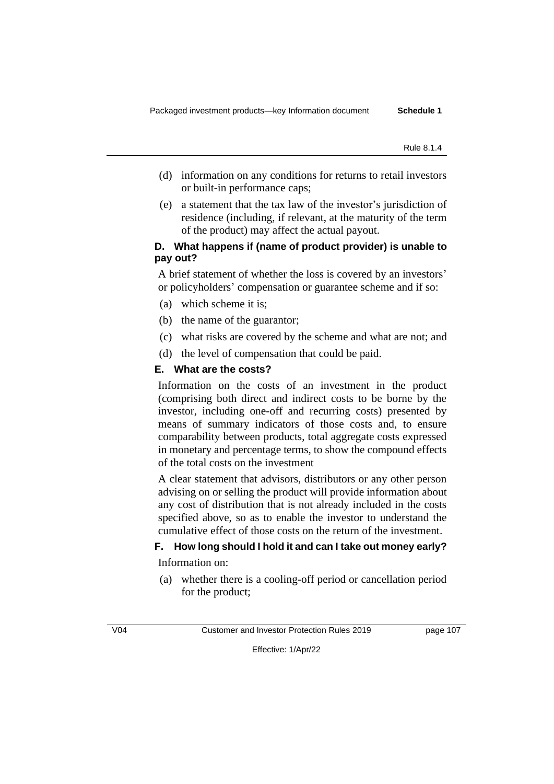- (d) information on any conditions for returns to retail investors or built-in performance caps;
- (e) a statement that the tax law of the investor's jurisdiction of residence (including, if relevant, at the maturity of the term of the product) may affect the actual payout.

#### **D. What happens if (name of product provider) is unable to pay out?**

A brief statement of whether the loss is covered by an investors' or policyholders' compensation or guarantee scheme and if so:

- (a) which scheme it is;
- (b) the name of the guarantor;
- (c) what risks are covered by the scheme and what are not; and
- (d) the level of compensation that could be paid.

#### **E. What are the costs?**

Information on the costs of an investment in the product (comprising both direct and indirect costs to be borne by the investor, including one-off and recurring costs) presented by means of summary indicators of those costs and, to ensure comparability between products, total aggregate costs expressed in monetary and percentage terms, to show the compound effects of the total costs on the investment

A clear statement that advisors, distributors or any other person advising on or selling the product will provide information about any cost of distribution that is not already included in the costs specified above, so as to enable the investor to understand the cumulative effect of those costs on the return of the investment.

#### **F. How long should I hold it and can I take out money early?**

Information on:

(a) whether there is a cooling-off period or cancellation period for the product;

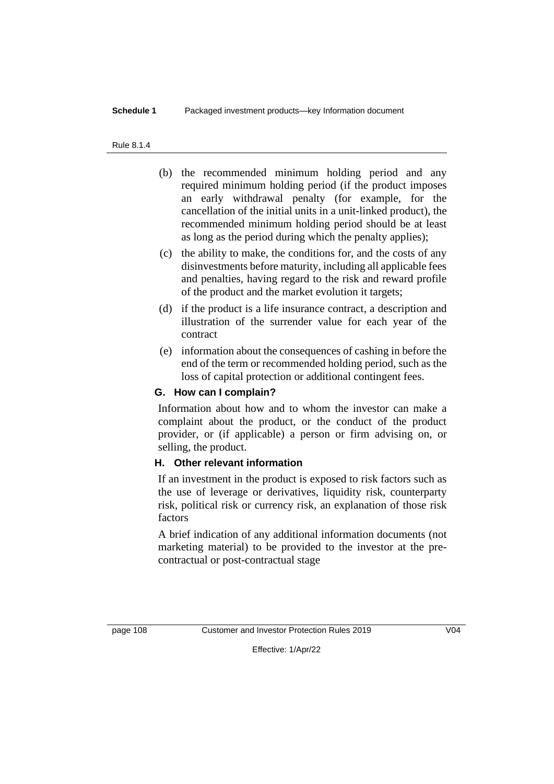#### Rule 8.1.4

- (b) the recommended minimum holding period and any required minimum holding period (if the product imposes an early withdrawal penalty (for example, for the cancellation of the initial units in a unit-linked product), the recommended minimum holding period should be at least as long as the period during which the penalty applies);
- (c) the ability to make, the conditions for, and the costs of any disinvestments before maturity, including all applicable fees and penalties, having regard to the risk and reward profile of the product and the market evolution it targets;
- (d) if the product is a life insurance contract, a description and illustration of the surrender value for each year of the contract
- (e) information about the consequences of cashing in before the end of the term or recommended holding period, such as the loss of capital protection or additional contingent fees.

#### **G. How can I complain?**

Information about how and to whom the investor can make a complaint about the product, or the conduct of the product provider, or (if applicable) a person or firm advising on, or selling, the product.

#### **H. Other relevant information**

If an investment in the product is exposed to risk factors such as the use of leverage or derivatives, liquidity risk, counterparty risk, political risk or currency risk, an explanation of those risk factors

A brief indication of any additional information documents (not marketing material) to be provided to the investor at the precontractual or post-contractual stage

page 108 Customer and Investor Protection Rules 2019 V04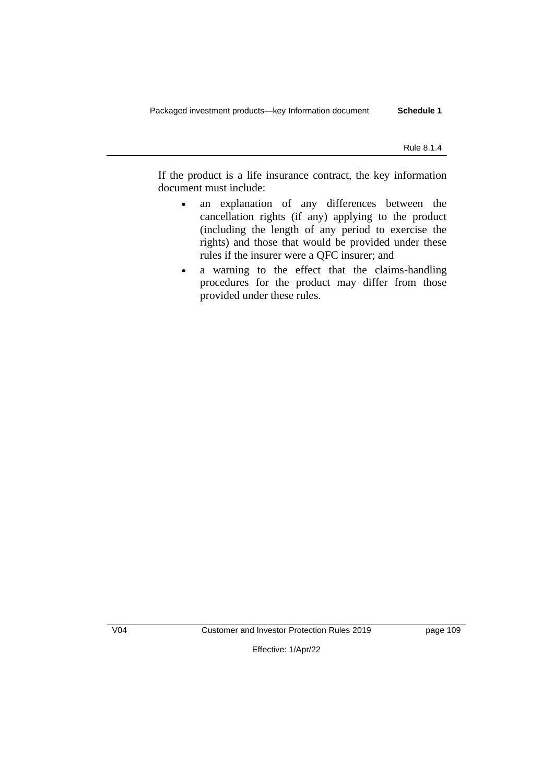If the product is a life insurance contract, the key information document must include:

- an explanation of any differences between the cancellation rights (if any) applying to the product (including the length of any period to exercise the rights) and those that would be provided under these rules if the insurer were a QFC insurer; and
- a warning to the effect that the claims-handling procedures for the product may differ from those provided under these rules.

V04 Customer and Investor Protection Rules 2019 page 109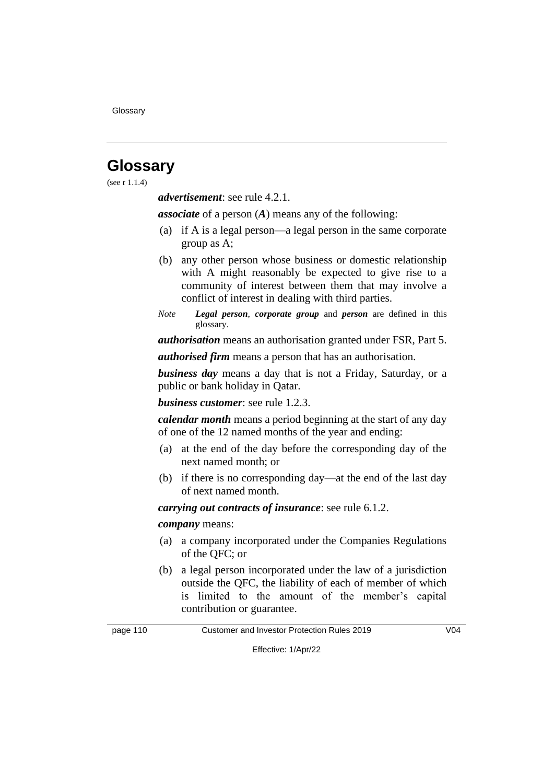# **Glossary**

(see r 1.1.4)

*advertisement*: see rule 4.2.1.

*associate* of a person (*A*) means any of the following:

- (a) if A is a legal person—a legal person in the same corporate group as A;
- (b) any other person whose business or domestic relationship with A might reasonably be expected to give rise to a community of interest between them that may involve a conflict of interest in dealing with third parties.
- *Note Legal person*, *corporate group* and *person* are defined in this glossary.

*authorisation* means an authorisation granted under FSR, Part 5.

*authorised firm* means a person that has an authorisation.

*business day* means a day that is not a Friday, Saturday, or a public or bank holiday in Qatar.

*business customer*: see rule 1.2.3.

*calendar month* means a period beginning at the start of any day of one of the 12 named months of the year and ending:

- (a) at the end of the day before the corresponding day of the next named month; or
- (b) if there is no corresponding day—at the end of the last day of next named month.

*carrying out contracts of insurance*: see rule 6.1.2.

*company* means:

- (a) a company incorporated under the Companies Regulations of the QFC; or
- (b) a legal person incorporated under the law of a jurisdiction outside the QFC, the liability of each of member of which is limited to the amount of the member's capital contribution or guarantee.

page 110 Customer and Investor Protection Rules 2019 V04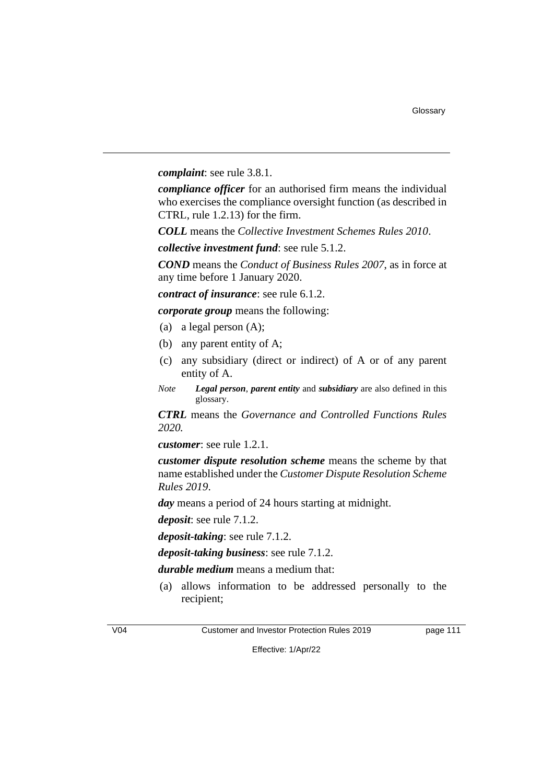*complaint*: see rule 3.8.1.

*compliance officer* for an authorised firm means the individual who exercises the compliance oversight function (as described in CTRL, rule 1.2.13) for the firm.

*COLL* means the *Collective Investment Schemes Rules 2010*.

*collective investment fund*: see rule 5.1.2.

*COND* means the *Conduct of Business Rules 2007*, as in force at any time before 1 January 2020.

*contract of insurance*: see rule 6.1.2.

*corporate group* means the following:

- (a) a legal person (A);
- (b) any parent entity of A;
- (c) any subsidiary (direct or indirect) of A or of any parent entity of A.
- *Note Legal person*, *parent entity* and *subsidiary* are also defined in this glossary.

*CTRL* means the *Governance and Controlled Functions Rules 2020.*

*customer*: see rule 1.2.1.

*customer dispute resolution scheme* means the scheme by that name established under the *Customer Dispute Resolution Scheme Rules 2019*.

*day* means a period of 24 hours starting at midnight.

*deposit*: see rule 7.1.2.

*deposit-taking*: see rule 7.1.2.

*deposit-taking business*: see rule 7.1.2.

*durable medium* means a medium that:

(a) allows information to be addressed personally to the recipient;



V04 Customer and Investor Protection Rules 2019 page 111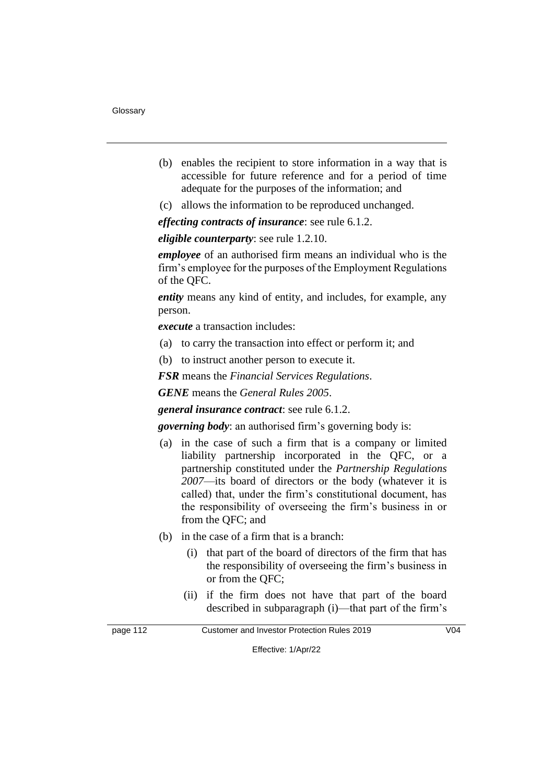- (b) enables the recipient to store information in a way that is accessible for future reference and for a period of time adequate for the purposes of the information; and
- (c) allows the information to be reproduced unchanged.

*effecting contracts of insurance*: see rule 6.1.2.

*eligible counterparty*: see rule 1.2.10.

*employee* of an authorised firm means an individual who is the firm's employee for the purposes of the Employment Regulations of the QFC.

*entity* means any kind of entity, and includes, for example, any person.

*execute* a transaction includes:

- (a) to carry the transaction into effect or perform it; and
- (b) to instruct another person to execute it.

*FSR* means the *Financial Services Regulations*.

*GENE* means the *General Rules 2005*.

*general insurance contract*: see rule 6.1.2.

*governing body*: an authorised firm's governing body is:

- (a) in the case of such a firm that is a company or limited liability partnership incorporated in the QFC, or a partnership constituted under the *Partnership Regulations 2007*—its board of directors or the body (whatever it is called) that, under the firm's constitutional document, has the responsibility of overseeing the firm's business in or from the QFC; and
- (b) in the case of a firm that is a branch:
	- (i) that part of the board of directors of the firm that has the responsibility of overseeing the firm's business in or from the QFC;
	- (ii) if the firm does not have that part of the board described in subparagraph (i)—that part of the firm's

page 112 Customer and Investor Protection Rules 2019 V04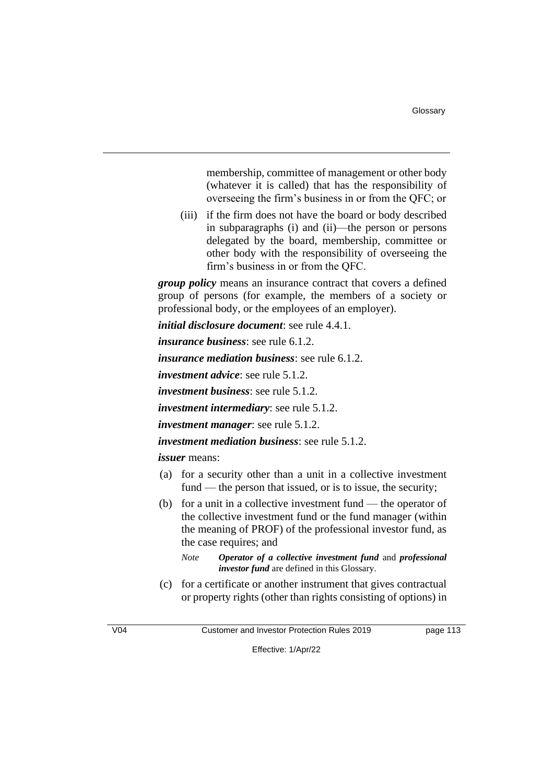Glossary

membership, committee of management or other body (whatever it is called) that has the responsibility of overseeing the firm's business in or from the QFC; or

(iii) if the firm does not have the board or body described in subparagraphs (i) and (ii)—the person or persons delegated by the board, membership, committee or other body with the responsibility of overseeing the firm's business in or from the QFC.

*group policy* means an insurance contract that covers a defined group of persons (for example, the members of a society or professional body, or the employees of an employer).

*initial disclosure document*: see rule 4.4.1.

*insurance business*: see rule 6.1.2.

*insurance mediation business*: see rule 6.1.2.

*investment advice*: see rule 5.1.2.

*investment business*: see rule 5.1.2.

*investment intermediary*: see rule 5.1.2.

*investment manager*: see rule 5.1.2.

*investment mediation business*: see rule 5.1.2.

*issuer* means:

- (a) for a security other than a unit in a collective investment fund — the person that issued, or is to issue, the security;
- (b) for a unit in a collective investment fund the operator of the collective investment fund or the fund manager (within the meaning of PROF) of the professional investor fund, as the case requires; and

*Note Operator of a collective investment fund* and *professional investor fund* are defined in this Glossary.

(c) for a certificate or another instrument that gives contractual or property rights (other than rights consisting of options) in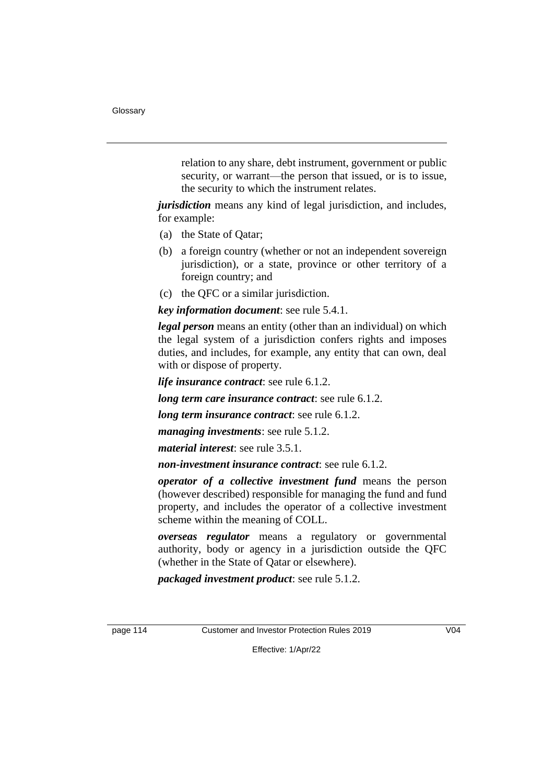relation to any share, debt instrument, government or public security, or warrant—the person that issued, or is to issue, the security to which the instrument relates.

*jurisdiction* means any kind of legal jurisdiction, and includes, for example:

- (a) the State of Qatar;
- (b) a foreign country (whether or not an independent sovereign jurisdiction), or a state, province or other territory of a foreign country; and
- (c) the QFC or a similar jurisdiction.

*key information document*: see rule 5.4.1.

*legal person* means an entity (other than an individual) on which the legal system of a jurisdiction confers rights and imposes duties, and includes, for example, any entity that can own, deal with or dispose of property.

*life insurance contract*: see rule 6.1.2.

*long term care insurance contract*: see rule 6.1.2.

*long term insurance contract*: see rule 6.1.2.

*managing investments*: see rule 5.1.2.

*material interest*: see rule 3.5.1.

*non-investment insurance contract*: see rule 6.1.2.

*operator of a collective investment fund* means the person (however described) responsible for managing the fund and fund property, and includes the operator of a collective investment scheme within the meaning of COLL.

*overseas regulator* means a regulatory or governmental authority, body or agency in a jurisdiction outside the QFC (whether in the State of Qatar or elsewhere).

*packaged investment product*: see rule 5.1.2.

page 114 Customer and Investor Protection Rules 2019 V04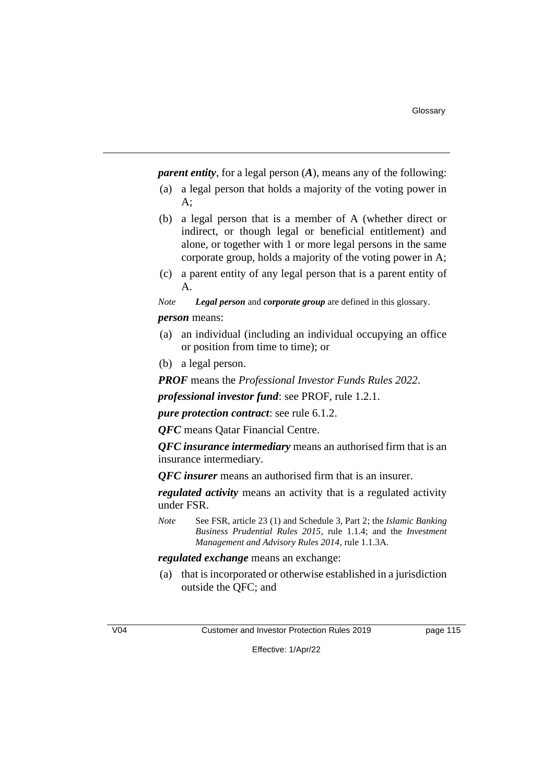*parent entity*, for a legal person (*A*), means any of the following:

- (a) a legal person that holds a majority of the voting power in A;
- (b) a legal person that is a member of A (whether direct or indirect, or though legal or beneficial entitlement) and alone, or together with 1 or more legal persons in the same corporate group, holds a majority of the voting power in A;
- (c) a parent entity of any legal person that is a parent entity of A.

*Note Legal person* and *corporate group* are defined in this glossary.

#### *person* means:

- (a) an individual (including an individual occupying an office or position from time to time); or
- (b) a legal person.

*PROF* means the *Professional Investor Funds Rules 2022*.

*professional investor fund*: see PROF, rule 1.2.1.

*pure protection contract*: see rule 6.1.2.

*QFC* means Qatar Financial Centre.

*QFC insurance intermediary* means an authorised firm that is an insurance intermediary.

*QFC insurer* means an authorised firm that is an insurer.

*regulated activity* means an activity that is a regulated activity under FSR.

*Note* See FSR, article 23 (1) and Schedule 3, Part 2; the *Islamic Banking Business Prudential Rules 2015*, rule 1.1.4; and the *Investment Management and Advisory Rules 2014*, rule 1.1.3A.

#### *regulated exchange* means an exchange:

(a) that is incorporated or otherwise established in a jurisdiction outside the QFC; and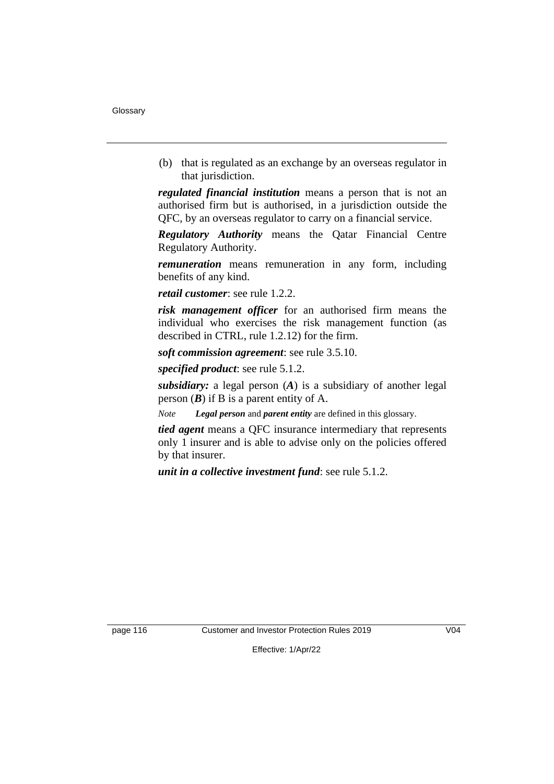(b) that is regulated as an exchange by an overseas regulator in that jurisdiction.

*regulated financial institution* means a person that is not an authorised firm but is authorised, in a jurisdiction outside the QFC, by an overseas regulator to carry on a financial service.

*Regulatory Authority* means the Qatar Financial Centre Regulatory Authority.

*remuneration* means remuneration in any form, including benefits of any kind.

*retail customer*: see rule 1.2.2.

*risk management officer* for an authorised firm means the individual who exercises the risk management function (as described in CTRL, rule 1.2.12) for the firm.

*soft commission agreement*: see rule 3.5.10.

*specified product*: see rule 5.1.2.

*subsidiary:* a legal person (*A*) is a subsidiary of another legal person  $(B)$  if B is a parent entity of A.

*Note Legal person* and *parent entity* are defined in this glossary.

*tied agent* means a QFC insurance intermediary that represents only 1 insurer and is able to advise only on the policies offered by that insurer.

*unit in a collective investment fund*: see rule 5.1.2.

page 116 Customer and Investor Protection Rules 2019 V04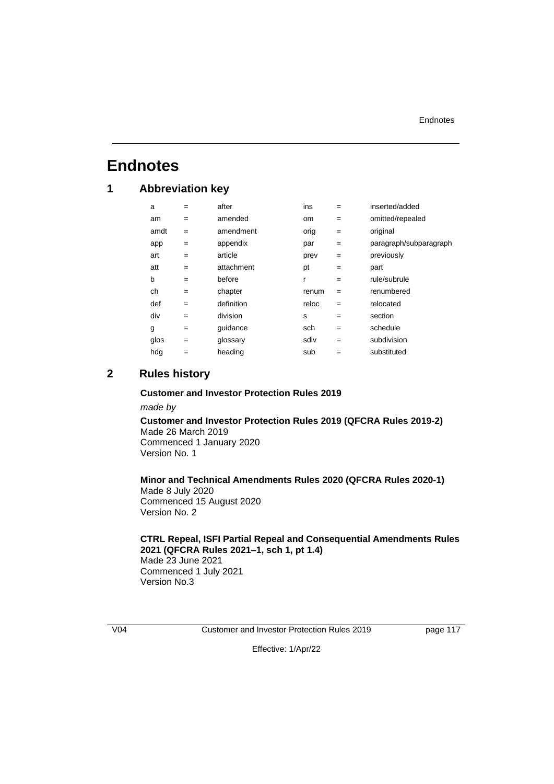#### **Endnotes**

# **Endnotes**

### **1 Abbreviation key**

| a    | $=$ | after      | ins           | $=$ | inserted/added         |
|------|-----|------------|---------------|-----|------------------------|
| am   | $=$ | amended    | <sub>om</sub> | $=$ | omitted/repealed       |
| amdt | $=$ | amendment  | orig          | $=$ | original               |
| app  | $=$ | appendix   | par           | $=$ | paragraph/subparagraph |
| art  | $=$ | article    | prev          | $=$ | previously             |
| att  | $=$ | attachment | pt            | $=$ | part                   |
| b    | $=$ | before     | r             | $=$ | rule/subrule           |
| ch   | $=$ | chapter    | renum         | $=$ | renumbered             |
| def  | $=$ | definition | reloc         | $=$ | relocated              |
| div  | $=$ | division   | s             | $=$ | section                |
| g    | $=$ | guidance   | sch           | $=$ | schedule               |
| glos | $=$ | glossary   | sdiv          | $=$ | subdivision            |
| hda  | $=$ | heading    | sub           | $=$ | substituted            |

#### **2 Rules history**

# **Customer and Investor Protection Rules 2019**

*made by*

**Customer and Investor Protection Rules 2019 (QFCRA Rules 2019-2)** Made 26 March 2019 Commenced 1 January 2020 Version No. 1

**Minor and Technical Amendments Rules 2020 (QFCRA Rules 2020-1)** Made 8 July 2020 Commenced 15 August 2020 Version No. 2

#### **CTRL Repeal, ISFI Partial Repeal and Consequential Amendments Rules 2021 (QFCRA Rules 2021–1, sch 1, pt 1.4)**

Made 23 June 2021 Commenced 1 July 2021 Version No.3

V04 Customer and Investor Protection Rules 2019 page 117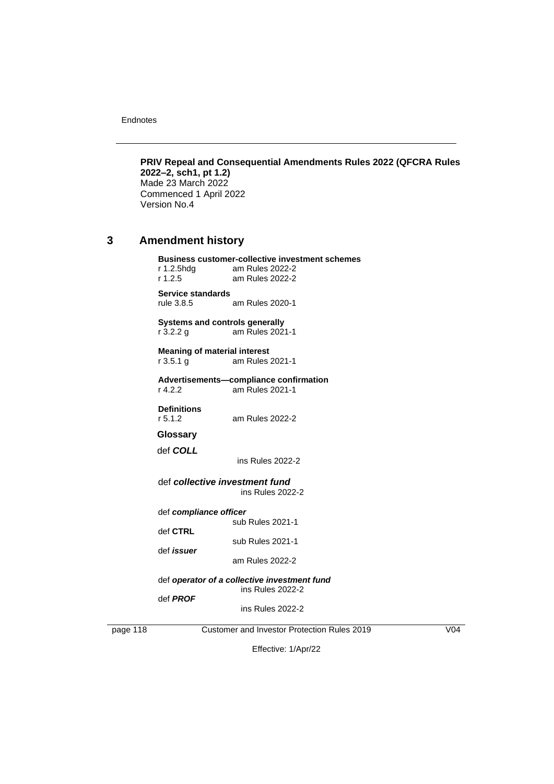Endnotes

**PRIV Repeal and Consequential Amendments Rules 2022 (QFCRA Rules 2022–2, sch1, pt 1.2)**  Made 23 March 2022 Commenced 1 April 2022 Version No.4

#### **3 Amendment history**

**Business customer-collective investment schemes**  r 1.2.5hdg am Rules 2022-2

r 1.2.5 am Rules 2022-2 **Service standards** rule 3.8.5 am Rules 2020-1

**Systems and controls generally**<br>r 3.2.2 g am Rules 2021 am Rules 2021-1

**Meaning of material interest**<br>**r** 3.5.1 g am Rules: am Rules 2021-1

#### **Advertisements—compliance confirmation**  r 4.2.2 am Rules 2021-1

**Definitions**<br>r 5.1.2

am Rules 2022-2

**Glossary**

def *COLL* 

ins Rules 2022-2

#### def *collective investment fund*  ins Rules 2022-2

def *compliance officer*

sub Rules 2021-1 def **CTRL** 

sub Rules 2021-1 def *issuer* 

am Rules 2022-2

#### def *operator of a collective investment fund* ins Rules 2022-2

def *PROF*

ins Rules 2022-2

page 118 Customer and Investor Protection Rules 2019 V04